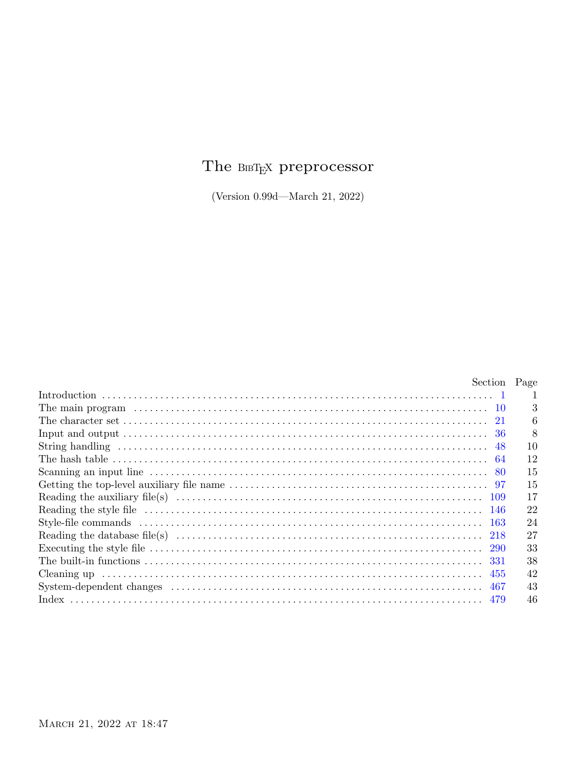# The  $\textsc{BiBT}_{\textsc{E}}$  preprocessor

(Version  $0.99d$ —March 21, 2022)

| Section Page |    |
|--------------|----|
|              |    |
|              | 3  |
|              | h  |
|              |    |
|              | 10 |
|              | 12 |
|              | 15 |
|              | 15 |
|              | 17 |
|              | 22 |
|              | 24 |
|              | 27 |
|              | 33 |
|              | 38 |
|              | 42 |
|              | 43 |
|              | 46 |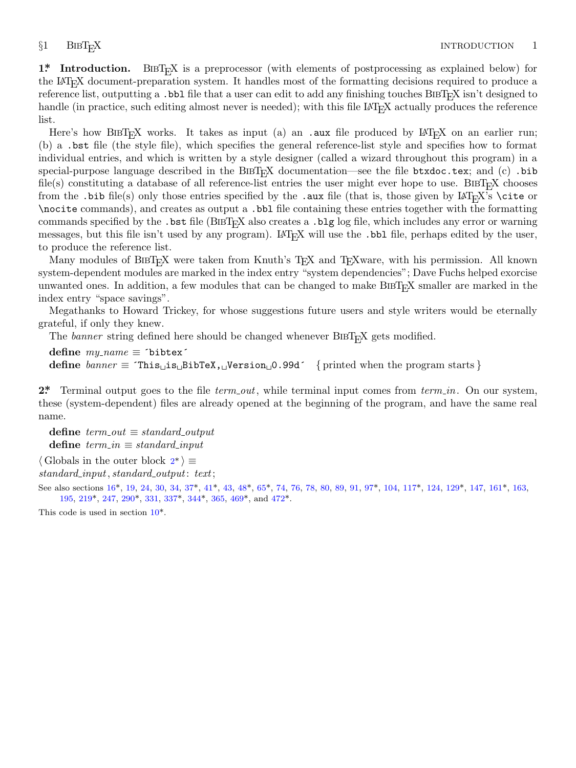<span id="page-1-0"></span>**1\*** Introduction. BIBT<sub>E</sub>X is a preprocessor (with elements of postprocessing as explained below) for the LaTEX document-preparation system. It handles most of the formatting decisions required to produce a reference list, outputting a .bbl file that a user can edit to add any finishing touches BIBT<sub>E</sub>X isn't designed to handle (in practice, such editing almost never is needed); with this file LAT<sub>EX</sub> actually produces the reference list.

Here's how BIBT<sub>E</sub>X works. It takes as input (a) an .aux file produced by  $LAT$ <sub>E</sub>X on an earlier run; (b) a .bst file (the style file), which specifies the general reference-list style and specifies how to format individual entries, and which is written by a style designer (called a wizard throughout this program) in a special-purpose language described in the BIBT<sub>E</sub>X documentation—see the file btxdoc.tex; and (c) .bib file(s) constituting a database of all reference-list entries the user might ever hope to use. BIBT<sub>E</sub>X chooses from the .bib file(s) only those entries specified by the .aux file (that is, those given by  $\text{LAT}_\text{F}X$ 's \cite or \nocite commands), and creates as output a .bbl file containing these entries together with the formatting commands specified by the .bst file (BIBTEX also creates a .blg log file, which includes any error or warning messages, but this file isn't used by any program). LAT<sub>E</sub>X will use the .bbl file, perhaps edited by the user, to produce the reference list.

Many modules of BIBT<sub>E</sub>X were taken from Knuth's T<sub>E</sub>X and T<sub>E</sub>Xware, with his permission. All known system-dependent modules are marked in the index entry "system dependencies"; Dave Fuchs helped exorcise unwanted ones. In addition, a few modules that can be changed to make BIBT<sub>E</sub>X smaller are marked in the index entry "space savings".

Megathanks to Howard Trickey, for whose suggestions future users and style writers would be eternally grateful, if only they knew.

The *banner* string defined here should be changed whenever BIBT<sub>E</sub>X gets modified.

**define** *my name ≡* ´bibtex´ **define** *banner ≡* ´This␣is␣BibTeX,␣Version␣0.99d´ *{* printed when the program starts *}*

2<sup>\*</sup> Terminal output goes to the file *term\_out*, while terminal input comes from *term\_in*. On our system, these (system-[de](#page-5-0)pendent) files [are](#page-8-0) [alre](#page-8-0)ady [op](#page-10-0)e[ned](#page-12-0) at the beginning of [th](#page-15-0)e pro[gram](#page-17-0), an[d ha](#page-20-0)ve th[e sa](#page-23-0)me real name.

 $\text{define } term\_out \equiv standard\_output$  $\text{define } term\_out \equiv standard\_output$  $\text{define } term\_out \equiv standard\_output$  $\text{define } term\_out \equiv standard\_output$  $\text{define } term\_out \equiv standard\_output$  $\text{define } term\_out \equiv standard\_output$  $\text{define } term\_out \equiv standard\_output$  $\text{define } term\_out \equiv standard\_output$  $\text{define } term\_out \equiv standard\_output$  $\text{define } term\_out \equiv standard\_output$  $\text{define } term\_in \equiv standard\_input$ 

*⟨* Globals in the outer block 2\* *⟩ ≡*

*standard input, standard output*: *text*;

See also sections 16\*, 19, 24, 30, 34, 37\*, 41\*, 43, 48\*, 65\*, 74, 76, 78, 80, 89, 91, 97\*, 104, 117\*, 124, 129\*, 147, 161\*, 163, 195, 219\*, 247, 290\*, 331, 337\*, 344\*, 365, 469\*, and 472\*.

This code is used in section 10\*.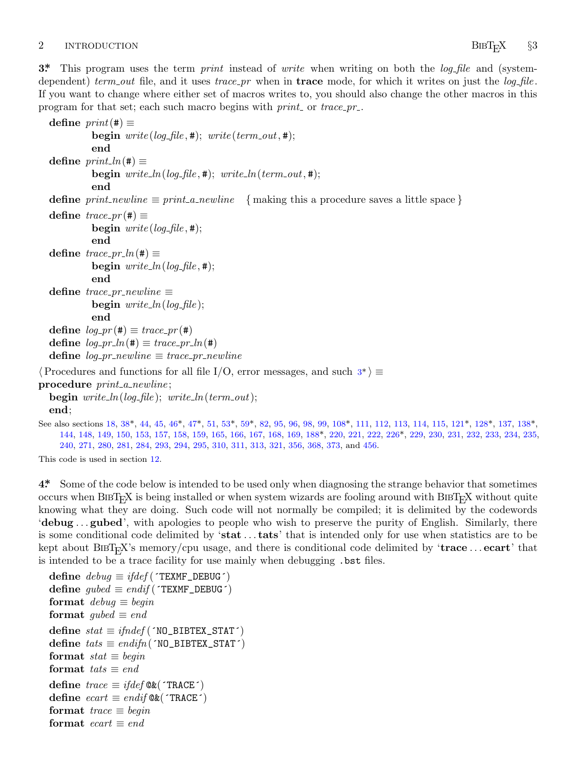# <span id="page-2-0"></span>2 INTRODUCTION BIBT<sub>E</sub>X §3

**3\*.** This program uses the term *print* instead of *write* when writing on both the *log file* and (systemdependent) *term out* file, and it uses *trace pr* when in **trace** mode, for which it writes on just the *log file* . If you want to change where either set of macros writes to, you should also change the other macros in this program for that set; each such macro begins with *print* or *trace\_pr\_*.

```
define print(\textbf{\#}) \equivbegin write(log-file, #); write(term\_out, #);
             end
  \text{define } print\_ln(\texttt{\#}) \equivbegin write\_ln(log\_file, #); write\_ln(term\_out, #);end
  define print\_newline \equiv print\_a\_newline { making this a procedure saves a little space }
  \text{define } trace\_pr(\text{\#}) \equivbegin write(log file, #);
             end
  \text{define } trace\_pr\_ln(\texttt{\#}) \equivbegin write\_ln(log\_file, \#);end
  \text{define } trace\_pr\_newline \equivbegin write ln(log file );
             end
  \text{define } log\_pr(\textbf{\#}) \equiv trace\_pr(\textbf{\#})celn(\textbf{#})\mathbf{define} line \equiv trace\_pr\_newline⟨Procedures and functions for all file I/O, error messages, and such 3* ⟩ ≡
procedure print a newline ;
  begin write ln(log file ); write ln(term out);
  end;
See also sections 18, 38*, 44, 45, 46*, 47*, 51, 53*, 59*, 82, 95, 96, 98, 99, 108*, 111, 112, 113, 114, 115, 121*, 128*, 137, 138*,
     144, 148, 149, 150, 153, 157, 158, 159, 165, 166, 167, 168, 169, 188*, 220, 221, 222, 226*, 229, 230, 231, 232, 233, 234, 235,
     240, 271, 280, 281, 284, 293, 294, 295, 310, 311, 313, 321, 356, 368, 373, and 456.
```
This code is used in section 12.

**4\*.** Some of the code below is intended to be used only when diagnosing the strange behavior that sometimes occurs when  $BIBT<sub>Ex</sub>X$  is being installed or when system wizards are fooling around with  $BIBT<sub>Ex</sub>X$  without quite knowing what they are doing. Such code will not normally be compiled; it is delimited by the codewords '**debug** *. . .* **gubed**', with apologies to people who wish to preserve the purity of English. Similarly, there is some conditional code delimited by '**stat** *. . .* **tats**' that is intended only for use when statistics are to be kept about BibTEX's memory/cpu usage, and there is conditional code delimited by '**trace** *. . .* **ecart**' that is intended to be a trace facility for use mainly when debugging .bst files.

 $\text{define } \text{debug} \equiv \text{ifdef} (\text{'} \text{TEXMF\_DEBUG'})$  $\text{define } gubed \equiv endif(\text{'}\text{TEXMF\_DEBUG'})$ **format**  $debuq \equiv begin$ **format**  $gubed \equiv end$  $\text{define } stat \equiv \text{if}nd\text{ef}$  (´NO\_BIBTEX\_STAT´)  $\text{define} \; \textit{tats} \equiv \textit{endifn}(\text{'}NO\_BIBTEX\_STAT\text{'}')$ **format**  $stat \equiv begin$ **format**  $\text{tats} \equiv \text{end}$  $\text{define } trace \equiv \text{ifdef}\mathfrak{@k}(\text{`TRACE'})$  $\text{define } \text{ecart} \equiv \text{endif}$  $\mathbb{Q}\&\text{(}\text{`TRACE'}\text{)}$ **format**  $trace \equiv begin$ **format**  $ecart \equiv end$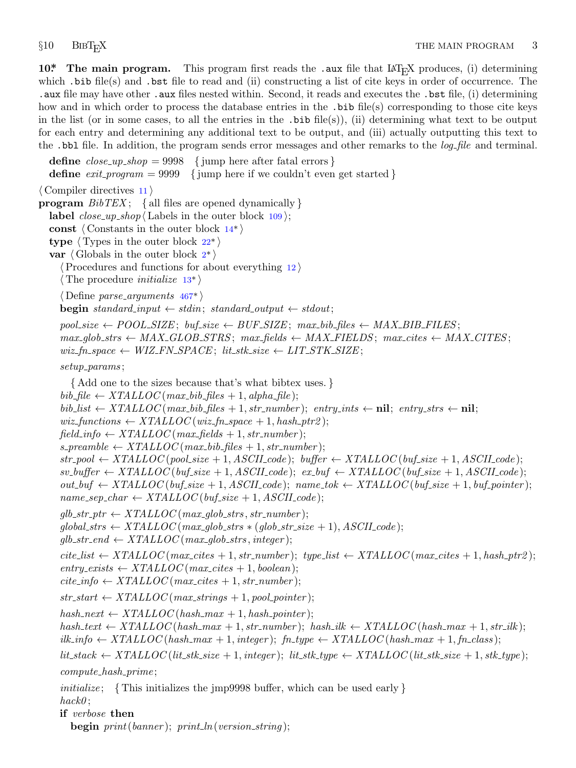<span id="page-3-0"></span>**10\*** The main program. This program first reads the .aux file that LAT<sub>E</sub>X produces, (i) determining which .bib file(s) and .bst file to read and (ii) constructing a list of cite keys in order of occurrence. The .aux file may have other .aux files nested within. Second, it reads and executes the .bst file, (i) determining how and in which order to process the database entries in the .bib file(s) corresponding to those cite keys in the list (or in some cases, to all the entries in the  $\cdot$ bib file(s)), (ii) determining what text to be output for each entry and determining any additional text to be output, and (iii) actually outputting this text to the .bbl file. In addition, the program [sen](#page-4-0)ds error messages and other remarks to the *log file* and terminal.

**define**  $close\_up\_shop = 9998$  {[jum](#page-6-0)p here after fatal errors } **define**  $exit\_program = 9999$  {j[u](#page-1-0)mp here if we couldn't even get started } *⟨* Compiler directives 11 *⟩* **program** *BibTEX* ; *{* all files [ar](#page-4-0)e opened dynamically *}* **label**  $close\_up\_shop$   $\langle$  Labels [in](#page-43-0) the outer block  $109$   $\rangle$ ; **const** *⟨* Constants in the outer block 14\* *⟩* **type**  $\langle$  Types in the outer block  $22^*$ **var** *⟨* Globals in the outer block 2\* *⟩ ⟨*Procedures and functions for about everything 12 *⟩ ⟨* The procedure *initialize* 13\* *⟩ ⟨* Define *parse arguments* 467\* *⟩* **begin** *standard\_input*  $\leftarrow$  *stdin*; *standard\_output*  $\leftarrow$  *stdout*;  $pool.size \leftarrow POOL-SIZE$ ;  $buf.size \leftarrow BUF-SIZE$ ;  $max\_bib_files \leftarrow MAX-BIB_FILES$ ;  $max_glob\_strs \leftarrow MAX\_GLOB\_STRS$ ;  $max_fields \leftarrow MAX\_FIELDS$ ;  $max_cites \leftarrow MAX\_CITES$ ;  $wiz_fn\_space \leftarrow WIZ\_FN\_SPACE$ ;  $lit\_stk\_size \leftarrow LIT\_STK\_SIZE$ ; *setup params* ; *{* Add one to the sizes because that's what bibtex uses. *}*  $bib$   $file \leftarrow XTALLOC(max_bib$   $files + 1, alpha$   $file);$  $b$ *ib*  $\perp$ *list*  $\leftarrow$  *XTALLOC* (*max* $\perp$ *bib*  $\perp$ *files* + 1*, str*<sub>-</sub>*number*); *entry*\_*ints*  $\leftarrow$  **nil**; *entry\_strs*  $\leftarrow$  **nil**;  $wiz\_functions \leftarrow XTALLOC(wiz\_fn\_space + 1, hash\_ptr2);$  $field\_info \leftarrow XTLLOC(max_{}fields + 1, str_{}number);$  $s$ -preamble  $\leftarrow$   $XTALLOC(max\_bib\_files + 1, str\_number);$  $str\_pool \leftarrow XTALLOC(pool\_size + 1, ASCII_code);$   $buffer \leftarrow XTALLOC(buf\_size + 1, ASCII-code);$  $s$ *v*-*buffer*  $\leftarrow$   $XTALLOC$  (*buf*-*size* + 1*,*  $ASCII$  *code*);  $ex$  *-buf*  $\leftarrow$   $XTALLOC$  (*buf-size* + 1*,*  $ASCII$  *code*);  $out\_buf \leftarrow XTLLOC(buf\_size + 1, ASCII\_code)$ ;  $name\_tok \leftarrow XTLLOC(buf\_size + 1, buffer);$  $name\_sep\_char \leftarrow XTALLOC(buf\_size + 1, ASCII\_code);$  $glb\_str\_ptr \leftarrow XTALLOC(max\_glob\_strs, str\_number);$  $global\_strs \leftarrow XTALLOC(max\_glob\_strs * (glob\_str\_size + 1), ASCII\_code);$  $glb\_str\_end \leftarrow XTALLOC(max\_glob\_strs, integer);$  $cite\_list \leftarrow XTLLOC(max_cites + 1, str_number); type\_list \leftarrow XTLLOC(max_cites + 1, hash_ptr2);$  $entry\_exists \leftarrow XTLLOC(max\_cites + 1, boolean);$  $cite\_info \leftarrow XTLLOC(max\_cites + 1, str_number);$  $str\_start \leftarrow XTALLOC(max\_strings + 1, pool\_pointer$  );  $hash\_next \leftarrow XTALLOC(hash\_max + 1, hash\_pointer);$  $hash\_text \leftrightarrow XTALLOC(hash\_max + 1, str\_number); hash\_ilk \leftarrow XTALLOC(hash\_max + 1, str\_ilk);$  $i$ *k*  $\pm$  *info*  $\leftarrow$   $XTALLOC(hash.max + 1, integer);$   $fn_type \leftarrow XTALLOC(hash.max + 1, fn.class);$  $lit\_stack \leftarrow XTALLOC(list\_size + 1, integer);$   $lit\_stk\_type \leftarrow XTALLOC(it\_stk\_size + 1, stk\_type);$ *compute hash prime* ; *initialize* ; *{* This initializes the jmp9998 buffer, which can be used early *} hack0* ; **if** *verbose* **then**

**begin** *print*(*banner* ); *print ln*(*version string* );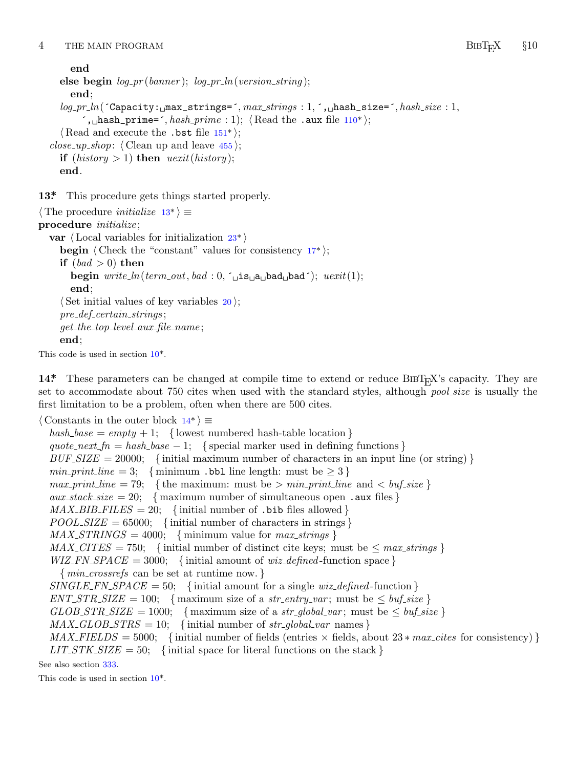<span id="page-4-0"></span>4 THE MAIN PROGRAM **BIBT<sub>E</sub>X** §10

```
end
 else begin log pr (banner ); log pr ln(version string );
    end;
  log pr ln(´Capacity:␣max_strings=´, max strings : 1, ´,␣hash_size=´, hash size : 1,
       ´,␣hash_prime=´, hash prime : 1); ⟨ Read the .aux file 110* ⟩;
  ⟨ Read and execute the .bst file 151* ⟩;
close_up_shop: \langle Clean up and leave 455\rangle;
 if (history > 1) then );end.
```
**13\*.** This procedure gets things started properly.

```
⟨ The procedure initialize 13* ⟩ ≡
procedure initialize ;
  var ⟨ Local variables for initialization 23* ⟩
    begin \langle Check the "constant" values for consistency 17<sup>*</sup>\rangle;
    if (bad > 0)then
       begin write ln(term out, bad : 0, ´␣is␣a␣bad␣bad´); uexit(1);
       end;
     ⟨ Set initial values of key variables 20 ⟩;
     pre def certain strings ;
     get the top level aux file name ;
    end;
This code is used in section 10*.
```
**14\*** These parameters can be changed at compile time to extend or reduce BIBT<sub>E</sub>X's capacity. They are set to accommodate about 750 cites when used with the standard styles, although *pool size* is usually the first limitation to be a problem, often when there are 500 cites.

*⟨* Constants in the outer block 14\* *⟩ ≡*

 $hash\_base = empty + 1;$  { lowest numbered hash-table location }  $\{quotient\_fn = hash\_base - 1; \{special marker used in defining functions\}$  $BUF\_SIZE = 20000;$  {initial maximum number of characters in an input line (or string) } *min\_print\_line* = 3; { minimum .bbl line length: must be  $\geq 3$  } *max\_print\_line* = 79; { the maximum: must be  $> min\_print\_line$  and  $< but\_size$ }  $aux\_stack\_size = 20; \{ maximum number of simultaneous open .aux files \}$  $MAX\_{BIB\_{FILES} = 20;$  {initial number of .bib files allowed }  $POOL-SIZE = 65000;$  {initial number of characters in strings }  $MAX\_STRINGS = 4000;$  {minimum value for  $max\_strings$ }  $MAX\_CITES = 750$ ; {initial number of distinct cite keys; must be  $\leq max\_strings$ } *WIZ\_FN\_SPACE* = 3000; {initial amount of *wiz\_defined* -function space } *{ min crossrefs* can be set at runtime now. *} SINGLE\_FN\_SPACE* = 50; {initial amount for a single *wiz\_defined*-function }  $ENT\_STR\_SIZE = 100;$  $ENT\_STR\_SIZE = 100;$  { maximum size of a *str\_entry\_var*; must be  $\leq \text{buf\_size}$  }  $GLOB\_STR\_SIZE = 1000;$  { maximum size of a *str\_global\_var*; must be  $\leq$  *buf\_size* }  $MAX\_GLOB\_STRS = 10;$  {initial number of *str\_global\_var* names}  $MAX$  *FIELDS* = 5000; {initial number of fields (entries  $\times$  fields, about 23 *\* max\_cites* for consistency) }  $LIT\_STK\_SIZE = 50;$  {initial space for literal functions on the stack }

See also section 333.

This code is used in section 10\*.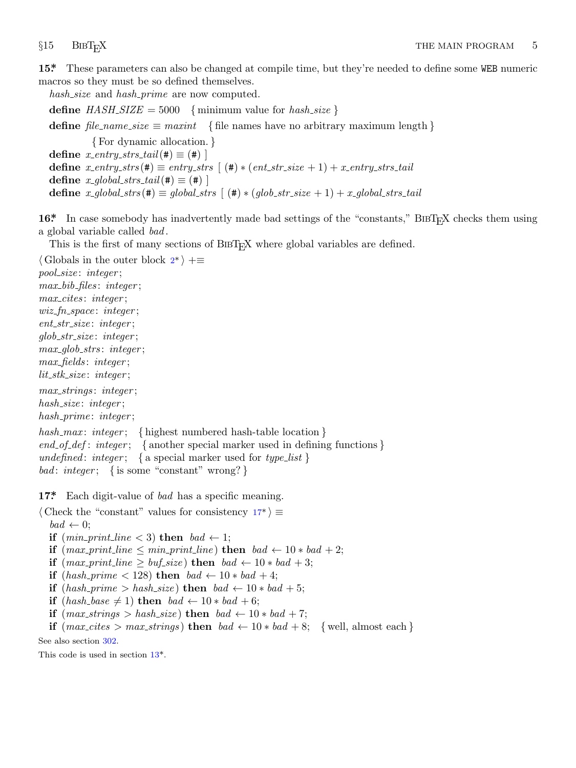<span id="page-5-0"></span>15<sup>\*</sup> These parameters can also be changed at compile time, but they're needed to define some WEB numeric macros so they must be so defined themselves.

*hash size* and *hash prime* are now computed.

**define**  $HASH\_SIZE = 5000$  {minimum value for  $hash\_size$ }

**define**  $file\_name\_size \equiv maxint \{ file \text{ names have no arbitrary maximum length } \}$ 

*{* For dynamic allocation. *}*  $\text{define } x\_entry\_strs\_tail(\text{#}) \equiv (\text{#})$  $\text{define } x\text{-}entry\text{-}strs(\texttt{\#}) \equiv entry\text{-}strs \ [\ (\texttt{\#}) * (ent\text{-}str\text{-}size + 1) + x\text{-}entry\text{-}strs\text{-}tail$ **define**  $x\_global\_strs\_tail(\#) \equiv (\#)$  $x\_global\_strs\_tail(\#) \equiv (\#)$  $x\_global\_strs\_tail(\#) \equiv (\#)$ **define**  $x$ -global-strs ( $\#$ )  $\equiv$  global-strs  $[$   $(\#) * (glob\_str\_size + 1) + x$ -global-strs-tail

**16<sup>\*</sup>** In case somebody has inadvertently made bad settings of the "constants," BIBT<sub>E</sub>X checks them using a global variable called *bad* .

This is the first of many sections of BIBT<sub>E</sub>X where global variables are defined.

*⟨* Globals in the outer block 2\* *⟩* +*≡ pool size* : *integer* ; *max bib files* : *integer* ; *max cites* : *integer* ; *wiz fn space* : *integer* ; *ent str size* : *integer* ; *glob str size* : *integer* ; *max glob strs* : *integer* ; *max fields* : *integer* ; *lit stk size* : *integer* ; *max strings* : *integer* ; *hash size* : *integer* ; *hash prime* : *integer* ; *hash max* : *integer* ; *{* highest numbered hash-table location *} end of def* : *integer* ; *{* another special marker used in defining functions *} undefined* : *integer* ; *{* a special marker used for *type list } bad* : *integer* ; *{* is some "constant" wrong? *}*

**17\*.** Each digit-value of *bad* has a specific meaning.

*⟨* Check the "constant" values for consistency 17\* *⟩ ≡*  $bad \leftarrow 0;$ 

**if**  $(min\_print\_line < 3)$  **then**  $bad \leftarrow 1$ ; **if**  $(max\_print\_line \leq min\_print\_line)$  **then**  $bad \leftarrow 10 * bad + 2$ ; **if**  $(max\_print\_line \geq buffer\_size)$  **then**  $bad \leftarrow 10 * bad + 3;$ 

**if**  $(hash\_prime < 128)$  **[t](#page-4-0)hen**  $bad \leftarrow 10 * bad + 4$ ;

**if**  $(hash\_prime > hash\_size)$  **then**  $bad \leftarrow 10 * bad + 5;$ 

**if** (*hash\_base*  $\neq$  1) **then** *bad*  $\leftarrow$  10 *∗ bad* + 6;

**if**  $(max\_strings > hash\_size)$  **then**  $bad \leftarrow 10 * bad + 7;$ 

**if**  $(max\_cites > max\_strings)$  **then**  $bad \leftarrow 10 * bad + 8$ ;  $\{well, almost each\}$ 

See also section 302.

This code is used in section 13\*.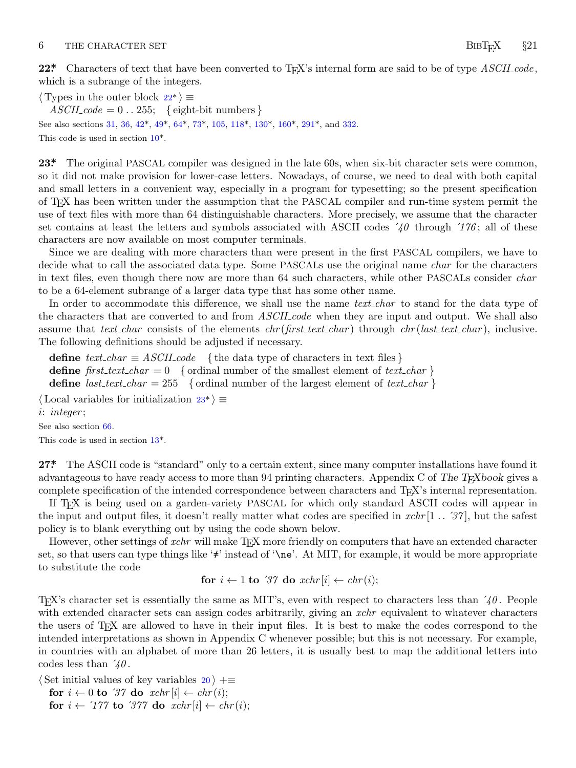### <span id="page-6-0"></span>6 THE CHARACT[ER](#page-8-0) S[ET](#page-10-0) **BIBTEX** §21

*⟨* Types in the outer block 22\* *⟩ ≡*  $ASCII\_code = 0$ ...255; {eight-bit numbers} See also sections 31, 36, 42\*, 49\*, 64\*, 73\*, 105, 118\*, 130\*, 160\*, 291\*, and 332. This code is used in section 10\*.

23<sup>\*</sup> The original PASCAL compiler was designed in the late 60s, when six-bit character sets were common, so it did not make provision for lower-case letters. Nowadays, of course, we need to deal with both capital and small letters in a convenient way, especially in a program for typesetting; so the present specification of TEX has been written under the assumption that the PASCAL compiler and run-time system permit the use of text files with more than 64 distinguishable characters. More precisely, we assume that the character set contains at least the letters and symbols associated with ASCII codes  $\angle i0$  through  $\angle i76$ ; all of these characters are now available on most computer terminals.

Since we are dealing with more characters than were present in the first PASCAL compilers, we have to decide what to call the associated data type. Some PASCALs use the original name *char* for the characters in text files, even though there now are more than 64 such characters, while other PASCALs consider *char* to be a 64-element subrange of a larger data type that has some other name.

In order to accommodate this difference, we shall use the name *text\_char* to stand for the data type of the characters that are converted to and from *ASCII code* when they are input and output. We shall also assume that *text char* consists of the elements *chr* (*first text char* ) through *chr* (*last text char* ), inclusive. The following definitions should be adjusted if necessary.

**define**  $text\_text\_char \equiv ASCII\_code$  $text\_text\_char \equiv ASCII\_code$  $text\_text\_char \equiv ASCII\_code$  { the data type of characters in text files } **define**  $first\text{-}text\text{-}char = 0$  { ordinal number of the smallest element of  $text\{}text\text{-}char$ } **define** *last\_text\_char* = 255 { ordinal number of the largest element of *text\_char* }

*⟨* Local variables for initialization 23\* *⟩ ≡*

*i*: *integer* ;

See also section 66.

This code is used in section 13\*.

**27\*** The ASCII code is "standard" only to a certain extent, since many computer installations have found it advantageous to have ready access to more than 94 printing characters. Appendix C of *The TEXbook* gives a complete specification of the intended correspondence between characters and TEX's internal representation.

If T<sub>EX</sub> is being used on a garden-variety PASCAL for which only standard ASCII codes will appear in the input and output files, it doesn't really matter what codes are specified in *xchr* [1 *. .* ´*37* ], but the safest policy is to blank everything out by using the code shown below.

However, other settings of *xchr* will make T<sub>E</sub>X more friendly on computers that have an extended character set, so that users can type things like '≠' instead of '\ne'. At MIT, for example, it would be more appropriate to substitute the code

for 
$$
i \leftarrow 1
$$
 to '37 do  $xchr[i] \leftarrow chr(i);$ 

TEX's character set is essentially the same as MIT's, even with respect to characters less than ´*40* . People with extended character sets can assign codes arbitrarily, giving an *xchr* equivalent to whatever characters the users of TEX are allowed to have in their input files. It is best to make the codes correspond to the intended interpretations as shown in Appendix C whenever possible; but this is not necessary. For example, in countries with an alphabet of more than 26 letters, it is usually best to map the additional letters into codes less than ´*40* .

*⟨* Set initial values of key variables 20 *⟩* +*≡*

**for**  $i \leftarrow 0$  **to** '37 **do**  $xchr[i] \leftarrow chr(i);$ **for**  $i \leftarrow 777$  **to**  $377$  **do**  $xchr[i] \leftarrow chr(i);$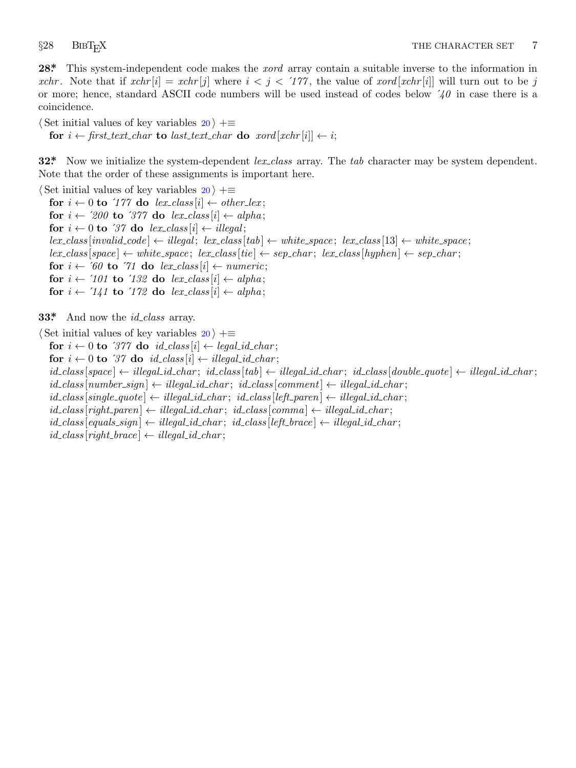<span id="page-7-0"></span>

**28\*.** This system-independent code makes the *xord* array contain a suitable inverse to the information in *xchr*. Note that if  $xchr[i] = xchr[j]$  where  $i < j < 177$ , the value of  $xord[xchr[i]]$  will turn out to be j or more; hence, standard ASCII code numbers will be used instead of codes below ´*40* in case there is a coincidence.

*⟨* Set initial values of key variables 20 *⟩* +*≡*

**for**  $i \leftarrow$  first\_text\_char **to** last\_text\_char **do**  $x \text{ord}[x \text{chr}[i]] \leftarrow i$ ;

**32\*.** Now we initialize the system-dependent *lex class* array. The *tab* character may be system dependent. Note that the order of these assignments is important here.

*⟨* Set initial values of key variables 20 *⟩* +*≡* **for**  $i \leftarrow 0$  **to**  $'177$  **do**  $lex\_class[i] \leftarrow other\_lex;$ **for**  $i \leftarrow 200$  **to** '377 **do**  $lex\_class[i] \leftarrow alpha;$ **for**  $i \leftarrow 0$  **to** '37 **do**  $lex\_class[i] \leftarrow illegal;$  $\{lex\_class\}$  [ $invalid\_code$ ]  $\leftarrow$   $\{black}$   $else]$   $\{lex\_class[tab] \leftarrow white\_space;$   $lex\_class[13] \leftarrow white\_space;$  $lex.class[space] \leftarrow white-space; lex-class[tie] \leftarrow sep\_char; lex-class[hyper] \leftarrow sep\_char;$ **for**  $i \leftarrow 60$  **to**  $\text{71}$  **do**  $\text{lex\_class}[i] \leftarrow \text{numeric};$ **for**  $i \leftarrow \textit{'101}$  **to**  $\textit{'132}$  **do**  $\textit{lex\_class}[i] \leftarrow \textit{alpha}$ ; **for**  $i \leftarrow \textit{'141}$  **to**  $\textit{'172}$  **do**  $\textit{lex\_class}[i] \leftarrow \textit{alpha}$ ;

**33\*.** And now the *id class* array.

*⟨* Set initial values of key variables 20 *⟩* +*≡* **for**  $i \leftarrow 0$  **to** '377' **do**  $id\_class[i] \leftarrow legal\_id\_char;$ **for**  $i \leftarrow 0$  **to**  $\mathcal{I}7$  **do**  $id\_class[i] \leftarrow illegal\_id\_char;$  $id\_class|space \$   $\leftarrow$  illegal\_id\_char;  $id\_class[tab] \leftarrow illegal\_id\_char; id\_class[double\_quote] \leftarrow illegal\_id\_char;$  $id\_class[number\_sign] \leftarrow illegal\_id\_char; \; id\_class[comment] \leftarrow illegal\_id\_char;$  $id\_class[single\_quote] \leftarrow illegal\_id\_char; \; id\_class[left\_parent] \leftarrow illegal\_id\_char;$  $id\_class[right\_parent] \leftarrow illegal_id\_char; \; id\_class[comm] \leftarrow illegal_id\_char;$  $id\_class$  [ $equals\_sign$ ]  $\leftarrow$   $illegal\_id\_char$ ;  $id\_class$  [ $left\_brace$ ]  $\leftarrow$   $illegal\_id\_char$ ;  $id\_class[right\_brace \leftarrow illegal_id\_char;$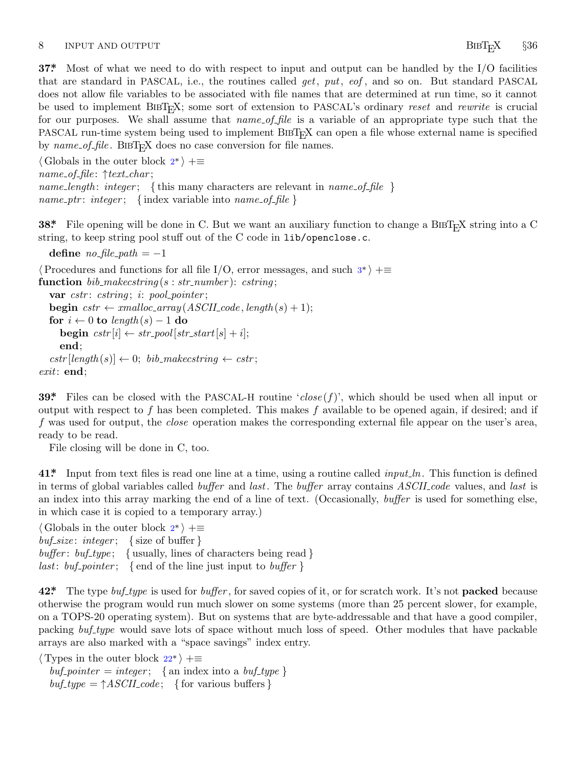### <span id="page-8-0"></span>8 INPUT AND OUTPUT **BIBTEX** §36

**37\*** Most of what we need to do with respect to input and output can be handled by the I/O facilities that are standard in PASC[AL](#page-1-0), i.e., the routines called *get*, *put*, *eof* , and so on. But standard PASCAL does not allow file variables to be associated with file names that are determined at run time, so it cannot be used to implement BibTEX; some sort of extension to PASCAL's ordinary *reset* and *rewrite* is crucial for our purposes. We shall assume that *name of file* is a variable of an appropriate type such that the PASCAL run-time system being used to implement BIBT<sub>EX</sub> can open a file whose external name is specified by  $name\_of\_file$ . BIBT<sub>E</sub>X does no case conversion for file names.

*⟨* Globals in the outer block 2\* *⟩* +*≡ name of file* : *↑text char* ; *name length* : *integer* ; *{* this many characters are relevant in *name [o](#page-2-0)f file } name ptr* : *integer* ; *{* index variable into *name of file }*

**38\*** File opening will be done in C. But we want an auxiliary function to change a BIBT<sub>E</sub>X string into a C string, to keep string pool stuff out of the C code in lib/openclose.c.

**define**  $no\_file\_path = -1$ 

*⟨*Procedures and functions for all file I/O, error messages, and such 3\* *⟩* +*≡* **function** *bib makecstring* (*s* : *str number* ): *cstring* ; **var** *cstr* : *cstring* ; *i*: *pool pointer* ; **begin**  $cstr \leftarrow \text{smalloc\_array}(ASCII\_code, \text{length}(s) + 1);$ **for**  $i \leftarrow 0$  **to**  $\text{length}(s) - 1$  **do begin**  $cstr[i] \leftarrow str\_pool[str\_start[s] + i];$ **end**;  $cstr[length(s)] \leftarrow 0; \; bib\_makesstring \leftarrow cstr;$ *exit*: **end**;

**39\*.** Files can be closed with the PASCAL-H routine '*close* (*f*)', which should be used when all input or output with respect to *f* has been completed. This makes *f* available to be opened again, if desired; and if *f* was used for output, the *close* operation makes the corresponding external file appear on the user's area, ready to be read.

File closing will be done i[n](#page-1-0) C, too.

**41\*.** Input from text files is read one line at a time, using a routine called *input ln*. This function is defined in terms of global variables called *buffer* and *last*. The *buffer* array contains *ASCII code* values, and *last* is an index into this array marking the end of a line of text. (Occasionally, *buffer* is used for something else, in which case it is copied to a temporary array.)

*⟨* Globals in the outer block 2\* *⟩* +*≡ buf size* : *integer* ; *{* size of buffer *} buffer* : *buf type* ; *{* usually, lines of characters being read *} last*: *buf pointer* ; *{* end of the line just input to *buffer }*

**42\*.** The type *buf type* is [use](#page-6-0)d for *buffer* , for saved copies of it, or for scratch work. It's not **packed** because otherwise the program would run much slower on some systems (more than 25 percent slower, for example, on a TOPS-20 operating system). But on systems that are byte-addressable and that have a good compiler, packing *buf type* would save lots of space without much loss of speed. Other modules that have packable arrays are also marked with a "space savings" index entry.

*⟨* Types in the outer block 22\* *⟩* +*≡*  $buf\text{-}pointer = integer; \{ \text{an index into a } but\text{-}type \}$  $buf_type = \uparrow ASCII\_code; \{$  for various buffers  $\}$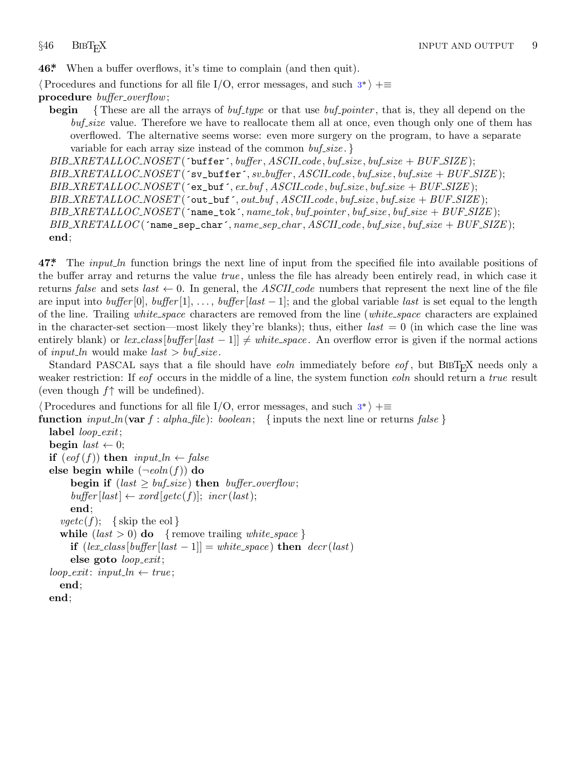<span id="page-9-0"></span>**46\*.** When a buffer overflows, it's time to complain (and then quit).

*⟨*Procedures and functions for all file I/O, error messages, and such 3\* *⟩* +*≡* **procedure** *buffer overflow*;

**begin** *{* These are all the arrays of *buf type* or that use *buf pointer* , that is, they all depend on the *buf size* value. Therefore we have to reallocate them all at once, even though only one of them has overflowed. The alternative seems worse: even more surgery on the program, to have a separate variable for each array size instead of the common *buf size* . *}*

*BIB XRETALLOC NOSET* (´buffer´*, buffer , ASCII code , buf size , buf size* + *BUF SIZE* ); *BIB XRETALLOC NOSET* (´sv\_buffer´*, sv buffer , ASCII code , buf size , buf size* + *BUF SIZE* ); *BIB XRETALLOC NOSET* (´ex\_buf´*, ex buf , ASCII code , buf size , buf size* + *BUF SIZE* ); *BIB XRETALLOC NOSET* (´out\_buf´*, out buf , ASCII code , buf size , buf size* + *BUF SIZE* ); *BIB XRETALLOC NOSET* (´name\_tok´*, name tok , buf pointer , buf size , buf size* + *BUF SIZE* ); *BIB XRETALLOC* (´name\_sep\_char´*, name sep char , ASCII code , buf size , buf size* + *BUF SIZE* ); **end**;

**47\*.** The *input ln* function brings the next line of input from the specified file into available positions of the buffer array and returns the value *true* , unless the file has already been entirely read, in which case it returns *false* and sets *last*  $\leftarrow$  0. In general, the *ASCII code* numbers that represent the next line of the file are input into *buffer* [0], *buffer* [1], *. . .* , *buffer* [*last −* 1]; and the global variable *last* is set equal to the length of the line. Trailing *white space* characters are removed from the line (*white space* characters are explained in the charact[er](#page-2-0)-set section—most likely they're blanks); thus, either  $last = 0$  (in which case the line was entirely blank) or  $lex\text{-}class\left[\text{buffer}\left[\text{last} - 1\right]\right] \ne \text{white}\text{-}space$ . An overflow error is given if the normal actions of *input\_ln* would make  $last > but\_size$ .

Standard PASCAL says that a file should have *eoln* immediately before *eof*, but BIBT<sub>E</sub>X needs only a weaker restriction: If *eof* occurs in the middle of a line, the system function *eoln* should return a *true* result (even though *f↑* will be undefined).

*⟨*Procedures and functions for all file I/O, error messages, and such 3\* *⟩* +*≡*

```
function input\_ln(\text{var } f : alpha\_file): boolean; {inputs the next line or returns false }
```

```
label loop exit;
begin last \leftarrow 0;
if (eof(f)) then input\_ln \leftarrow falseelse begin while (\neg \text{e}_0 \ln(f)) do
      begin if (last > but\_size) then buffer_overflow;
      buffer[last] \leftarrow xord[getc(f)]; incr(last);end;
   vgetc(f); {skip the eol }
   while (last > 0) do {remove trailing white_space }
      if \left( \text{lex-class} \left[ \text{buffer} \left[ \text{last} - 1 \right] \right] = \text{white\_space} \right) then \text{decr}(\text{last})else goto loop exit;
loop\_exit: input\_ln \leftarrow true;end;
end;
```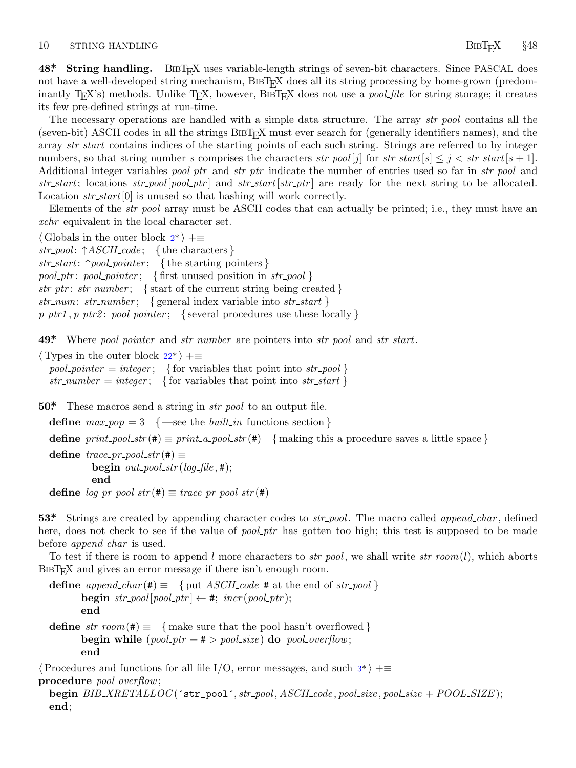# <span id="page-10-0"></span>10 STRING HANDLING **BIBT**<sub>E</sub>X §48

**48\*** String handling. BIBT<sub>E</sub>X uses variable-length strings of seven-bit characters. Since PASCAL does not have a well-developed string mechanism, BIBT<sub>E</sub>X does all its string processing by home-grown (predominantly T<sub>E</sub>X's) methods. Unlike T<sub>E</sub>X, however, BIBT<sub>E</sub>X does not use a *pool file* for string storage; it creates its few pre-defined strings at run-time.

The necessary operations are handled with a simple data structure. The array *str pool* contains all the (seven-bit) ASCII codes in all the strings BIBT<sub>E</sub>X must ever search for (generally identifiers names), and the array *str start* contains indices of the starting points of each such string. Strings are referred to by integer nu[mb](#page-1-0)ers, so that string number *s* comprises the characters  $str\_pool[j]$  for  $str\_start[s] \leq j < str\_start[s+1]$ . Additional integer variables *pool ptr* and *str ptr* indicate the number of entries used so far in *str pool* and *str start*; locations *str pool* [*pool ptr* ] and *str start*[*str ptr* ] are ready for the next string to be allocated. Location  $str\_start[0]$  is unused so that hashing will work correctly.

Elements of the *str pool* array must be ASCII codes that can actually be printed; i.e., they must have an *xchr* equivalent in the local character set.

*⟨* Globals in the outer block 2\* *⟩* +*≡*

*str pool* : *↑ASCII code* ; *{* the characters *} str start*: *↑pool pointer* ; *{* the starting pointers *} pool ptr* : *pool pointer* ; *{* [firs](#page-6-0)t unused position in *str pool } str ptr* : *str number* ; *{* start of the current string being created *} str num*: *str number* ; *{* general index variable into *str start }*  $p{\text{-}ptr1}, p{\text{-}ptr2}$ :  $p{\text{-}o}inter$ ; { several procedures use these locally }

**49\*.** Where *pool pointer* and *str number* are pointers into *str pool* and *str start*.

*⟨* Types in the outer block 22\* *⟩* +*≡*

 $pool\_pointer = integer;$  { for variables that point into *str\_pool* }  $str_number = integer$ ; { for variables that point into *str\_start* }

**50\*.** These macros send a string in *str pool* to an output file.

**define**  $max\_pop = 3$  {—see the *built\_in* functions section }

**define**  $print\_pool\_str(\#) \equiv print\_a\_pool\_str(\#)$  { making this a procedure saves a little space }

 $\text{define } trace\_pr\_pool\_str(\texttt{\#}) \equiv$  $\begin{bmatrix} \text{begin } out\_pool\_str(\text{log\_file},\texttt{\#}); \end{bmatrix}$ **end**

 $\text{define } log\_pr\_pool\_str(\textbf{#}) \equiv trace\_pr\_pool\_str(\textbf{#})$ 

**53\*.** Strings are created by appending character codes to *str pool* . The macro called *append char* , defined here, does not check to see if the value of *pool\_ptr* has gotten too high; this test is supposed to be made before *append char* is used.

To test if there is room to append *l* more characters to *str pool* , we shall write *str room*(*l*), which aborts BIBT<sub>E</sub>X and gives an error message if there isn't enough room.

**define**  $append\_char$  (#)  $\equiv$  { put *ASCII*  $code$  # at the end of *str\_[po](#page-2-0)ol* } **begin**  $str\_pool[pool\_ptr] \leftarrow #; incr(pool\_ptr);$ **end define**  $str\_room(\#) \equiv \{ \text{make sure that the pool hasn't overflowed} \}$ **begin while**  $(pool\_ptr + # > pool\_size)$  **do**  $pool\_overflow$ ; **end** *⟨*Procedures and functions for all file I/O, error messages, and such 3\* *⟩* +*≡* **procedure** *pool overflow*;

**begin** *BIB XRETALLOC* (´str\_pool´*, str pool , ASCII code , pool size , pool size* + *POOL SIZE* ); **end**;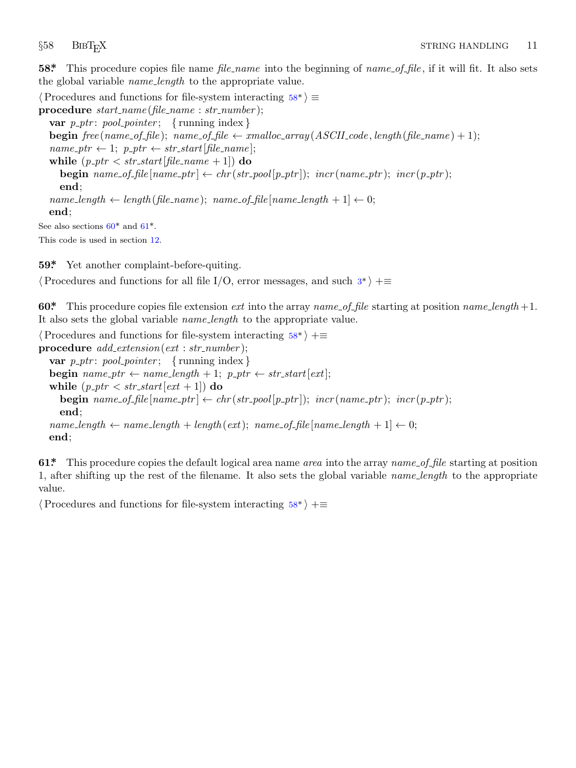<span id="page-11-0"></span>**58\*.** This procedure copies file name *file name* into the beginning of *name of file* , if it will fit. It also sets the global variable *name length* to the appropriate value.

*⟨*Procedures and functions for file-system interacting 58\* *⟩ ≡* **procedure** *start name* (*file name* : *str number* ); **var**  $p\_ptr$ :  $pool\_pointer$ ; {running index} **begin**  $free(name_of_file)$ ;  $name_of_file \leftarrow smalloc_array(ASCILocal, label, length(file_name) + 1)$ ;  $name\_ptr \leftarrow 1; p\_ptr \leftarrow str\_start[file\_name];$ **while**  $(p\_ptr < str\_start[file\_name + 1])$  **do begin**  $name\_of\_file(name\_ptr] \leftarrow chr(str\_pool[p\_ptr]);$   $incr(name\_ptr);$   $incr(p\_ptr);$ **end**;  $name_length \leftarrow length(file_name); name_of_file(name.length + 1] \leftarrow 0;$ **end**; See also sections  $60^*$  and  $61^*$ . This code is used in section 12.

**59\*.** Yet another complaint-before-quiting.

*⟨*Procedures and functions for all file I/O, error messages, and such 3\* *⟩* +*≡*

**60\*.** This procedure copies file extension *ext* into the array *name of file* starting at position *name length* +1. It also sets the global variable *name length* to the appropriate value.

```
⟨Procedures and functions for file-system interacting 58* ⟩ +≡
procedure add extension(ext : str number );
  var p\_ptr: pool\_pointer; {running index}
  begin name\_ptr \leftarrow name\_length + 1; p\_ptr \leftarrow str\_start[ext];
  while (p\_ptr < str\_start[ext + 1]) do
    begin name\_of\_file(name\_ptr] \leftarrow chr(str\_pool[p\_ptr]); incr(name\_ptr); incr(p\_ptr);end;
  name_length \leftarrow name.length + length(ext); name_of_file[name_length + 1] \leftarrow 0;end;
```
**61\*.** This procedure copies the default logical area name *area* into the array *name of file* starting at position 1, after shifting up the rest of the filename. It also sets the global variable *name length* to the appropriate value.

*⟨*Procedures and functions for file-system interacting 58\* *⟩* +*≡*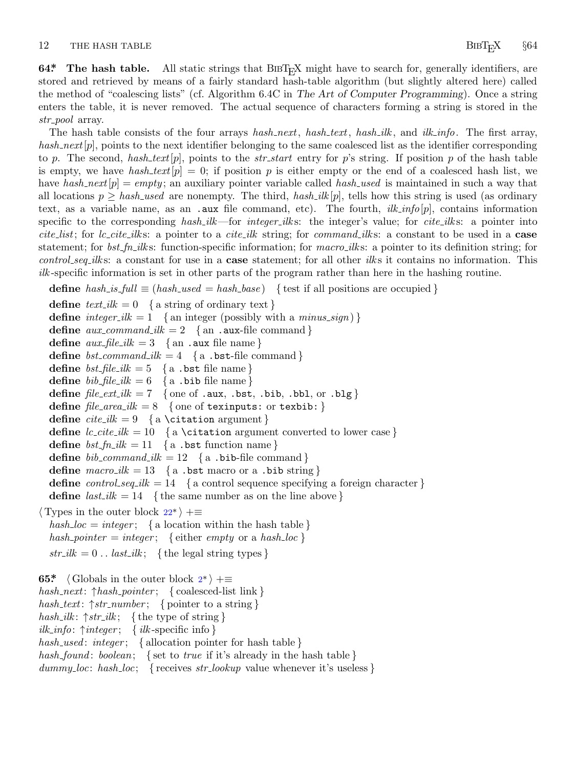# <span id="page-12-0"></span>12 THE HASH TABLE **BIBT<sub>E</sub>X** §64

**64\*** The hash table. All static strings that BIBT<sub>E</sub>X might have to search for, generally identifiers, are stored and retrieved by means of a fairly standard hash-table algorithm (but slightly altered here) called the method of "coalescing lists" (cf. Algorithm 6.4C in *The Art of Computer Programming*). Once a string enters the table, it is never removed. The actual sequence of characters forming a string is stored in the *str pool* array.

The hash table consists of the four arrays *hash next*, *hash text*, *hash ilk* , and *ilk info*. The first array, *hash next*[*p*], points to the next identifier belonging to the same coalesced list as the identifier corresponding to *p*. The second, *hash text*[*p*], points to the *str start* entry for *p*'s string. If position *p* of the hash table is empty, we have *hash\_text* $[p] = 0$ ; if position p is either empty or the end of a coalesced hash list, we have *hash next*[*p*] = *empty* ; an auxiliary pointer variable called *hash used* is maintained in such a way that all locations  $p \geq hash\_used$  are nonempty. The third,  $hash\_ilk[p]$ , tells how this string is used (as ordinary text, as a variable name, as an .aux file command, etc). The fourth, *ilk info*[*p*], contains information specific to the corresponding *hash ilk*—for *integer ilk* s: the integer's value; for *cite ilk* s: a pointer into *cite list*; for *lc cite ilk* s: a pointer to a *cite ilk* string; for *command ilk* s: a constant to be used in a **case** statement; for *bst\_fn\_ilk*s: function-specific information; for *macro\_ilks*: a pointer to its definition string; for *control seq ilk* s: a constant for use in a **case** statement; for all other *ilk* s it contains no information. This *ilk* -specific information is set in other parts of the program rather than here in the hashing routine.

**define** *hash\_is\_full*  $\equiv$  (*hash\_used* = *hash\_base*) { test if all positions are occupied }

**define**  $text\_text\_ilk = 0$  { a string of ordinary text } **define**  $integer\_ilk = 1$  {an integer (possibly with a *minus\_sign*)} **define**  $aux\_command\_ilk = 2 \ \{an .aux\text{-file command}\}\$ **define**  $aux_{\text{th}} = 3 \quad \{ \text{an } \cdot \text{aux file name} \}$ **define**  $bst_{\text{1}} \text{ command_{\text{2}} \text{ } ik} = 4 \{ \text{ a } \text{ .} \text{ bst-file command} \}$ **define**  $bst$   $\text{file}$   $\text{ilk}$  = 5 { a .bst file name} **define**  $bib$ <sup>*file\_ilk* = 6 { a .bib file name}</sup> **define**  $file\_ext\_ilk = 7$  { one of .aux, .bst, .bib, .bbl, or .blg }  $define$   $file\_area\_ilk = 8$  { one of texinputs: or texbib: } **define**  $\text{citei}k = 9$  { a \citation argument } **define**  $lc\_cite\_ilk = 10$  [{](#page-6-0) a \citation argument converted to lower case } **define**  $bst\_fn\_ilk = 11 \{a \text{ .bst function name}\}$ **define**  $bib_{\text{command}}{ik} = 12 \quad \{a \text{ .bib-file command}\}$ **define**  $\text{macro\_ilk} = 13 \{ \text{a } . \text{bst macro or a } . \text{bib string} \}$ **define**  $control\_seq\_ilk = 14$  { a control sequence specifying a foreign character } **d[e](#page-1-0)fine**  $last\_ilk = 14$  {the same number as on the line above } *⟨* Types in the outer block 22\* *⟩* +*≡*  $hash\_loc = integer; \{$ a location within the hash table  $\}$  $hash\_pointer = integer;$  { either *empty* or a *hash*  $loc$  }  $str\_ilk = 0$ .. *last\_ilk*; { the legal string types } **65\***  $\langle$  Globals in the outer block  $2^*$   $\rangle$  += *hash next*: *↑hash pointer* ; *{* coalesced-list link *} hash text*: *↑str number* ; *{* pointer to a string *} hash ilk* : *↑str ilk* ; *{* the type of string *} ilk info*: *↑integer* ; *{ ilk* -specific info *} hash used* : *integer* ; *{* allocation pointer for hash table *} hash found* : *boolean*; *{* set to *true* if it's already in the hash table *} dummy loc*: *hash loc*; *{* receives *str lookup* value whenever it's useless *}*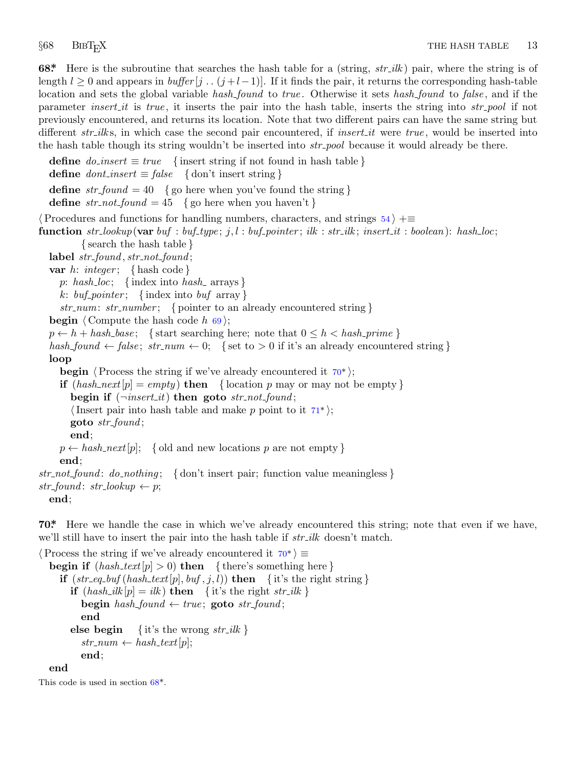<span id="page-13-0"></span>

**68\*.** Here is the subroutine that searches the hash table for a (string, *str ilk* ) pair, where the string is of length  $l \geq 0$  and appears in *buffer* [*j* . .  $(j+l-1)$ ]. If it finds the pair, it returns the corresponding hash-table location and sets the global variable *hash found* to *true* . Otherwise it sets *hash found* to *false* , and if the parameter *insert it* is *true* , it inserts the pair into the hash table, inserts the string into *str pool* if not previously encountered, and returns its location. Note that two different pairs can have the same string but different *str*<sub>-ilks</sub>, in which case the second pair encountered, if *insert<sub>-il</sub>* were *true*, would be inserted into the hash table though its string wouldn't be inserted into *str pool* because it would already be there.

**define**  $do\_insert \equiv true$  {insert string if not found in hash table } **define**  $\text{dont\_insert} \equiv \text{false}$  {\don't insert string} **define**  $str\_found = 40$  {go here when you've found the string } **define**  $str\_not\_found = 45$  {go here when you haven't } *⟨*Procedures and functions for handling numbers, characters, and strings 54 *⟩* +*≡* **function** str\_lookup(**var** buf : buf\_type; j, l : buf\_pointer; ilk : str\_ilk; insert\_it : boolean): hash\_loc; *{* search the hash table *}* **label** *str found , str not found* ; **var** *h*: *integer* ; *{* hash code *} p*: *hash loc*; *{* index into *hash* arrays *} k*: *buf pointer* ; *{* index into *buf* array *} str num*: *str number* ; *{* pointer to an already encountered string *}* **begin**  $\langle$  Compute the hash code  $h$  69 $\rangle$ ;  $p \leftarrow h + hash\_base$ ; {start searching here; note that  $0 \leq h < hash\_prime$  }  $hash\_found \leftarrow false; str_number \leftarrow 0; \{ set \space to \space > 0 \space \text{if} \space \text{it'}s \space an \space already \space encountered \space string } \}$ **loop begin**  $\langle$  Process the string if we've already encountered it  $70^*$ ; **if**  $(hash.next|p| = empty)$  **then** { location *p* may or may not be empty } **begin if** (*¬insert it*) **then goto** *str not found* ; *⟨*Insert pair into hash table and make *p* point to it 71\* *⟩*; **goto** *str found* ; **end**;  $p \leftarrow hash\_next[p]$ ; { old and new locations *p* are not empty } **end**; *str not found* : *do nothing* ; *{* don't insert pair; function value meaningless *}*  $str\_found: str\_lookup \leftarrow p;$ **end**;

**70\*.** Here we handle the case in which we've already encountered this string; note that even if we have, we'll still have to insert the pair into the hash table if *str ilk* doesn't match.

*⟨*Process the string if we've already encountered it 70\* *⟩ ≡* **begin if**  $(hash\_text[p] > 0)$  **then** {there's something here} **if**  $(str\_eq\_buf(hash\_text[p],buf,j,l))$  **then**  $\{ it's the right string \}$ **if**  $(hash\_ilk[p] = ilk)$  **then**  $\{$  it's the right *str\_ilk*  $\}$  $\mathbf{begin} \mathbf{b} \neq \mathbf{b} \neq \mathbf{c} \neq \mathbf{c} \neq \mathbf{c} \neq \mathbf{c} \neq \mathbf{c} \neq \mathbf{c} \neq \mathbf{c} \neq \mathbf{c} \neq \mathbf{c} \neq \mathbf{c} \neq \mathbf{c} \neq \mathbf{c} \neq \mathbf{c} \neq \mathbf{c} \neq \mathbf{c} \neq \mathbf{c} \neq \mathbf{c} \neq \mathbf{c} \neq \mathbf{c} \neq \mathbf{c} \neq \mathbf{c} \neq \mathbf{c} \$ **end else begin** {it's the wrong  $str\_ilk$ }  $str\_num \leftarrow hash\_text[p];$ **end**; **end**

This code is used in section 68\*.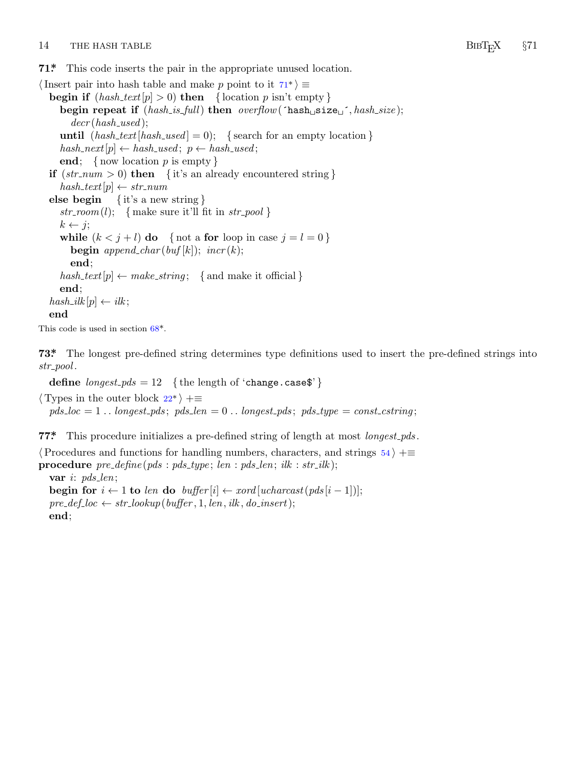### <span id="page-14-0"></span>14 THE HASH TABLE *§71 §71*

**71\*.** This code inserts the pair in the appropriate unused location.

*⟨*Insert pair into hash table and make *p* point to it 71\* *⟩ ≡* **begin if**  $(hash\_text[p] > 0)$  **then**  $\{ \text{location } p \text{ isn't empty} \}$ **begin repeat if** (*hash is full*) **then** *overflow*(´hash␣size␣´*, hash size* ); *decr* (*hash used* ); **until**  $(hash\_text[hash\_used] = 0);$  {search for an empty location }  $hash{\text -}next[p] \leftarrow hash{\text -}used; p \leftarrow hash{\text -}used;$ **end**; *{* now location *p* is empty *}* **if**  $(str_{num} > 0)$  **then** {it's an already encountered string }  $hash\_text[p] \leftarrow str\_num$ **else begin** *{* it's a new string *}*  $str\_room(l);$  { make sure it'll fit in  $str\_pool$ }  $k \leftarrow i$ ; **while**  $(k < j + l)$  **do** { not a **for** loop in case  $j = l = 0$  } **begin**  $append\_char(buf[k])$  $append\_char(buf[k])$  $append\_char(buf[k])$ ;  $incr(k)$ ; **end**;  $hash\_text[p] \leftarrow make\_string; \{ and make it official \}$ **end**;  $hash\_ilk[p] \leftarrow ilk;$ **end**

This code is used in section 68[\\*.](#page-6-0)

**73\*.** The longest pre-defined string determines type definitions used to insert the pre-defined strings into *str pool* .

**define**  $\text{longest\_pds} = 12$  {the length of 'change.case\$'}

*⟨* Types in the outer block 22\* *⟩* +*≡*

 $pds\_loc = 1$ ...  $longest\_pds$ ;  $pds\_len = 0$ ...  $longest\_pds$ ;  $pds\_type = const\_cstring$ ;

**77\*.** This procedure initializes a pre-defined string of length at most *longest pds* .

*⟨*Procedures and functions for handling numbers, characters, and strings 54 *⟩* +*≡* **procedure** *pre define* (*pds* : *pds type* ; *len* : *pds len*; *ilk* : *str ilk* ); **var** *i*: *pds len*; **begin for**  $i \leftarrow 1$  **to** len **do**  $buffer[i] \leftarrow xord[ucharcast(pds[i-1])];$  $pre\_def\_loc \leftarrow str\_lookup(buffer, 1, len, ilk, do_inset);$ 

**end**;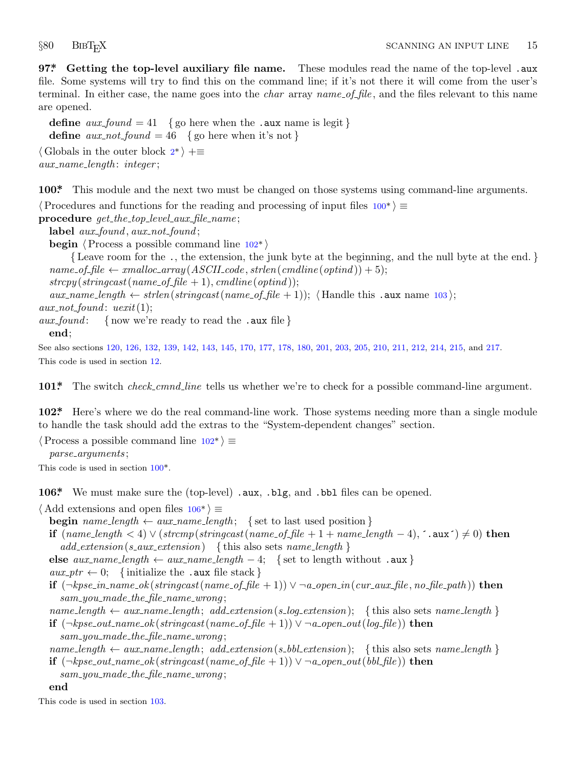<span id="page-15-0"></span>

**97\*. Getting the top-level auxiliary file name.** These modules read the name of the top-level .aux file. Some systems will try [to](#page-1-0) find this on the command line; if it's not there it will come from the user's terminal. In either case, the name goes into the *char* array *name of file* , and the files relevant to this name are opened.

**define**  $aux\_found = 41$  { go here when the .aux name is legit } **define**  $aux\_not\_found = 46$  { go here when it's not } *⟨* Globals in the outer block 2\* *⟩* +*≡ aux name length* : *integer* ;

**100\*.** This module and the next two must be changed on those systems using command-line arguments.

*⟨*Procedures and functions for the reading and processing of input files 100\* *⟩ ≡*

**procedure** *get the top level aux file name* ;

**label** *aux found , aux not found* ;

**begin** *⟨*Process a possible command line 102\* *⟩*

*{* Leave room for the ., the extension, the junk byte at the beginning, and the null byte at the end. *}*  $name\_of\_file \leftarrow smalloc\_array(ASCII\_code, strlen(cmdline(optind)) + 5);$ 

 $strcpy(stringcast(name_of_file + 1), cmdline(optind));$ 

 $aux\_name\_length \leftarrow strlen(stringcast(name_of_file + 1)$ ;  $\langle$  Handle this .aux name 103  $\rangle$ ;

 $aux\_not\_found: \, \, \textit{uexit}(1);$ 

*aux found* : *{* now we're ready to read the .aux file *}* **end**;

See also sections 120, 126, 132, 139, 142, 143, 145, 170, 177, 178, 180, 201, 203, 205, 210, 211, 212, 214, 215, and 217. This code is used in section 12.

**101\*.** The switch *check cmnd line* tells us whether we're to check for a possible command-line argument.

**102\*.** Here's where we do the real command-line work. Those systems needing more than a single module to handle the task should add the extras to the "System-dependent changes" section.

*⟨*Process a possible command line 102\* *⟩ ≡ parse arguments* ;

This code is used in section 100\*.

**106\*.** We must make sure the (top-level) .aux, .blg, and .bbl files can be opened.

*⟨* Add extensions and open files 106\* *⟩ ≡*

**begin**  $name_length \leftarrow aux_name_length;$  { set to last used position }

**if** (*name length <* 4) *∨* (*strcmp*(*stringcast*(*name of file* + 1 + *name length −* 4)*,* ´.aux´) *̸*= 0) **then** *add extension*(*s aux extension*) *{* this also sets *name length }*

**else**  $aux_name_length ← aux_name_length − 4;$  {set to length without .aux }

 $aux\_ptr \leftarrow 0;$  {initialize the .aux file stack }

**if**  $(\neg k p s e_{\textit{in}} \neg \textit{name\_ok}(string cast(name_of_{\textit{file}} + 1)) \lor \neg \textit{a}_{\textit{open\_in}}(cur_{\textit{aux\_file}}, no_{\textit{file\_path}}))$  then *sam you made the file name wrong* ;

 $name_length \leftarrow aux_name_length; add\_extension(s.log\_extension);$  {this also sets *name length*}

**if**  $(\neg k p s e_{out} \neg k p s e_{out} \neg k p s e_{out} \neg k p s e_{out} \neg k p s e_{out} \neg k p s e_{out} \neg k p s e_{out} \neg k p s e_{out} \neg k p s e_{out} \neg k p s e_{out} \neg k p s e_{out} \neg k p s e_{out} \neg k p s e_{out} \neg k p s e_{out} \neg k p s e_{out} \neg k p s e_{out} \neg k p s e_{out} \neg k p s e_{out} \neg k p s e_{out} \neg k p s e_{out} \neg k p s e_{out} \neg k p s e_{out} \neg k p s e_{out} \neg k p s e_{$ *sam you made the file name wrong* ;

 $name_length \leftarrow aux_name.length; addextension(s_bbl\_extension);$  {this also sets  $name_length$ } **if**  $(\neg k p s e_{out} \infty k(\text{stringcast}(name_of_file + 1)) \vee \neg a_{open} \infty ( (bbl_file))$  **then** 

*sam you made the file name wrong* ;

### **end**

This code is used in section 103.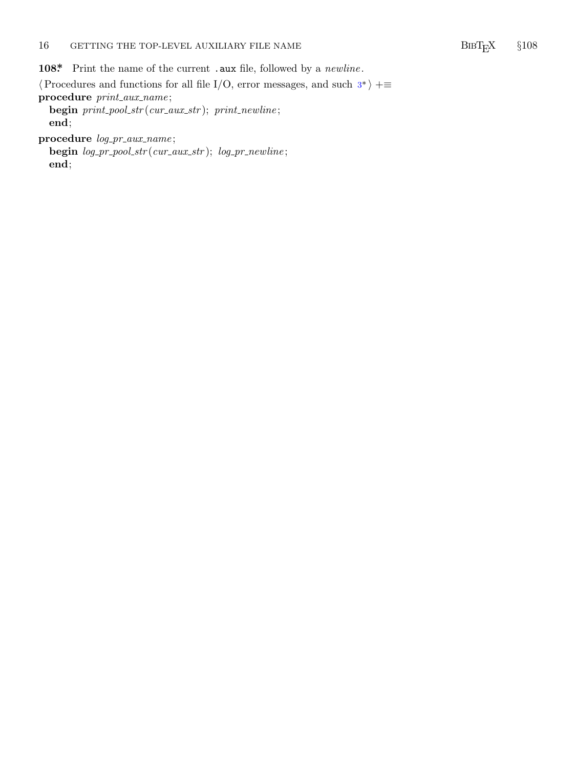## <span id="page-16-0"></span>16 GETTING THE TOP-LEVEL AUXILIARY FILE NAME BIBT<sub>F</sub>X  $§108$

**108\*.** Print the name of the current .aux file, followed by a *newline* .

*⟨*Procedures and functions for all file I/O, error messages, and such 3\* *⟩* +*≡* **procedure** *print aux name* ;

**begin** *print pool str* (*cur aux str* ); *print newline* ; **end**;

**procedure** *log pr aux name* ;

**begin** *log pr pool str* (*cur aux str* ); *log pr newline* ; **end**;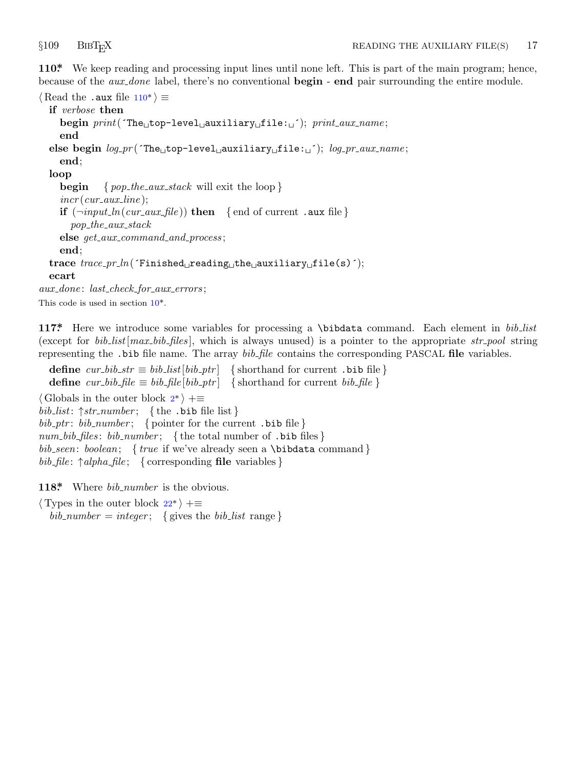<span id="page-17-0"></span>

**110\*.** We keep reading and processing input lines until none left. This is part of the main program; hence, because of the *aux done* label, there's no conventional **begin** - **end** pair surrounding the entire module.

```
⟨ Read the .aux file 110* ⟩ ≡
  if verbose then
    begin print(´The␣top−level␣auxiliary␣file:␣´); print aux name ;
    end
  else begin log pr (´The␣top−level␣auxiliary␣file:␣´); log pr aux name ;
    end;
  loop
    begin { pop the aux stack will exit the loop }
    incr (cur aux line );
    if (\neg input\_ln(cur\_aux\_file)) then \{ end of current .aux file \}pop the aux stack
    else get aux command and process ;
    end;
  trace trace pr ln(´Finished␣reading␣the␣auxiliary␣file(s)´);
  ecart
aux done : last check for aux errors ;
This code is used in section 10^*.
```
**117\*.** Here we introduce s[om](#page-1-0)e variables for processing a \bibdata command. Each element in *bib list* (except for *bib list*[*max bib files* ], which is always unused) is a pointer to the appropriate *str pool* string representing the .bib file name. The array *bib file* contains the corresponding PASCAL **file** variables.

**define**  $cur\_bib\_str \equiv bib\_list[bib\_ptr]$  {shorthand for current .bib file } **define**  $cur\_bib$   $file \equiv bib$   $file[bib$   $ptr]$  {shorthand for current  $bib$   $file$ } *⟨* Globals in the outer block 2\* *⟩* +*≡ bib list*: *↑str number* ; *{* the .bib file list *}*  $bib$ <sub>-p</sub>tr:  $bib$ <sub>-number</sub>; { po[int](#page-6-0)er for the current .bib file } *num bib files* : *bib number* ; *{* the total number of .bib files *} bib seen*: *boolean*; *{ true* if we've already seen a \bibdata command *} bib file* : *↑alpha file* ; *{* corresponding **file** variables *}*

**118\*.** Where *bib number* is the obvious.

*⟨* Types in the outer block 22\* *⟩* +*≡*

 $bib_number = integer;$  { gives the *bib\_list* range }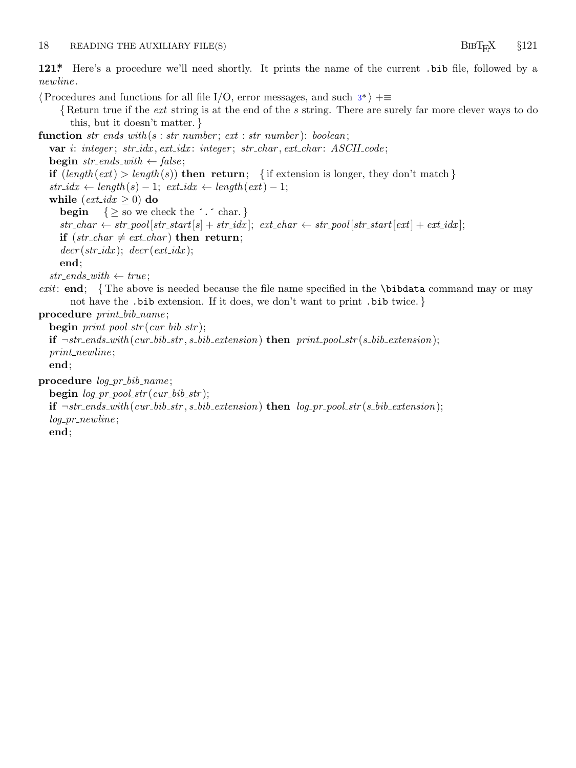### <span id="page-18-0"></span>18 READING THE AUXILIARY FILE(S) BIBT<sub>E</sub>X  $§121$

**121\*.** Here's a procedure we'll need shortly. It prints the name of the current .bib file, followed by a *newline* .

*⟨*Procedures and functions for all file I/O, error messages, and such 3\* *⟩* +*≡ {* Return true if the *ext* string is at the end of the *s* string. There are surely far more clever ways to do this, but it doesn't matter. *}* **function** *str ends with* (*s* : *str number* ; *ext* : *str number* ): *boolean*; **var** *i*: *integer* ; *str idx , ext idx* : *integer* ; *str char , ext char* : *ASCII code* ; **begin**  $str\_ends\_with \leftarrow false;$ **if**  $(length(ext) > length(s))$  **then return**; {if extension is longer, they don't match }  $str\_idx \leftarrow length(s) - 1; \ ext\_idx \leftarrow length(ext) - 1;$ **while**  $(\text{ext\_idx} \geq 0)$  **do begin**  $\{ \geq$  so we check the  $\therefore$  char. *}*  $str\_char \leftarrow str\_pool[str\_start[s] + str\_idx];$   $ext\_char \leftarrow str\_pool[str\_start[ext] + ext\_idx];$ **if**  $(str\_char \neq ext\_char)$  **then return**;  $decr(str\_idx);$   $decr(ext\_idx);$ **end**;  $str\_ends\_with \leftarrow true;$ *exit*: **end**; *{* The above is needed because the file name specified in the \bibdata command may or may not have the .bib extension. If it does, we don't want to print .bib twice. *}* **procedure** *print bib name* ; **begin** *print pool str* (*cur bib str* ); **if** *¬str ends with* (*cur bib str , s bib extension*) **then** *print pool str* (*s bib extension*); *print newline* ; **end**; **procedure** *log pr bib name* ;  $\text{begin} login \ log\_pr\_pool\_str(cur\_bib\_str);$ **if**  $\neg str\_ends\_with(cur\_bib\_str, s\_bib\_extension)$  **then**  $log\_pr\_pool\_str(s\_bib\_extension);$ *log pr newline* ; **end**;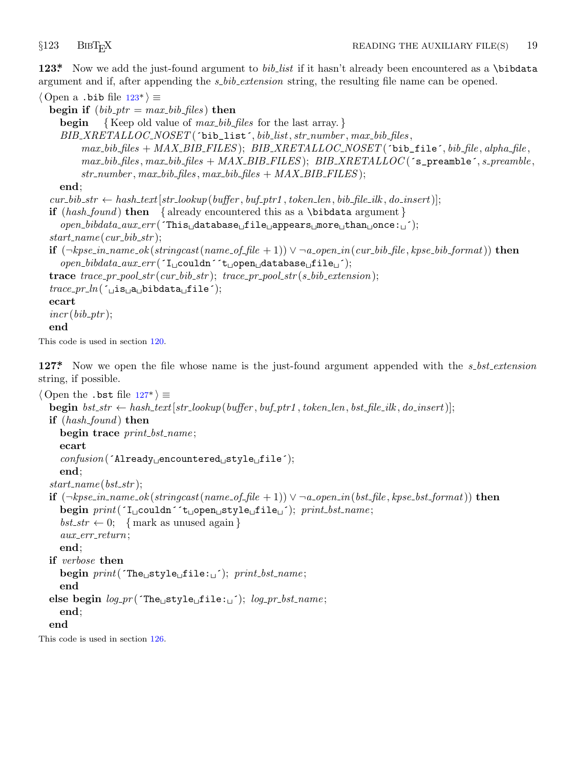<span id="page-19-0"></span>

**123\*.** Now we add the just-found argument to *bib list* if it hasn't already been encountered as a \bibdata argument and if, after appending the *s bib extension* string, the resulting file name can be opened.

*⟨* Open a .bib file 123\* *⟩ ≡* **begin if**  $(bib\_ptr = max\_bib\_files)$  **then begin** *{* Keep old value of *max bib files* for the last array. *} BIB XRETALLOC NOSET* (´bib\_list´*, bib list, str number , max bib files ,*  $max_bib$   $files + MAX-BIB$   $FILES$  );  $BIB$   $XRETLLOC$   $NOSET$  ( $bib$   $file$ ,  $bib$   $file$ ,  $alpha$ ,  $file$ ,  $file$ ,  $a$  $max\_bib\_files$ ,  $max\_bib\_files$  +  $MAX\_BIB\_FILES$ );  $BIB\_XRETLLOC$  ( $s\_p$ reamble $\cdot$ ,  $s\_p$ reamble, *str number , max bib files , max bib files* + *MAX BIB FILES* ); **end**;  $cur\_bib\_str \leftarrow hash\_text[str\_lookup(buffer, but\_ptr1, token\_len, bib\_file\_ilk, do\_insert)];$ **if** (*hash found* ) **then** *{* already encountered this as a \bibdata argument *} open bibdata aux err* (´This␣database␣file␣appears␣more␣than␣once:␣´);  $start_name(cur\_bib\_str);$ **if**  $(\neg k p s e_{\textit{in}} \neg n \textit{name\_ok}(string cast(name_of_{\textit{file}} + 1)) \lor \neg a_{\textit{open\_in}}(cur_{\textit{bib}\textit{file}}, k p s e_{\textit{bib}\textit{format}}))$  then *open bibdata aux err* (´I␣couldn´´t␣open␣database␣file␣´); **trace** *trace pr pool str* (*cur bib str* ); *trace pr pool str* (*s bib extension*);  $trace\_pr\_ln($ ; $\Delta_{\text{L}}$ a
bibdata  $\text{File}$ ; **ecart**  $incr(bib\_ptr);$ **end**

This code is used in section 120.

**127\*.** Now we open the file whose name is the just-found argument appended with the *s bst extension* string, if possible.

```
⟨ Open the .bst file 127* ⟩ ≡
  begin bst_str \leftarrow hash_text[str_lookup(buffer, buf_ptr1, token_len, bst_file_ilk, do_insert)];
  if (hash found ) then
     begin trace print bst name ;
     ecart
     confusion(´Already␣encountered␣style␣file´);
     end;
  start_name(bst\_str);if (\neg k p s e_{\textit{in}} \neg \textit{name\_ok}(stringcast(name \neg \textit{of\_file} + 1)) \vee \neg \textit{a\_open\_in}(bst \neg \textit{file}, k p s e_{\textit{ost\_format}})) then
     begin print(´I␣couldn´´t␣open␣style␣file␣´); print bst name ;
     bst\_str \leftarrow 0; \{ mark as unused again \}aux err return;
     end;
  if verbose then
     begin print(´The␣style␣file:␣´); print bst name ;
     end
  else begin log pr (´The␣style␣file:␣´); log pr bst name ;
     end;
  end
This code is used in section 126.
```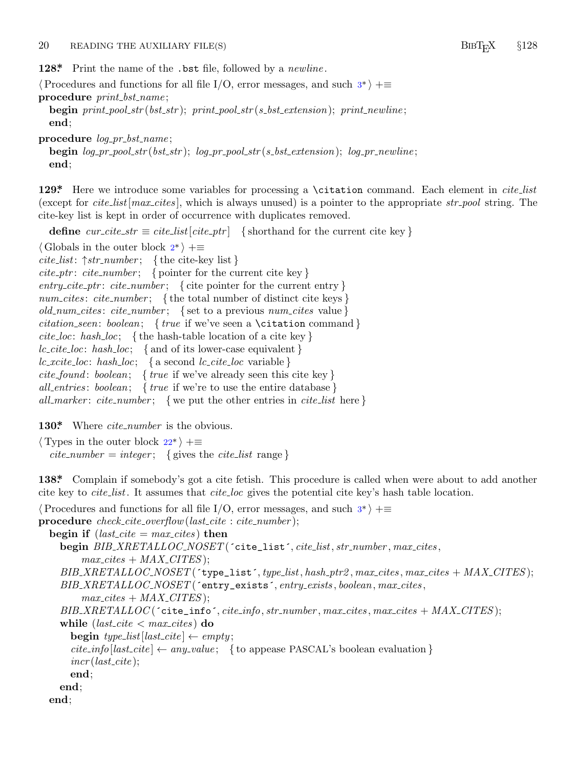<span id="page-20-0"></span>20 READING THE AUXILIARY FILE(S) BIBT<sub>E</sub>X  $§128$ 

**128\*.** Print the name of the .bst file, followed by a *newline* .

*⟨*Procedures and functions for all file I/O, error messages, and such 3\* *⟩* +*≡*

**procedure** *print bst name* ;

**begin** *print pool str* (*bst str* ); *print pool str* (*s bst extension*); *print newline* ; **end**;

**procedure** *log pr bst name* ;

**begin** *log pr pool str* (*bst str* ); *log pr pool str* (*s bst extension*); *log pr newline* ; **end**;

**129\*.** Here we introduce some variables for processing a \citation command. Each element in *cite list* (except for *cite list*[*max cites* ], which is always unused) is a pointer to the appropriate *str pool* string. The cite-key list is kept in order of occurrence with duplicates removed.

**define**  $cur\_cite\_str \equiv cite\_list[cite\_ptr]$  {shorthand for the current cite key }

*⟨* Globals in the outer block 2\* *⟩* +*≡ cite list*: *↑str number* ; *{* the cite-key list *} cite ptr* : *cite number* ; *{* pointer for the current cite key *} entry cite ptr* : *cite number* ; *{* cite pointer for the current entry *} num cites* : *cite number* ; *{* the total number of distinct cite keys *} old num cites* : *cite number* ; *{* set to a previous *num cites* value *} citation seen*: *boolean*; *{ true* if we've seen a \citation command *} cite loc*: *hash loc*; *{* the hash-table location of a cite key *} lc cite loc*: *hash loc*; *{* and of its lower-case equivalent *} lc xcite loc*: *hash loc*; *{* a [se](#page-6-0)cond *lc cite loc* variable *} cite found* : *boolean*; *{ true* if we've already seen this cite key *} all entries* : *boolean*; *{ true* if we're to use the entire database *} all marker* : *cite number* ; *{* we put the other entries in *cite list* here *}*

**130\*.** Where *cite number* is the obvious.

*⟨* Types in the outer block 22\* *⟩* +*≡*  $cite_number = integer;$  { gives the *cite\_list* range }

**138\*.** Complain if somebody's got a cite fetish. This procedure is called when were about to add another cite key to *cite list*. It assumes that *cite loc* gives the potential cite key's hash table location.

```
⟨Procedures and functions for all file I/O, error messages, and such 3* ⟩ +≡
procedure check cite overflow(last cite : cite number );
  begin if (last\_cite = max\_cites) then
    begin BIB XRETALLOC NOSET (´cite_list´, cite list, str number , max cites ,
         max\_cites + MAX\_CITIES;
    BIB XRETALLOC NOSET (´type_list´, type list, hash ptr2 , max cites , max cites + MAX CITES );
    BIB XRETALLOC NOSET (´entry_exists´, entry exists , boolean, max cites ,
         max\_cites + MAX\_CITIES;
    BIB XRETALLOC (´cite_info´, cite info, str number , max cites , max cites + MAX CITES );
    while (last\_cite < max\_cites) do
      \mathbf{begin} \text{ } type\_list[last\_cite] \leftarrow empty;cite\_info[last\_cite] \leftarrow any\_value; { to appease PASCAL's boolean evaluation }
      incr (last cite );
      end;
    end;
  end;
```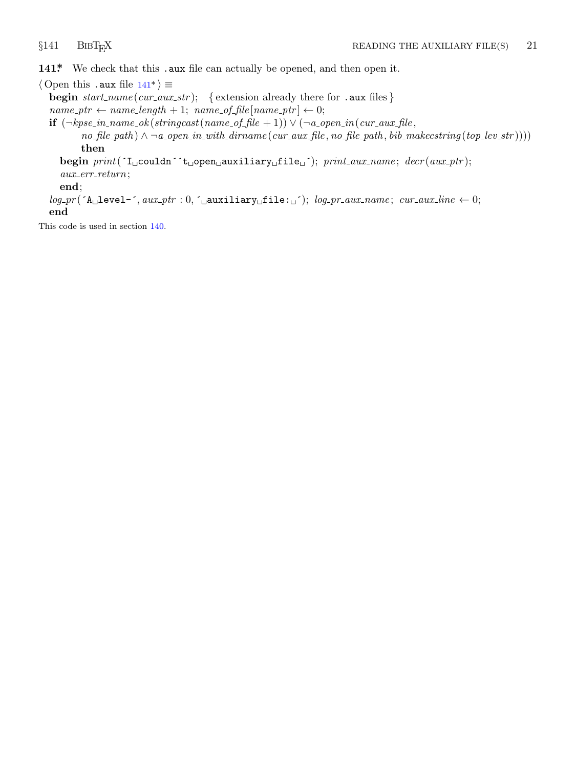<span id="page-21-0"></span>141\* We check that this .aux file can actually be opened, and then open it.

*⟨* Open this .aux file 141\* *⟩ ≡*

**begin** *start name* (*cur aux str* ); *{* extension already there for .aux files *}*  $name\_ptr \leftarrow name\_length + 1; name\_of\_file[name\_ptr] \leftarrow 0;$ 

**if**  $(¬kpse_in_name_of(Stringcast(name_of_file + 1)) ∨ (¬a.open_in(cur_aux_file,$  $no\_file\_path) \wedge \neg a\_open.in\_with\_dirname(cur_aux\_file, no\_file\_path, bib\_makeestring(top\_lev\_str))))$ **then**

**begin** *print*(´I␣couldn´´t␣open␣auxiliary␣file␣´); *print aux name* ; *decr* (*aux ptr* ); *aux err return*;

**end**;

*log pr* (´A␣level−´*, aux ptr* : 0*,* ´␣auxiliary␣file:␣´); *log pr aux name* ; *cur aux line ←* 0; **end**

This code is used in section 140.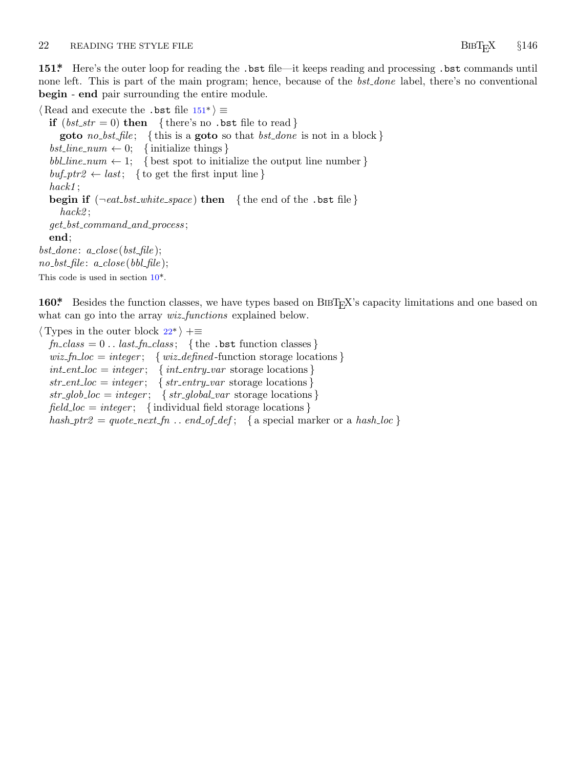<span id="page-22-0"></span>22 READING THE STYLE FILE **BIBTEX**  $§146$ 

**151\*.** Here's the outer loop for reading the .bst file—it keeps reading and processing .bst commands until none left. This is part of the main program; hence, because of the *bst done* label, there's no conventional **begin** - **end** pair surrounding the entire module.

*⟨* Read and execute the .bst file 151\* *⟩ ≡* **if**  $(bst\_str = 0)$  **then**  $\{ \text{there's no } . \text{bst file to read } \}$ **goto** *no bst file* ; *{* this is a **goto** so that *bst done* is not in a block *}*  $bst\_line\_num \leftarrow 0;$  {initialize things }  $bbLine_number$  { best spot to initialize the output line number }  $buf_ptr2 \leftarrow last$ ; { to get the first input line } *hack1* ; **begin if** (*¬eat bst w[hit](#page-3-0)e space* ) **then** *{* the end of the .bst file *} hack2* ; *get bst command and process* ; **end**;  $bst\_done: a\_close(bst\_file);$ *no bst file* : *a close* (*bbl file* [\);](#page-6-0) This code is used in section  $10^*$ .

160\* Besides the function classes, we have types based on BIBT<sub>E</sub>X's capacity limitations and one based on what can go into the array *wiz functions* explained below.

*⟨* Types in the outer block 22\* *⟩* +*≡*  $fn\_class = 0$ ..  $last\_fn\_class$ ; {the .bst function classes}  $wiz_fn\_loc = integer; \{wiz\_defined$ -function storage locations **}**  $int_{\mathcal{C}}$  *int\_ent\_loc* = *integer*; {  $int_{\mathcal{C}}$  *int\_entry\_var* storage locations }  $str\_ent\_loc = integer$ ; { $str\_entry\_var$  storage locations }  $str_glob\_loc = integer; \{ str_global\_var$  storage locations }  $field\_loc = integer$ ; {individual field storage locations }

 $hash_ptr2 = quote_next_fn$ ...  $end_of\_def$ ; { a special marker or a  $hash\_loc$ }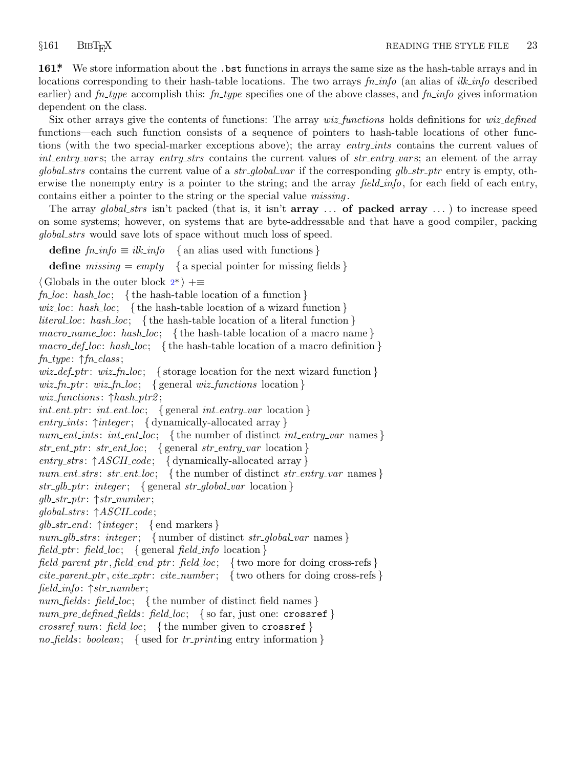<span id="page-23-0"></span>**161\*.** We store information about the .bst functions in arrays the same size as the hash-table arrays and in locations corresponding to their hash-table locations. The two arrays *fn info* (an alias of *ilk info* described earlier) and *fn type* accomplish this: *fn type* specifies one of the above classes, and *fn info* gives information dependent on the class.

Six other arrays give the contents of functions: The array *wiz functions* holds definitions for *wiz defined* functions—each such function consists of a sequence of pointers to hash-table locations of other functions (with the two special-marker exceptions above); the array *entry ints* contains the current values of *int entry var* s; the array *entry strs* contains the current values of *str entry var* s; an element of the array *global strs* contains the current value of a *str global var* if the corresponding *glb str ptr* entry is empty, otherwise the nonempty entry is a pointer to the string; and the array *field info*, for each field of each entry, contains either a pointer to the string or the special value *missing* .

The array *global strs* isn'[t](#page-1-0) packed (that is, it isn't **array** *. . .* **of packed array** *. . .* ) to increase speed on some systems; however, on systems that are byte-addressable and that have a good compiler, packing *global strs* would save lots of space without much loss of speed.

**define**  $fn\_info \equiv ilk\_info \{ \text{an alias used with functions \}}$ 

**define**  $missing = empty \{$ a special pointer for missing fields  $\}$ 

*⟨* Globals in the outer block 2\* *⟩* +*≡*

*fn loc*: *hash loc*; *{* the hash-table location of a function *} wiz loc*: *hash loc*; *{* the hash-table location of a wizard function *} literal loc*: *hash loc*; *{* the hash-table location of a literal function *} macro name loc*: *hash loc*; *{* the hash-table location of a macro name *} macro def loc*: *hash loc*; *{* the hash-table location of a macro definition *} fn type* : *↑fn class* ; *wiz def ptr* : *wiz fn loc*; *{* storage location for the next wizard function *}*  $wiz_fn_ptr: wizfn\_loc; \{ general wiz_functions location\}$ *wiz functions* : *↑hash ptr2* ; *int ent ptr* : *int ent loc*; *{* general *int entry var* location *} entry ints* : *↑integer* ; *{* dynamically-allocated array *} num ent ints* : *int ent loc*; *{* the number of distinct *int entry var* names *} str ent ptr* : *str ent loc*; *{* general *str entry var* location *} entry strs* : *↑ASCII code* ; *{* dynamically-allocated array *} num ent strs* : *str ent loc*; *{* the number of distinct *str entry var* names *} str glb ptr* : *integer* ; *{* general *str global var* location *} glb str ptr* : *↑str number* ; *global strs* : *↑ASCII code* ; *glb str end* : *↑integer* ; *{* end markers *} num glb strs* : *integer* ; *{* number of distinct *str global var* names *} field\_ptr*:  $field\_loc$ ; { general *field\_info* location } *field parent ptr , field end ptr* : *field loc*; *{* two more for doing cross-refs *}*  $cite\_parent\_ptr, \textit{cite\_xptr}: \textit{cite\_number};$  { two others for doing cross-refs } *field info*: *↑str number* ; *num fields* : *field loc*; *{* the number of distinct field names *} num pre defined fields* : *field loc*; *{* so far, just one: crossref *} crossref num*: *field loc*; *{* the number given to crossref *} no fields* : *boolean*; *{* used for *tr print*ing entry information *}*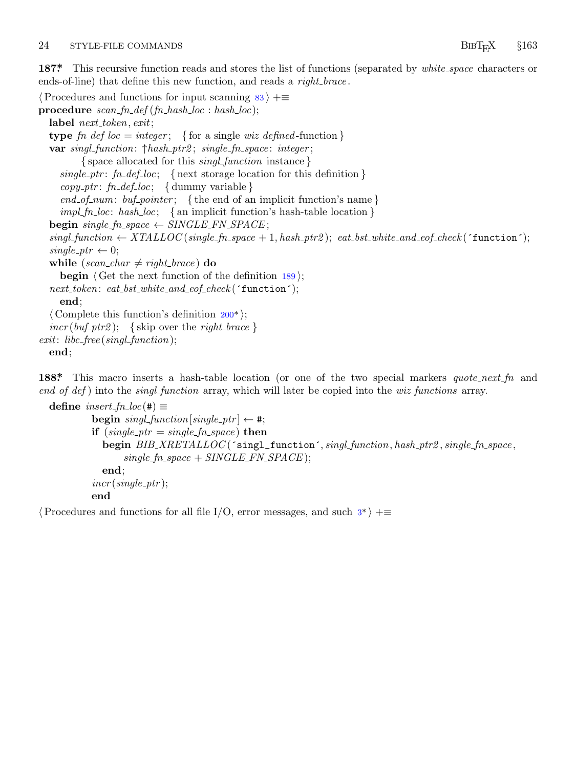### <span id="page-24-0"></span>24 STYLE-FILE COMMANDS BIBT<sub>E</sub>X §163

**187\*.** This recursive function reads and stores the list of functions (separated by *white space* characters or ends-of-line) that define this new function, and reads a *right brace* .

```
⟨Procedures and functions for input scanning 83 ⟩ +≡
procedure scan fn def (fn hash loc : hash loc);
  label next token, exit;
  type \mathit{fn}\text{-}\mathit{def}\text{-}loc = \mathit{integer}; { for a single \mathit{wiz}\text{-}defined\text{-}\mathrm{function}}
  var singl function: ↑hash ptr2 ; single fn space : integer ;
         { space allocated for this singl function instance }
     single ptr : fn def loc; { next storage location for this definition }
     copy ptr : fn def loc; { dummy variable }
     end of num: buf pointer ; { the end of an implicit function's name }
     impl fn loc: hash loc; { an implicit function's hash-table location }
  begin single fn space ← SINGLE FN SPACE ;
  fn\_space + 1, hash\_ptr2); eat\_bst\_white\_and\_cof\_check('function');single\_ptr \leftarrow 0;while (scan\_char \neq right\_brace) do
    begin \langle Get the next function of the definition 189\rangle;
  next token: eat bst white and eof check (´function´);
    end;
  ⟨ Complete this function's definition 200* ⟩;
  incr(buf_ptr2); {skip over the right_brace }
exit: libc free (singl function);
  end;
```
**188\*.** This macro inserts a hash-table location (or one of the two special markers *quote next fn* and *end of def* ) into the *singl function* array, which will later be copied into the *wiz functions* array.

```
\text{define } insert\_fn\_loc(\texttt{\#}) \equiv\mathbf{begin}[f] \mathbf{begin}[f] \mathbf{begin}[f] \mathbf{begin}[f] \mathbf{begin}[f] \mathbf{begin}[f] \mathbf{array}[f] \mathbf{begin}[f] \mathbf{array}[f] \mathbf{array}[f] \mathbf{array}[f] \mathbf{array}[f] \mathbf{array}[f] \mathbf{array}[f] \mathbf{array}[f] \mathbf{array}[f] \mathbf{array}[f] \mathbf{array}[f] \mathbf{array}[f] \mathbf{array}[f] \mathbf{array}[f] \mathbf{array}[f] \mathbf{array}[f] \mathbf{array}[f] \mathbf{array}[f] \mathbf{array}[f] \mathbf{array}[f] \mathbf{if (single\_ptr = single\_fn\_space) then
                                begin BIB XRETALLOC (´singl_function´, singl function, hash ptr2 , single fn space ,
                                              single_f n\_space + SIMGLE_F N\_SPACE;
                                end;
                          incr(single\_ptr);
                          end
```
*⟨*Procedures and functions for all file I/O, error messages, and such 3\* *⟩* +*≡*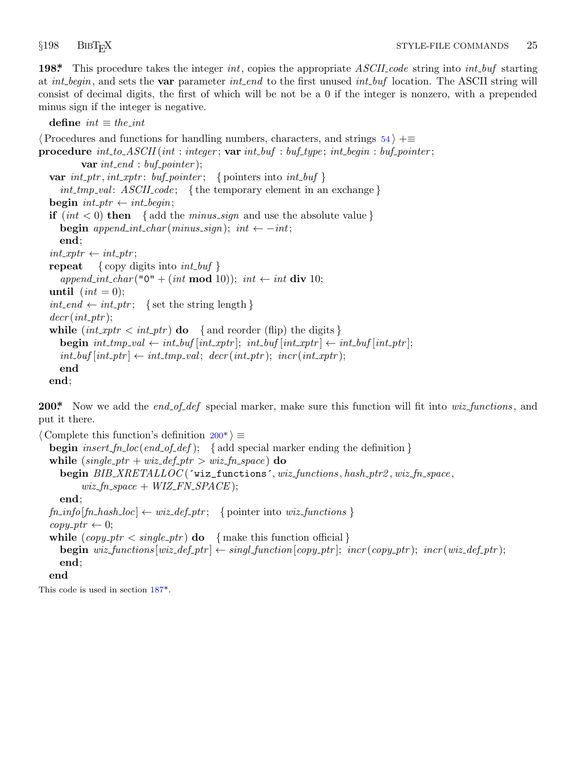<span id="page-25-0"></span>

**198\*.** This procedure takes the integer *int*, copies the appropriate *ASCII code* string into *int buf* starting at *int begin*, and sets the **var** parameter *int end* to the first unused *int buf* location. The ASCII string will consist of decimal digits, the first of which will be not be a 0 if the integer is nonzero, with a prepended minus sign if the integer is negative.

 $\text{define } int \equiv \text{the} \text{.} int$ *⟨*Procedures and functions for handling numbers, characters, and strings 54 *⟩* +*≡* **procedure** *int to ASCII* (*int* : *integer* ; **var** *int buf* : *buf type* ; *int begin* : *buf pointer* ; **var** *int end* : *buf pointer* ); **var**  $int\_ptr$ ,  $int\_xptr$ :  $buf\_pointer$ ;  $\{pointers\ into\ int\_buf\}$ *int tmp val* : *ASCII code* ; *{* the temporary element in an exchange *}* **begin**  $int\_ptr \leftarrow int\_begin;$ **if**  $(int < 0)$  **then** { add the *minus\_sign* and use the absolute value } **begin**  $append\_int\_char(minus\_sign); int \leftarrow -int;$ **end**;  $int\_xptr \leftarrow int\_ptr;$ **repeat** *{* copy digits into *int buf }*  $append\_int\_char("0" + (int \mod 10));$   $int \leftarrow int \textbf{div } 10;$ **until**  $(int = 0);$  $int\_end \leftarrow int\_ptr$ ; { set the string length }  $decr(int\_ptr);$ **while**  $(int\_xptr \leq int\_ptr)$  **do** { and reorder (flip) the digits } **begin**  $int\_tmp\_val \leftarrow int\_buf[int\_xptr]$ ;  $int\_buf[int\_xptr] \leftarrow int\_buf[int\_ptr]$ ;  $int_b$   $int_b$   $int_{\mathbb{R}}$   $int_{\mathbb{R}}$   $int_{\mathbb{R}}$   $int_{\mathbb{R}}$   $int_{\mathbb{R}}$   $int_{\mathbb{R}}$   $int_{\mathbb{R}}$   $int_{\mathbb{R}}$   $int_{\mathbb{R}}$   $int_{\mathbb{R}}$   $int_{\mathbb{R}}$   $int_{\mathbb{R}}$   $int_{\mathbb{R}}$   $int_{\mathbb{R}}$   $int_{\mathbb{R}}$   $int_{\mathbb{R}}$   $int_{\mathbb{R}}$   $int_{\mathbb{R}}$   $int_{\mathbb{R}}$   $int$ **end end**;

**200\*.** Now we add the *end of def* special marker, make sure this function will fit into *wiz functions* , and put it there.

*⟨* Complete this function's definition 200\* *⟩ ≡* **begin** *insert fn loc*(*end of def* ); *{* add special marker ending the definition *}* **while**  $(single\_ptr + wiz\_def\_ptr > wiz\_fn\_space)$  **do begin** *BIB XRETALLOC* (´wiz\_functions´*, wiz functions , hash ptr2 , wiz fn space ,*  $wiz_f n\_space + WIZ_F N\_SPACE$  ); **end**;  $fn\_info[fn\_hash\_loc] \leftarrow wiz\_def\_ptr;$  $fn\_info[fn\_hash\_loc] \leftarrow wiz\_def\_ptr;$  $fn\_info[fn\_hash\_loc] \leftarrow wiz\_def\_ptr;$  {pointer into  $wiz\_functions$ }  $copy\_ptr \leftarrow 0$ ; **while**  $(copy\_ptr < single\_ptr)$  **do**  $\{$  make this function official  $\}$ **begin** wiz\_functions  $wiz\text{-}def\text{-}ptr$   $\leftarrow$  singl\_function  $[copy\text{-}ptr]$ ; incr(copy\_ptr); incr(wiz\_def\_ptr); **end**; **end**

This code is used in section 187\*.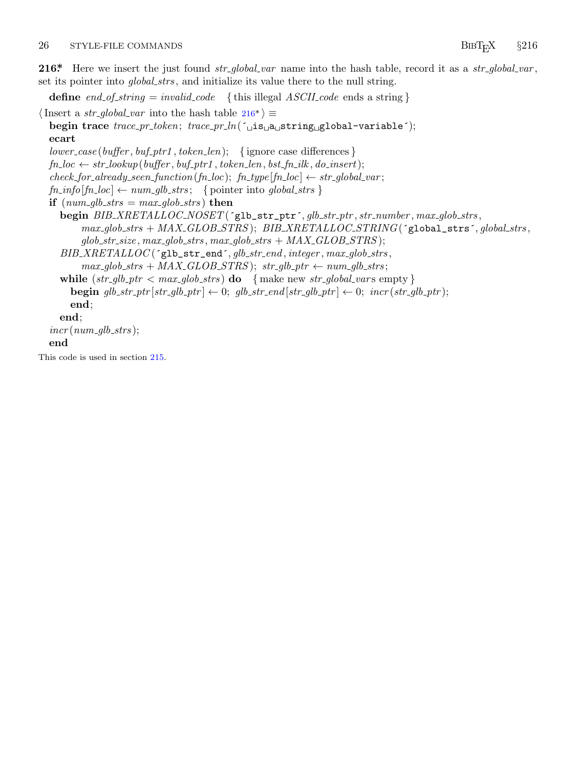### <span id="page-26-0"></span>26 STYLE-FILE COMMANDS BIBT<sub>E</sub>X  $§216$

**216\*.** Here we insert the just found *str global var* name into the hash table, record it as a *str global var* , set its pointer into *global strs* , and initialize its value there to the null string.

**define**  $end\_of\_string = invalid\_code$  {this illegal  $ASCII\_code$  ends a string }

*⟨*Insert a *str global var* into the hash table 216\* *⟩ ≡* **begin trace** *trace pr token*; *trace pr ln*(´␣is␣a␣string␣global−variable´); **ecart** *lower case* (*buffer , buf ptr1 , token len*); *{* ignore case differences *}*  $fn\_loc \leftarrow str\_lookup(buffer, buffer1, token\_len,bst_fn\_ilk, do\_insert);$  $check\_for\_already\_seen\_function(fn\_loc);$   $fn\_type[fn\_loc] \leftarrow str\_global\_var;$  $fn\_info[fn\_loc] \leftarrow num\_glb\_strs$ ; { pointer into *global\_strs* } **if**  $(num_glb\_strs = max_glob\_strs)$  **then begin** *BIB XRETALLOC NOSET* (´glb\_str\_ptr´*, glb str ptr , str number , max glob strs , max glob strs* + *MAX GLOB STRS* ); *BIB XRETALLOC STRING*(´global\_strs´*, global strs ,*  $glob\_str\_size$ ,  $max_glob\_strs$ ,  $max_glob\_strs + MAX\_GLOB\_STRS$ ); *BIB XRETALLOC* (´glb\_str\_end´*, glb str end , integer , max glob strs ,*  $max_glob\_strs + MAX\_GLOB\_STRS$ ;  $str_glb\_ptr \leftarrow num_glb\_strs$ ; **while**  $(str\_glb\_ptr < max\_glob\_strs)$  **do**  $\{ \text{make new str\_global\_vars empty} \}$ **begin**  $glb\_str\_ptr[str\_glb\_ptr] \leftarrow 0$ ;  $glb\_str\_end[str\_glb\_ptr] \leftarrow 0$ ;  $incr(str\_glb\_ptr)$ ; **end**;

## **end**;

 $incr(num_glb\_strs);$ 

### **end**

This code is used in section 215.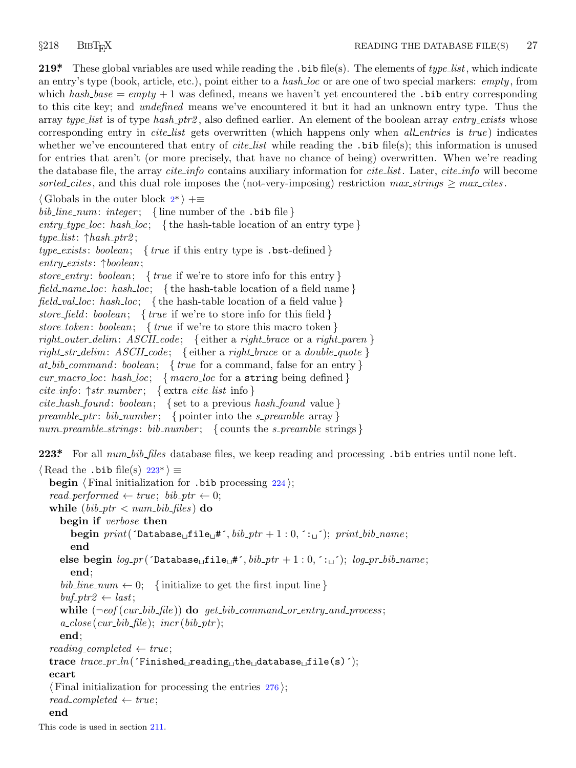<span id="page-27-0"></span>**219\*.** These global variables are used while reading the .bib file(s). The elements of *type list*, which indicate an entry's type (book, article, etc.), point either to a *hash loc* or are one of two special markers: *empty* , from which  $hash\_base = empty + 1$  was defined, means we haven't yet encountered the .bib entry corresponding to this cite key; and *undefined* means we've encountered it but it had an unknown entry type. Thus the array *type list* is of type *has[h](#page-1-0) ptr2* , also defined earlier. An element of the boolean array *entry exists* whose corresponding entry in *cite list* gets overwritten (which happens only when *all entries* is *true* ) indicates whether we've encountered that entry of *cite\_list* while reading the .bib file(s); this information is unused for entries that aren't (or more precisely, that have no chance of being) overwritten. When we're reading the database file, the array *cite info* contains auxiliary information for *cite list*. Later, *cite info* will become *sorted\_cites*, and this dual role imposes the (not-very-imposing) restriction  $max\_strings \ge max\_cites$ .

```
⟨ Globals in the outer block 2* ⟩ +≡
```
*bib line num*: *integer* ; *{* line number of the .bib file *}*

 $entry\_type\_loc: hash\_loc:$  {the hash-table location of an entry type } *type list*: *↑hash ptr2* ;

*type exists* : *boolean*; *{ true* if this entry type is .bst-defined *}*

*entry exists* : *↑boolean*;

*store entry* : *boolean*; *{ true* if we're to store info for this entry *} field name loc*: *hash loc*; *{* the hash-table location of a field name *}*

*field val loc*: *hash loc*; *{* the hash-table location of a field value *}*

*store field* : *boolean*; *{ true* if we're to store info for this field *}*

*store token*: *boolean*; *{ true* if we're to store this macro token *}*

*right outer delim*: *ASCII code* ; *{* either a *right brace* or a *right paren }*

*right str delim*: *ASCII code* ; *{* either a *right brace* or a *double quote } at bib command* : *boolean*; *{ true* for a command, false for an entry *}*

*cur macro loc*: *hash loc*; *{ macro loc* for a string being defined *}*

*cite info*: *↑str number* ; *{* extra *cite list* info *}*

*cite hash found* : *boolean*; *{* set to a previous *hash found* value *}*

*preamble ptr* : *bib number* ; *{* pointer into the *s preamble* array *}*

*num preamble strings* : *bib number* ; *{* counts the *s preamble* strings *}*

**223\*.** For all *num bib files* database files, we keep reading and processing .bib entries until none left.

*⟨* Read the .bib file(s) 223\* *⟩ ≡* **begin** *⟨* Final initialization for .bib processing 224 *⟩*;  $read\_performed \leftarrow true; \; bib\_ptr \leftarrow 0;$ **while**  $(bib\_ptr < num\_bib\_files)$  **do begin if** *verbose* **then**  $\text{begin}$  *print*( $\text{Totalbase}_{\text{u}}\text{file}_{\text{u}}\text{#}$ ,  $\text{bib}\text{ptr} + 1:0,\text{``}\text{``}\text{``}\text{''}\text{)}$ ;  $\text{print}\text{bib}\text{name};$ **end**  $else$  **begin**  $log_pr($  <sup>*c*</sup>**Database**<sub> $\sqcup$ </sub>**file**<sub> $\sqcup#$  *f, bib<sub>-</sub>ptr* + 1 : 0*,*  $\cdot$  $\sqcup$  *f*); *log<sub>-</sub>pr<sub>-</sub>bib<sub>-</sub>name*;</sub> **end**;  $bib\_\$ {line} *hib*  $\_\$ {line} *(initialize to get the first input line }*  $buf\_ptr2 \leftarrow last;$ **while**  $(\neg \text{eof}(\text{cur}\text{-}bib\text{-}file))$  **do**  $get\text{-}bib\text{-}command\text{-}or\text{-}entry\text{-}and\text{-}process;$  $a_{\textit{r}} \textit{close} \left( \textit{cur}\_{\textit{bib}\_ \textit{file}} \right); \textit{incr} \left( \textit{bib}\_{\textit{ptr}} \right);$ **end**;  $reading\_completed \leftarrow true;$ **trace** *trace pr ln*(´Finished␣reading␣the␣database␣file(s)´); **ecart** *⟨* Final initialization for processing the entries 276 *⟩*;  $read\_completed \leftarrow true;$ **end**

This code is used in section 211.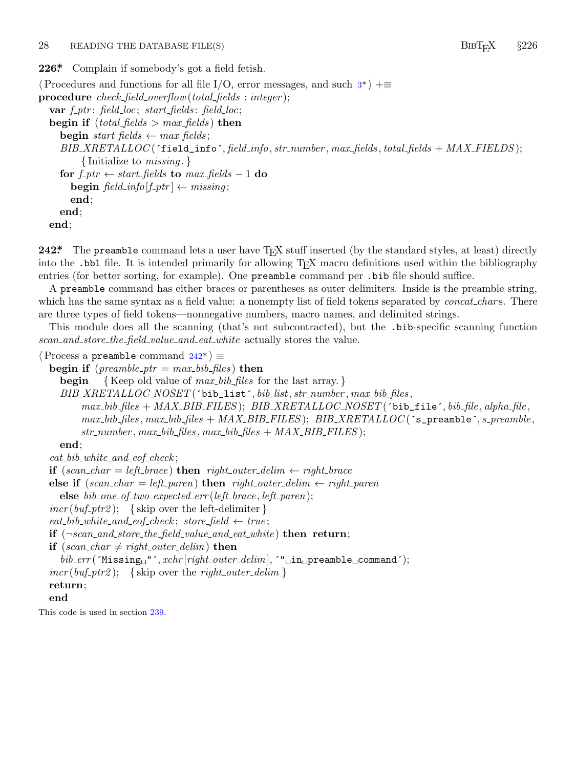<span id="page-28-0"></span>28 READING THE DATABASE FILE(S) BIBT<sub>E</sub>X  $§$ 226

**226\*.** Complain if somebody's got a field fetish.

*⟨*Procedures and functions for all file I/O, error messages, and such 3\* *⟩* +*≡* **procedure** *check field overflow*(*total fields* : *integer* ); **var** *f ptr* : *field loc*; *start fields* : *field loc*; **begin if**  $(total_{\text{fields}} > max_{\text{fields}})$  **then begin** *start\_fields*  $\leftarrow$  *max\_fields*; *BIB XRETALLOC* (´field\_info´*, field info, str number , max fields , total fields* + *MAX FIELDS* ); *{* Initialize to *missing* . *}* **for**  $f$ <sub>-</sub> $ptr \leftarrow start$ - $fields$  **to**  $max$ - $fields$  - 1 **do**  $\text{begin } \text{field} \text{.} \text{info}[f\_ptr] \leftarrow \text{missing};$ **end**; **end**; **end**;

**242\*** The preamble command lets a user have T<sub>E</sub>X stuff inserted (by the standard styles, at least) directly into the .bbl file. It is intended primarily for allowing T<sub>EX</sub> macro definitions used within the bibliography entries (for better sorting, for example). One preamble command per .bib file should suffice.

A preamble command has either braces or parentheses as outer delimiters. Inside is the preamble string, which has the same syntax as a field value: a nonempty list of field tokens separated by *concat\_chars*. There are three types of field tokens—nonnegative numbers, macro names, and delimited strings.

This module does all the scanning (that's not subcontracted), but the .bib-specific scanning function *scan and store the field value and eat white* actually stores the value.

```
⟨Process a preamble command 242* ⟩ ≡
```

```
begin if (preamble_ptr = max_bib files) then
  begin { Keep old value of max bib files for the last array. }
  BIB XRETALLOC NOSET (´bib_list´, bib list, str number , max bib files ,
       max\; bib\; files + MAX\; BIB\; FILES); \; BIB\; XRETLLLOC\; NOSET('bib\_file', bib\_file, alpha_file,max bib files , max bib files + MAX BIB FILES ); BIB XRETALLOC (´s_preamble´, s preamble ,
       str number , max bib files , max bib files + MAX BIB FILES );
  end;
eat bib white and eof check ;
if (\text{scan\_char} = \text{left\_brace}) then \text{right\_outer\_delim} \leftarrow \text{right\_brace}
```
**else if**  $(\text{scan\_char} = \text{left\_parent})$  **then**  $\text{right\_outer\_delim} \leftarrow \text{right\_parent}$ 

**else** *bib one of two expected err* (*left brace , left paren*);

 $incr(buf_ptr2);$  {skip over the left-delimiter}

 $\mathit{eat\_bib\_white\_and\_eof\_check}$ ;  $\mathit{store\_field} \leftarrow \mathit{true};$ 

**if** (*¬scan and store the field value and eat white* ) **then return**;

**if**  $(scan\_char \neq right\_outer\_delim)$  **then** 

*bib err* (´Missing␣"´*, xchr* [*right outer delim*]*,* ´"␣in␣preamble␣command´);

 $incr(buf_ptr2);$  {skip over the *right\_outer\_delim* }

**return**;

```
end
```
This code is used in section 239.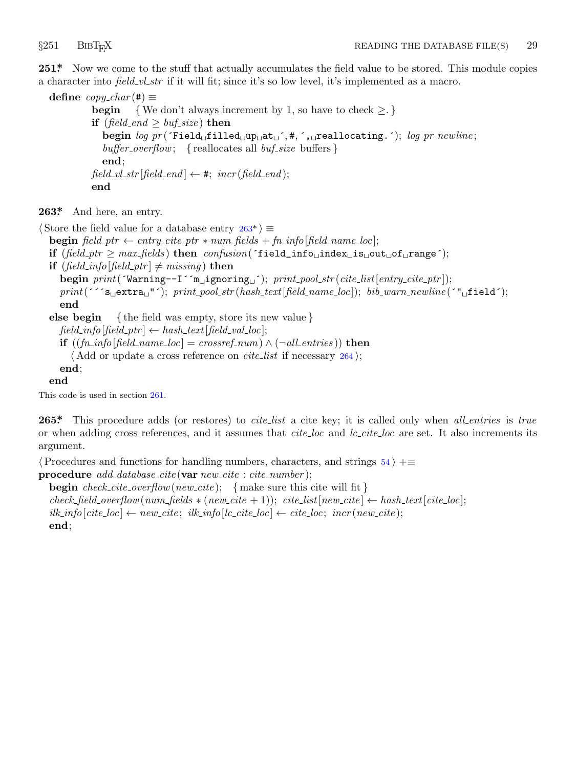<span id="page-29-0"></span>

251<sup>\*</sup> Now we come to the stuff that actually accumulates the field value to be stored. This module copies a character into *field vl str* if it will fit; since it's so low level, it's implemented as a macro.

 $\text{define } copy\_char(\#) \equiv$ **begin** {We don't always increment by 1, so have to check  $\geq$ .} **if**  $(field\_end \geq buffer\_size)$  **then begin** *log pr* (´Field␣filled␣up␣at␣´*,* #*,* ´,␣reallocating.´); *log pr newline* ; *buffer overflow*; *{* reallocates all *buf size* buffers *}* **end**;  $field\_vl\_str[field\_end] \leftarrow *, incr(field\_end);$ **end**

**263\*.** And here, an entry.

*⟨* Store the field value for a database entry 263\* *⟩ ≡*

**begin**  $field\_ptr \leftarrow entry\_cite\_ptr * num\_fields + fn\_info[field\_name\_loc];$ 

```
if (field ptr ≥ max fields ) then confusion(´field_info␣index␣is␣out␣of␣range´);
```
**if**  $(field_info[field\_ptr] \neq missing)$  **then** 

**begin** *print*(´Warning−−I´´m␣ignoring␣´); *print pool str* (*cite list*[*entry cite ptr* ]); *print*(´´´s␣extra␣"´); *print pool str* (*hash text*[*field name loc*]); *bib warn newline* (´"␣field´); **end**

**else begin** *{* the field was empty, store its new value *}*

 $field\_info[field\_ptr] \leftarrow hash\_text[field\_val\_loc];$ 

**if**  $((fn\_info[field\_name\_loc] = crossref\_num) \land (\neg all\_entries))$  **then** 

*⟨* Add or update a cross reference on *cite list* if necessary 264 *⟩*;

**end**;

**end**

This code is used in section 261.

**265\*.** This procedure adds (or restores) to *cite list* a cite key; it is called only when *all entries* is *true* or when adding cross references, and it assumes that *cite loc* and *lc cite loc* are set. It also increments its argument.

*⟨*Procedures and functions for handling numbers, characters, and strings 54 *⟩* +*≡* **procedure** *add database cite* (**var** *new cite* : *cite number* );

**begin** *check cite overflow*(*new cite* ); *{* make sure this cite will fit *}*

 $check_{\text{rel}} = \text{h}_\text{rel} + \text{h}_\text{rel} + \text{h}_\text{rel} + \text{h}_\text{rel} + \text{h}_\text{rel} + \text{h}_\text{rel} + \text{h}_\text{rel} + \text{h}_\text{rel} + \text{h}_\text{rel} + \text{h}_\text{rel} + \text{h}_\text{rel} + \text{h}_\text{rel} + \text{h}_\text{rel} + \text{h}_\text{rel} + \text{h}_\text{rel} + \text{h}_\text{rel} + \text{h}_\text{rel} + \text{h}_\text{rel} + \text{h}_\text{rel} + \text{$  $i$ *lk\_info*[*cite\_loc*]  $\leftarrow$  *new\_cite*;  $i$ *lk\_info*[*lc\_cite\_loc*]  $\leftarrow$  *cite\_loc*; *incr*(*new\_cite*);

**end**;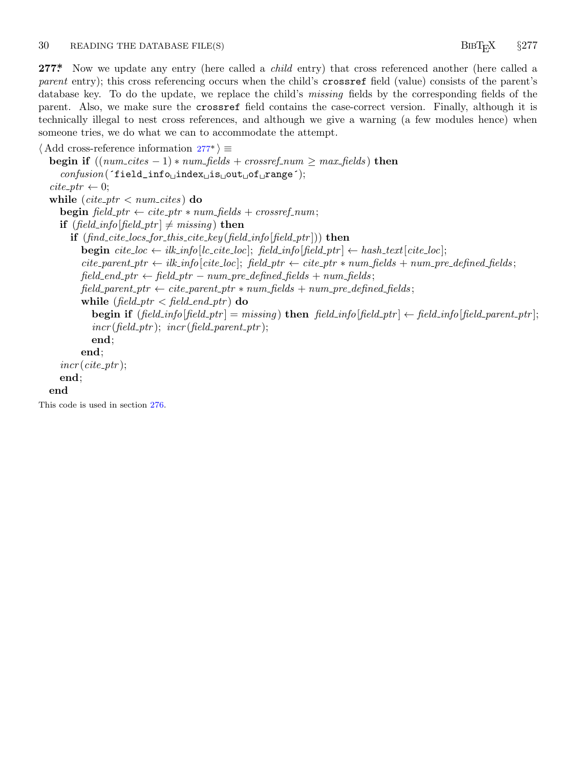### <span id="page-30-0"></span>30 READING THE DATABASE FILE(S) BIBT<sub>E</sub>X  $§$ 277

**277\*.** Now we update any entry (here called a *child* entry) that cross referenced another (here called a *parent* entry); this cross referencing occurs when the child's crossref field (value) consists of the parent's database key. To do the update, we replace the child's *missing* fields by the corresponding fields of the parent. Also, we make sure the crossref field contains the case-correct version. Finally, although it is technically illegal to nest cross references, and although we give a warning (a few modules hence) when someone tries, we do what we can to accommodate the attempt.

```
⟨ Add cross-reference information 277* ⟩ ≡
   begin if ((\textit{num\_cites} - 1) * \textit{num\_fields} + \textit{crossref\_num} \geq \textit{max\_fields}) then
      confusion(´field_info␣index␣is␣out␣of␣range´);
   \text{cite\_ptr} \leftarrow 0;while (cite\_ptr < num\_cites) do
      begin \text{field\_ptr} \leftarrow \text{cite\_ptr} * \text{num\_fields} + \text{crossref\_num};if (field_info[field_ptr] \neq missing) then
         if (find cite locs for this cite key (field info[field ptr ])) then
            begin \text{cite\_loc} \leftarrow \text{ilk\_info}[\text{lc\_cite\_loc}]; \text{ field\_info}[\text{field\_ptr}] \leftarrow \text{hash\_text}[\text{cite\_loc}];cite\_parent\_ptr \leftarrow ilk\_info[cite\_loc]; field\_ptr \leftarrow cite\_ptr * num\_fields + num\_pre\_defined\_fields;field\_end\_ptr \leftarrow field\_ptr - num\_pre\_defined\_fields + num\_fields;field\_parent\_ptr \leftarrow cite\_parent\_ptr * num\_fields + num\_pre\_defined\_fields;while (field\_ptr < field\_end\_ptr) do
               begin if (\text{field}\_info[\text{field\_ptr}] = \text{missing}) then \text{field\_info}[\text{field\_ptr}] \leftarrow \text{field\_info}[\text{field\_parent\_ptr}];
               incr (field\_ptr); incr (field\_parent\_ptr);
               end;
            end;
      incr(cite\_ptr);end;
   end
This code is used in section 276.
```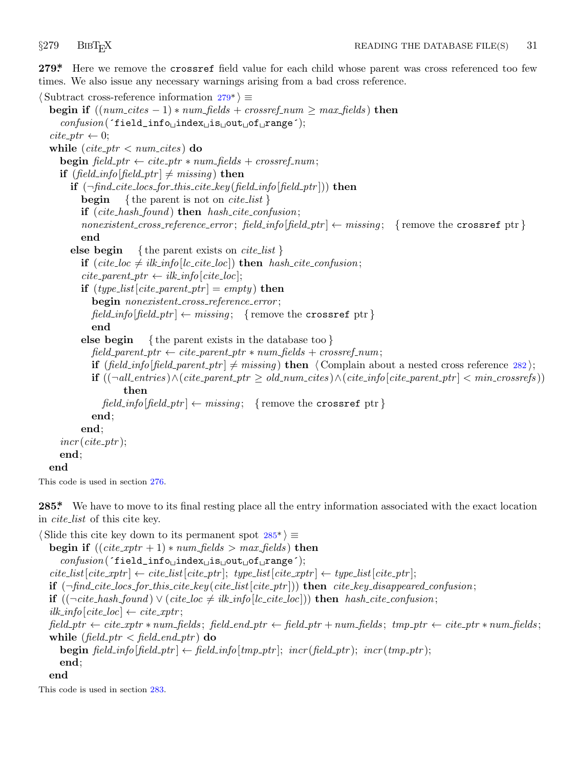<span id="page-31-0"></span>

**279\*.** Here we remove the crossref field value for each child whose parent was cross referenced too few times. We also issue any necessary warnings arising from a bad cross reference.

```
⟨ Subtract cross-reference information 279* ⟩ ≡
  begin if ((\textit{num\_cites} - 1) * \textit{num\_fields} + \textit{crossref\_num} \geq \textit{max\_fields}) then
     confusion(´field_info␣index␣is␣out␣of␣range´);
  \textit{cite\_ptr} \leftarrow 0;while (cite\_ptr < num\_cites) do
    begin \text{field\_ptr} \leftarrow \text{cite\_ptr} * \text{num\_fields} + \text{crossref\_num};if (field_info[feld\_ptr] \neq missing) then
       if (¬find cite locs for this cite key (field info[field ptr ])) then
          begin { the parent is not on cite list }
          if (cite hash found ) then hash cite confusion;
          nonexistent_cross_reference_error; field\_info[field\_ptr] \leftarrow mission; {remove the crossref ptr}
          end
       else begin { the parent exists on cite list }
          if (cite\_loc \neq ilk\_info[lc\_cite\_loc]) then hash\_cite\_confusion;cite\_parent\_ptr \leftarrow ilk\_info[cite\_loc];if (type\_list[cite\_parent\_ptr] = empty) then
             begin nonexistent cross reference error ;
             field\_info[field\_ptr] \leftarrow missing; {remove the crossref ptr}
             end
          else begin { the parent exists in the database too }
             field\_parent\_ptr \leftarrow cite\_parent\_ptr * num\_fields + crossref\_num;if (\text{field\_info}[\text{field\_parent\_ptr}] \neq \text{missing} then \langle Complain about a nested cross reference 282\rangle;
             \mathbf{if}((\neg all\_entries) \land (cite\_parent\_ptr \ge old_number \ge old_number \land (cite\_info[cite\_parent\_ptr] < min\_crossrefs))then
               field\_info[field\_ptr] \leftarrow missing; {remove the crossref ptr}
             end;
          end;
     incr(cite\_ptr);
    end;
  end
```
This code is used in section 276.

**285\*.** We have to move to its final resting place all the entry information associated with the exact location in *cite list* of this cite key.

```
⟨ Slide this cite key down to its permanent spot 285* ⟩ ≡
  begin if ((\text{cite\_xptr} + 1) * \text{num\_fields} > \text{max\_fields}) then
     confusion(´field_info␣index␣is␣out␣of␣range´);
  cite\_list[cite\_xptr] \leftarrow cite\_list[cite\_ytr]; type\_list[cite\_xptr] \leftarrow type\_list[cite\_ytr];if (¬find cite locs for this cite key (cite list[cite ptr ])) then cite key disappeared confusion;
  if ((¬cite\_hash\_found) ∨ (cite\_loc ≠ ik\_info[lc\_cite\_loc])) then hash\_cite\_confusion;ilk\_info[cite\_loc] \leftarrow cite\_xptr;field\_ptr \leftarrow cite\_xptr * num\_fields; field\_end\_ptr \leftarrow field\_ptr + num\_fields; tmp\_ptr \leftarrow cite\_ptr * num\_fields;
  while (field\_ptr < field\_end\_ptr) do
     begin field\_info[field\_ptr] \leftarrow field\_info[tmp\_ptr]; incr(field\_ptr); incr(tmp\_ptr);
     end;
  end
This code is used in section 283.
```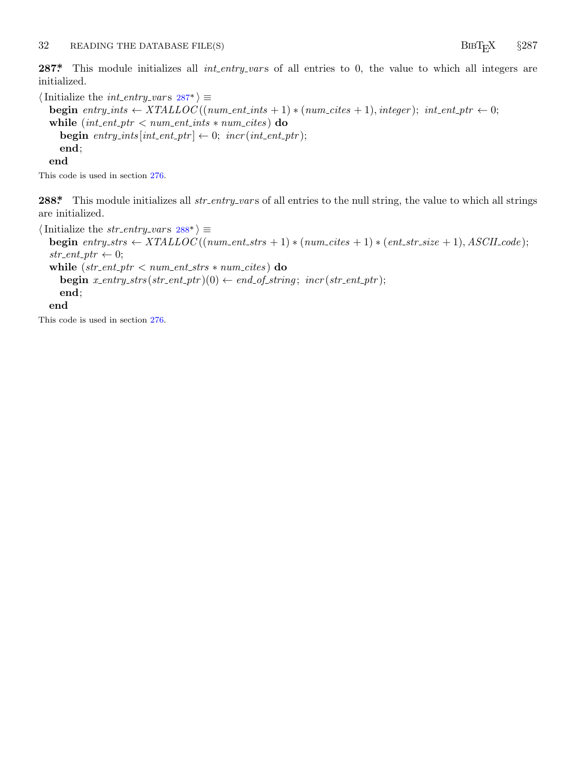<span id="page-32-0"></span>**287\*** This module initializes all *int\_entry\_vars* of all entries to 0, the value to which all integers are initialized.

 $\langle$ Initialize the *int\_entry\_vars*  $287^*$  $\rangle \equiv$ **begin**  $entry\_ints \leftarrow XTALLOC((num\_ent\_ints + 1) * (num\_cites + 1), integer); int\_ent\_ptr \leftarrow 0;$ while  $(int{\text -}ent{\text -}ptr < num{\text -}ent{\text -}ints * num{\text -}cites)$  do **begin**  $entry\_ints[int\_ent\_ptr] \leftarrow 0;$   $incr(int\_ent\_ptr);$ **end**; **end**

This code is used in section 276.

**288\*** This module initializes all *str\_entry\_vars* of all entries to the null string, the value to which all strings are initialized.

```
\langle Initialize the str_entry_vars 288^* \rangle \equivbegin entry_strs \leftarrow XTLLOC((num\_ent\_strs + 1) * (num\_cites + 1) * (ent\_str\_size + 1), ASCII\_code);str\_ent\_ptr \leftarrow 0;while (str ent ptr < num ent strs ∗ num cites ) do
     \text{begin } x\text{-}entry\_strs(\text{str}\text{-}ent\text{-}ptr)(0) \leftarrow end\_of\_string; \text{incr}(\text{str}\text{-}ent\text{-}ptr);end;
  end
```
This code is used in section 276.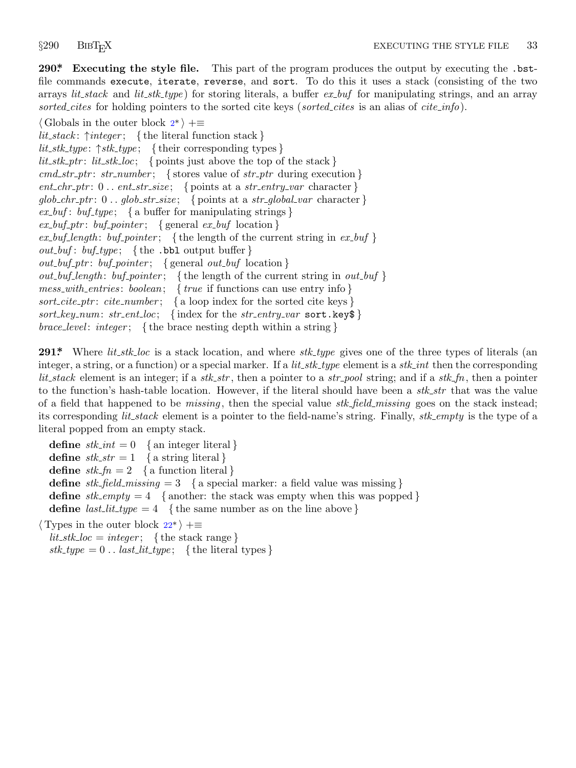<span id="page-33-0"></span>

**290\*. Executing the style file.** This part of the program produces the output by executing the .bstfile commands execute, iterate, reverse, and sort. To do this it uses a stack (consisting of the two arrays *lit stack* and *lit stk type* ) for storing literals, a buffer *ex buf* for manipulating strings, and an array *sorted cites* for holding pointers to the sorted cite keys (*sorted cites* is an alias of *cite info*).

*⟨* Globals in the outer block 2\* *⟩* +*≡ lit stack* : *↑integer* ; *{* the literal function stack *} lit stk type* : *↑stk type* ; *{* their corresponding types *}*  $lit\_stk\_ptr: lit\_stk\_loc;$  { points just above the top of the stack } *cmd str ptr* : *str number* ; *{* stores value of *str ptr* during execution *}*  $ent\_chr\_ptr: 0 \ldots ent\_str\_size; \{ points at a str\_entry\_var character \}$  $glob\_chr\_ptr$ : 0 . .  $glob\_str\_size$ ; { points at a *str\_global\_var* character }  $ex\_but$ :  $but\_type$ ; { a buffer for manipulating strings }  $ex\_buf\_ptr:$  *buf\_pointer*; { general  $ex\_buf$  location }  $ex\_bufferight$ :  $but\_pointer$ ; {the length of the current string in  $ex\_buf$ } *out\_buf* :  $buf\_type$ ; {the .bbl output buffer } *out buf ptr* : *buf pointer* ; *{* general *out buf* location *} out buf length* : *buf pointer* ; *{* the length of the current string in *out buf } mess with entries* : *boolean*; *{ true* if functions can use entry info *} sort cite ptr* : *cite number* ; *{* a loop index for the sorted cite keys *} sort\_key\_num: str\_ent\_loc;* { index for the *str\_entry\_var* sort.key\$ } *brace level* : *integer* ; *{* the brace nesting depth within a string *}*

**291\*.** Where *lit stk loc* is a stack location, and where *stk type* gives one of the three types of literals (an integer, a string, or a function) or a special marker. If a *lit stk type* element is a *stk int* then the corresponding *lit stack* element is an integer; if a *stk str* , then a pointer to a *str pool* string; and if a *stk fn*, then a pointer to the function's hash-table location. However, if the literal should have been a *stk str* that was the value of a field that happened to be *missing* , then the special value *stk field missing* goes on the stack instead; its corresponding *lit stack* element is a pointer to the field-name's string. Finally, *stk empty* is the type of a literal popped from an empty stack.

**define**  $stk\_int = 0$  { a[n in](#page-6-0)teger literal } **define**  $stk\_str = 1$  { a string literal } **define**  $stk\_fn = 2$  { a function literal } **define**  $stk\_field\_missing = 3$  { a special marker: a field value was missing } **define**  $sk\_empty = 4$  {another: the stack was empty when this was popped } **define**  $last\_lit\_type = 4$  {the same number as on the line above } *⟨* Types in the outer block 22\* *⟩* +*≡*

 $lit\_stk\_loc = integer;$  {the stack range }  $stk_type = 0$ ..  $last_list_type;$  {the literal types}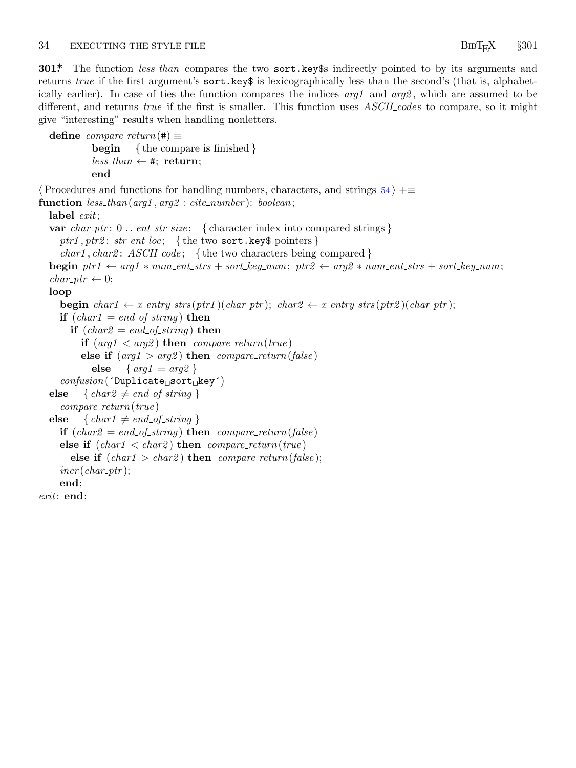### <span id="page-34-0"></span>34 EXECUTING THE STYLE FILE **EXECUTING** THE STYLE FILE

**301\*.** The function *less than* compares the two sort.key\$s indirectly pointed to by its arguments and returns *true* if the first argument's **sort**.key\$ is lexicographically less than the second's (that is, alphabetically earlier). In case of ties the function compares the indices *arg1* and *arg2* , which are assumed to be different, and returns *true* if the first is smaller. This function uses *ASCII code* s to compare, so it might give "interesting" results when handling nonletters.

```
\text{define } compare\_return (\#) \equivbegin { the compare is finished }
            less\_than \leftarrow *, \textbf{return};end
⟨Procedures and functions for handling numbers, characters, and strings 54 ⟩ +≡
function less than(arg1 , arg2 : cite number ): boolean;
  label exit;
  var char_ptr: 0 . . ent_str_size; { character index into compared strings }
    ptr1,ptr2: str\_ent\_loc; {the two sort.key$ pointers }
     char1 , char2 : ASCII code ; { the two characters being compared }
  begin ptr1 \leftarrow arg1 * num\_ent\_strs + sort\_key\_num; pr2 \leftarrow arg2 * num\_ent\_strs + sort\_key\_num;char\_ptr \leftarrow 0;loop
    begin char1 \leftarrow x entry strs(ptr1)(char\_ptr); char2 \leftarrow x entry strs(ptr2)(char\_ptr);if (char1 = end_of_string) then
       if (char2 = end_of_string) then
          if (\text{arg1} < \text{arg2}) then \text{compare\_return}(\text{true})else if (\text{arg1} > \text{arg2}) then \text{compare\_return}(\text{false})else { arg1 = arg2 }
     confusion(´Duplicate␣sort␣key´)
  else \{ char2 \neq end\_of\_string \}compare return(true )
  else \{ char1 \neq end\_of\_string \}if (char2 = end_of_string) then compare_return(false)else if (char1 < char2) then compare\_return(true)else if (char1 > char2) then compare\_return(false);
     incr(char\_ptr);end;
exit: end;
```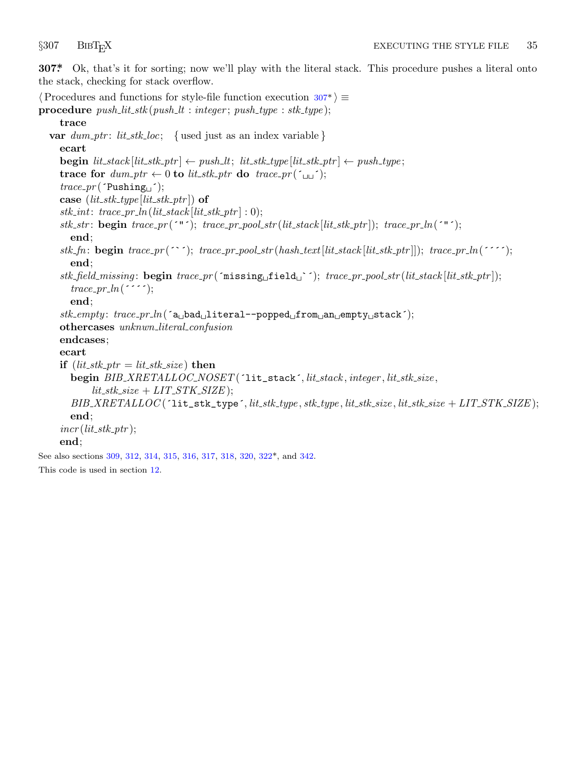<span id="page-35-0"></span>

**307\*.** Ok, that's it for sorting; now we'll play with the literal stack. This procedure pushes a literal onto the stack, checking for stack overflow.

```
⟨Procedures and functions for style-file function execution 307* ⟩ ≡
procedure push lit stk (push lt : integer ; push type : stk type );
     trace
  var dum\_ptr: lit\_stk\_loc; { used just as an index variable }
     ecart
     \mathbf{begin}[} \textit{it\_stack}[{lit\_stk} \rightarrow \textit{ptr}] \leftarrow push\_lt; \textit{lit\_stk\_type}[\textit{lit\_stk\_ptr}] \leftarrow push\_type;trace for dum\_ptr \leftarrow 0 to lit\_stk\_ptr do trace\_pr(\ulcorner \Box \ulcorner);
     trace\_pr('Pusing_{\Box}');
     \textbf{case} \left( \textit{lit\_stk\_type} \left[ \textit{lit\_stk\_ptr} \right] \right) \textbf{of}stk-int: trace\_pr\_ln(lit\_stack[lit\_stk\_ptr] : 0);stk\_str: begin trace\_pr(´"´); trace\_pr\_pool\_str(lit\_stack[lit\_stk\_ptr]); trace\_pr\_ln('"');
        end;
     stk_fn: \textbf{begin trace\_}pr(\text{'}'); \ trace\_pr\_pool\_str(hash\_text[lit\_stack[lit\_stk\_ptr]]); \ trace\_pr\_ln(\text{''}');end;
     stk field missing : begin trace pr (´missing␣field␣`´); trace pr pool str (lit stack [lit stk ptr ]);
        trace\_pr\_ln(end;
     stk empty : trace pr ln(´a␣bad␣literal−−popped␣from␣an␣empty␣stack´);
     othercases unknwn literal confusion
     endcases;
     ecart
     if (lit\_stk\_ptr = lit\_stk\_size) then
        begin BIB XRETALLOC NOSET (´lit_stack´, lit stack , integer , lit stk size ,
              lit\_stk\_size + LIT\_STK\_SIZE );
        BIB\_XRETALLOC ('lit_stk_type', lit_stk_type, stk_type, lit_stk_size, lit_stk_size + LIT_STK_SIZE);
        end;
     incr(lit\_stk\_ptr);end;
See also sections 309, 312, 314, 315, 316, 317, 318, 320, 322*, and 342.
This code is used in section 12.
```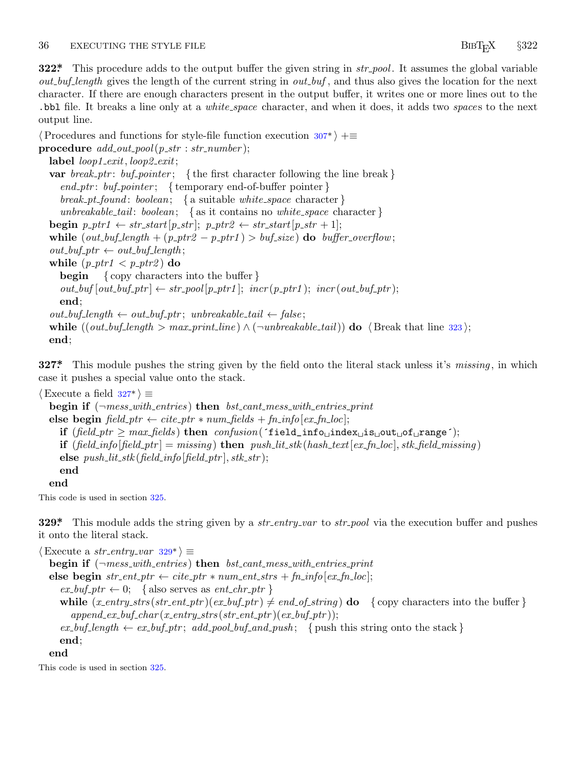<span id="page-36-0"></span>**322\*.** This procedure adds to the output buffer the given [stri](#page-35-0)ng in *str pool* . It assumes the global variable *out buf length* gives the length of the current string in *out buf* , and thus also gives the location for the next character. If there are enough characters present in the output buffer, it writes one or more lines out to the .bbl file. It breaks a line only at a *white space* character, and when it does, it adds two *space* s to the next output line.

*⟨*Procedures and functions for style-file function execution 307\* *⟩* +*≡*  $\mathbf{procedure} \ add\_out\_pool(p\_str : str\_number);$ **label** *loop1 exit, loop2 exit*; **var** *break ptr* : *buf pointer* ; *{* the first character following the line break *} end ptr* : *buf pointer* ; *{* temporary end-of-buffer pointer *} break pt found* : *boolean*; *{* a suitable *white space* character *} unbreakable tail* : *boolean*; *{* as it contains no *white space* character *}* **begin**  $p\_ptr1 \leftarrow str\_start[p\_str]$ ;  $p\_ptr2 \leftarrow str\_start[p\_str + 1]$ ; **while**  $(out_buf\_length + (p_ptr2 - p_ptr1) > buf\_size)$  **do**  $buffer\_overflow$ ;  $out\_buf\_ptr \leftarrow out\_buf\_length;$ **while**  $(p\_ptr1 < p\_ptr2)$  **do begin** *{* copy characters into the buffer *}*  $out\_buf[out\_buf\_ptr] \leftarrow str\_pool[p\_ptr1]$ ;  $incr(p\_ptr1)$ ;  $incr(out\_buf\_ptr)$ ; **end**;  $out\_buf\_length \leftarrow out\_buf\_ptr$ ;  $unbreakable\_tail \leftarrow false$ ; **while**  $((out_buf\_length > max\_print\_line) \land (\neg unbreakable\_tail))$  **do**  $\langle$  Break that line 323);**end**;

**327\*.** This module pushes the string given by the field onto the literal stack unless it's *missing* , in which case it pushes a special value onto the stack.

```
⟨Execute a field 327* ⟩ ≡
  begin if (¬mess with entries ) then bst cant mess with entries print
  else begin field\_ptr \leftarrow cite\_ptr * num\_fields + fn\_info[ex\_fn\_loc];if (\text{field\_ptr} \geq \text{max\_fields}) then \text{confusion}(\text{field\_info}\cup\text{index}\cup\text{is\_out}\cup\text{of}\cup\text{range};
     if (\text{field\_info}[\text{field\_ptr}] = \text{missing}) then \text{push\_lit\_stk}(\text{hash\_text}[\text{ex\_fn\_loc}], \text{stk\_field\_missing})else push\_lit\_stk (field\_info [field\_ptr], stk_str);
     end
```
**end**

This code is used in section 325.

**329\*.** This module adds the string given by a *str entry var* to *str pool* via the execution buffer and pushes it onto the literal stack.

 $\langle$  Execute a *str\_entry\_var*  $329^*$   $\equiv$ **begin if** (*¬mess with entries* ) **then** *bst cant mess with entries print* **else begin**  $str\_ent\_ptr \leftarrow cite\_ptr * num\_ent\_strs + fn\_info[ex\_fn\_loc];$  $ex\_buf\_ptr \leftarrow 0;$  { also serves as  $ent\_chr\_ptr$  } **while**  $(x_{\text{entry}} \cdot \text{str}\_\text{ent} \cdot \text{ptr}) (ex_{\text{-}buf\text{-}ptr}) \neq end_{\text{-}of\text{-}string})$  **do**  $\{ \text{copy characters into the buffer} \}$  $append\_ex\_buf\_char(x\_entry\_strs(str\_ent\_ptr)(ex\_buf\_ptr));$  $ex\_buf\_length \leftarrow ex\_buf\_ptr; add\_pool_buf\_and\_push;$  { push this string onto the stack } **end**; **end**

This code is used in section 325.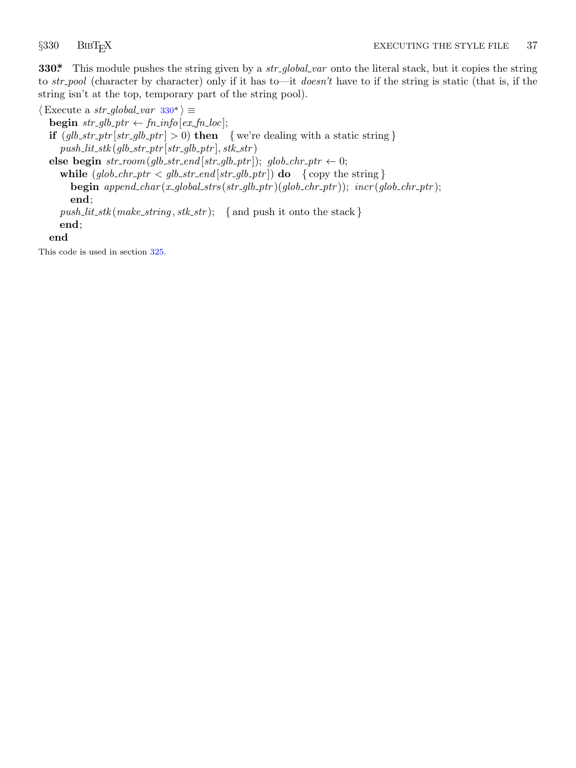<span id="page-37-0"></span>

**330\*.** This module pushes the string given by a *str global var* onto the literal stack, but it copies the string to *str pool* (character by character) only if it has to—it *doesn't* have to if the string is static (that is, if the string isn't at the top, temporary part of the string pool).

 $\langle$  Execute a *str\_global\_var* 330\* $\rangle \equiv$  $\mathbf{begin} \mathbf{b} = \mathbf{b}$  *str\_glb\_ptr*  $\leftarrow$  *fn\_info* [*ex\_fn\_loc*]; **if**  $(glb\_str\_ptr[str\_glb\_ptr] > 0)$  **then** {we're dealing with a static string }  $push\_lit\_stk(glb\_str\_ptr[str\_glb\_ptr], stk\_str)$ **else begin**  $str\_room(glb\_str\_end[str\_glb\_ptr]$ ;  $glob\_chr\_ptr \leftarrow 0$ ; **while**  $(glob\_chr\_ptr < glb\_str\_end[str\_glb\_ptr])$  **do**  $\{copy the string\}$ **begin** *append char* (*x global strs* (*str glb ptr* )(*glob chr ptr* )); *incr* (*glob chr ptr* ); **end**;  $push\_lit\_stk$  ( $make\_string, stk\_str$ ); { and push it onto the stack } **end**; **end** This code is used in section 325.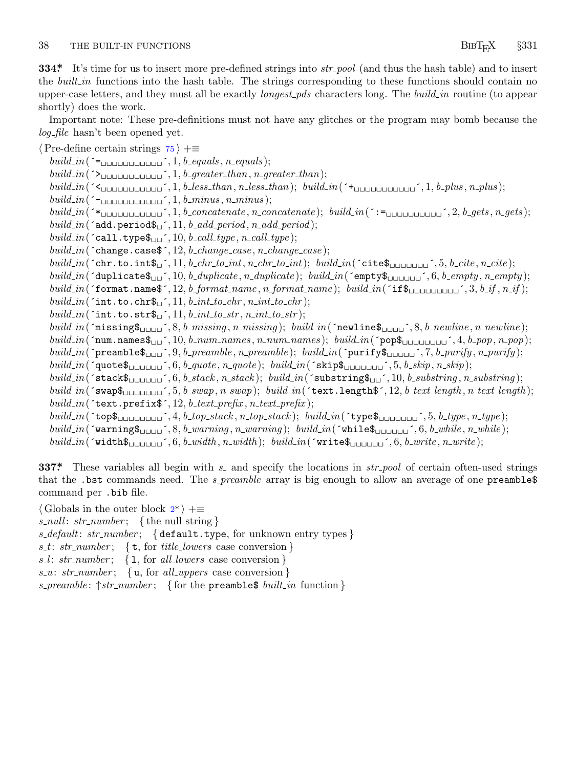<span id="page-38-0"></span>**334\*.** It's time for us to insert more pre-defined strings into *str pool* (and thus the hash table) and to insert the *built in* functions into the hash table. The strings corresponding to these functions should contain no upper-case letters, and they must all be exactly *longest pds* characters long. The *build in* routine (to appear shortly) does the work.

Important note: These pre-definitions must not have any glitches or the program may bomb because the log<sub>-file</sub> hasn't been opened yet.

*⟨*Pre-define certain strings 75 *⟩* +*≡*  $build_in(\text{'=}_{\square \square \square \square \square \square \square \square \square}, 1, b\_equals, n\_equals);$ *build in*(´>␣␣␣␣␣␣␣␣␣␣␣´*,* 1*, b greater than, n greater than*);  $build_in(\text{``*multununununun''*', 1, *b* } less\_than, n\_less\_than); \quad build_in(\text{``*multunununun''*, 1, *b* } plus, n\_plus);$ *build in*(´−␣␣␣␣␣␣␣␣␣␣␣´*,* 1*, b minus , n minus* ); build\_in( $\checkmark$ \*  $build.in('add.period\$ <sub> $\sqcup$ </sub><sup> $\cdot$ </sup>, 11*, b\_add\_period, n\_add\_period*);  $build.in('call.type\\sum', 10, b\_call.type, n\_call.type);$ *build in*(´change.case\$´*,* 12*, b change case , n change case* );  $build.in('chr.to.int\\$(f', 11, b chr_to.int, n chr_to.int); build.in('cite\\$(f', 5, b_cite, n_cite);$  $build_in(\texttt{'duplicate}\$_{\sqcup\sqcup}, 10, b\_ duplicate, n\_ duplicate); build_in(\texttt{'empty}\$_{\sqcup\sqcup\sqcup\sqcup}, 6, b\_empty, n\_empty);$ build\_in( $\text{format.name}\$ , 12, b\_format\_name, n\_format\_name); build\_in( $\text{if}\$ \bu\_u\_u\_u\_u\_{, 3, b\_if, n\_if);  $build.in('int.to.chr$ <sup> $\$ </sup>, 11*, b\_int\_to\_chr , n\_int\_to\_chr* );  $build.in('int.to.str$ <sup> $\text{\textbf{L}}'$ </sup>, 11*, b\_int\_to\_str , n\_int\_to\_str* );  $build_in(\texttt{'missing\$}_\texttt{ULUL}', 8, b\texttt{\_missing}, n\texttt{\_missing}); \; build_in(\texttt{'newline\$}_\texttt{ULUL}', 8, b\texttt{\_newline}, n\texttt{.newline});$  $build.in("num.namess_{\text{full}}', 10, b_number, n_number, n_names); build.in("pop$_{\text{full\_full\_full}}', 4, b.pop, n.pop);$ build\_in('preamble\$\\ingles\left(\index n\_preamble); build\_in('purify\$\\ingles\left(\index n\_purify); n\_purify); *build in*(´quote\$␣␣␣␣␣␣´*,* 6*, b quote , n quote* ); *build in*(´skip\$␣␣␣␣␣␣␣´*,* 5*, b skip, n skip*); *build in*(´stack\$␣␣␣␣␣␣´*,* 6*, b stack , n stack* ); *build in*(´substring\$␣␣´*,* 10*, b substring , n substring* );  $build_in(\texttt{``swap\$_\text{ULULULJ}}', 5, b\_swap, n\_swap); \textit{ build_in(\texttt{``text.length\$', 12, b\_text\_length, n\_text\_length}); }$  $build_in(\text{text.prefix}, 12, b\text{.text.prefix}, n\text{.text.prefix});$  $build.in('top$_{\cup \cup \cup \cup \cup \cup \cup \cup'}', 4, b\_top\_stack, n\_top\_stack); build\_in('type$_{\cup \cup \cup \cup \cup \cup'}', 5, b\_type, n\_type);$ build\_in('warning  $\mathfrak{g}_{\text{L}_1, \text{L}_2, \text{L}_3}$ ', [8](#page-1-0), b\_warning, n\_warning); build\_in('while  $\mathfrak{g}_{\text{L}_1, \text{L}_2, \text{L}_3}$ ', 6, b\_while, n\_while);  $build.in('width$ ,  $\mathfrak{g}_{\text{LULULU}}^{\text{c}}$ , 6*, b\_width , n\_width* ); *build\_in*(´write\$<sub></sub>
<sub>LULULU</sub>', 6*, b\_write* );

**337\*** These variables all begin with  $s$  and specify the locations in  $str-pool$  of certain often-used strings that the .bst commands need. The *s\_preamble* array is big enough to allow an average of one preamble\$ command per .bib file.

*⟨* Globals in the outer block 2\* *⟩* +*≡ s null* : *str number* ; *{* the null string *} s default*: *str number* ; *{* default.type, for unknown entry types *} s t*: *str number* ; *{* t, for *title lowers* case conversion *} s l* : *str number* ; *{* l, for *all lowers* case conversion *} s u*: *str number* ; *{* u, for *all uppers* case conversion *} s preamble* : *↑str number* ; *{* for the preamble\$ *built in* function *}*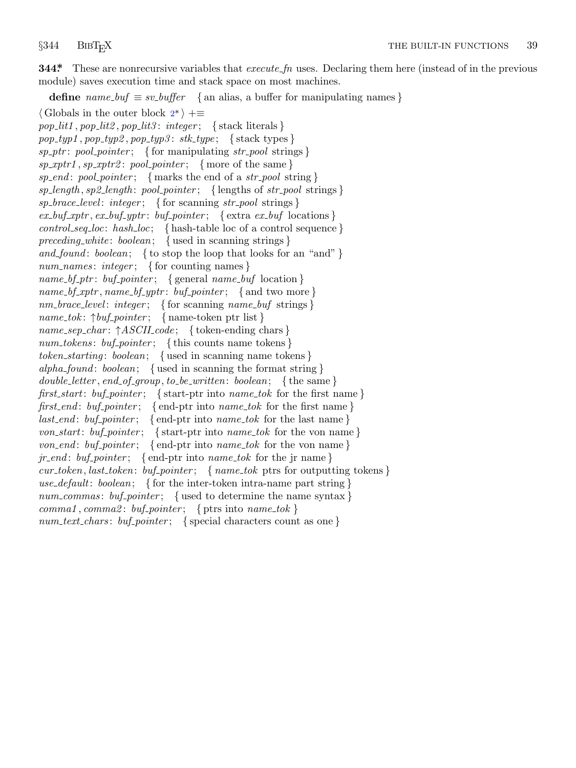<span id="page-39-0"></span>

**344\*.** These are nonrecursive variables that *execute fn* uses. Declaring them here (instead of in the previous module) saves execution time and stack space on most machines.

**define**  $name_buf \equiv sv_buffer \{ \text{an alias, a buffer for manipulating names \}$ *⟨* Globals in the outer block 2\* *⟩* +*≡ pop lit1 , pop lit2 , pop lit3* : *integer* ; *{* stack literals *}*  $pop\_typ1$ ,  $pop\_typ2$ ,  $pop\_typ3$ :  $stk\_type$ ; {stack types} *sp ptr* : *pool pointer* ; *{* for manipulating *str pool* strings *}*  $sp\_xptr1$ ,  $sp\_xptr2$ :  $pool\_pointer$ ; {more of the same} *sp end* : *pool pointer* ; *{* marks the end of a *str pool* string *} sp length , sp2 length* : *pool pointer* ; *{* lengths of *str pool* strings *} sp brace level* : *integer* ; *{* for scanning *str pool* strings *}*  $ex\_buf\_xptr$ ,  $ex\_buf\_yptr$ :  $buf\_pointer$ ;  $\{extra\; ex\_buf\;locations\}$ *control seq loc*: *hash loc*; *{* hash-table loc of a control sequence *} preceding white* : *boolean*; *{* used in scanning strings *} and found* : *boolean*; *{* to stop the loop that looks for an "and" *} num names* : *integer* ; *{* for counting names *} name bf ptr* : *buf pointer* ; *{* general *name buf* location *} name bf xptr , name bf yptr* : *buf pointer* ; *{* and two more *} nm brace level* : *integer* ; *{* for scanning *name buf* strings *} name tok* : *↑buf pointer* ; *{* name-token ptr list *} name sep char* : *↑ASCII code* ; *{* token-ending chars *} num tokens* : *buf pointer* ; *{* this counts name tokens *} token starting* : *boolean*; *{* used in scanning name tokens *} alpha found* : *boolean*; *{* used in scanning the format string *} double letter , end of group, to be written*: *boolean*; *{* the same *} first start*: *buf pointer* ; *{* start-ptr into *name tok* for the first name *} first end* : *buf pointer* ; *{* end-ptr into *name tok* for the first name *} last end* : *buf pointer* ; *{* end-ptr into *name tok* for the last name *} von start*: *buf pointer* ; *{* start-ptr into *name tok* for the von name *} von end* : *buf pointer* ; *{* end-ptr into *name tok* for the von name *} jr end* : *buf pointer* ; *{* end-ptr into *name tok* for the jr name *} cur token, last token*: *buf pointer* ; *{ name tok* ptrs for outputting tokens *} use default*: *boolean*; *{* for the inter-token intra-name part string *} num commas* : *buf pointer* ; *{* used to determine the name syntax *}*  $command:$   $command:$   $\{ \text{p} \in \mathbb{Z} \}$   $\{ \text{p} \in \mathbb{Z} \}$   $\{ \text{p} \in \mathbb{Z} \}$   $\{ \text{p} \in \mathbb{Z} \}$   $\{ \text{p} \in \mathbb{Z} \}$ *num text chars* : *buf pointer* ; *{* special characters count as one *}*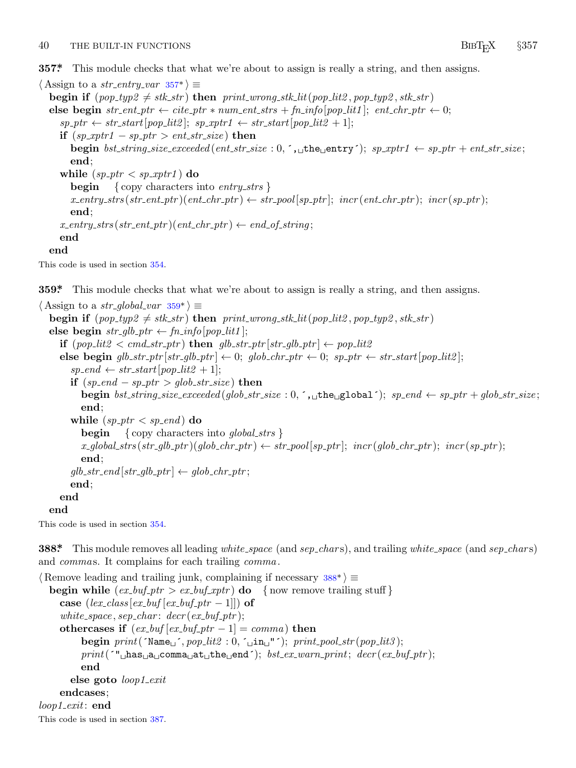### <span id="page-40-0"></span><sup>40</sup> THE BUILT-IN FUNCTIONS <sup>B</sup>ibTEX *§*<sup>357</sup>

**357\*.** This module checks that what we're about to assign is really a string, and then assigns.

 $\langle$  Assign to a *str\_entry\_var* 357\* $\rangle \equiv$ **begin if**  $(pop\_type2 \neq sk\_str)$  **then**  $print\_wrong\_stk\_lit(pop\_lit2, pop\_type2, sk\_str)$ **else begin**  $str{\text -}ent{\text -}ptr\leftarrow cite{\text -}ptr*num{\text -}ent{\text -}strs+fn{\text -}info[pop{\text -}lit1]; ent{\text -}chr{\text -}ptr\leftarrow 0;$  $\{sp\_ptr \leftarrow str\_start[pop\_lit2]; sp\_xptr1 \leftarrow str\_start[pop\_lit2 + 1];\}$ **if**  $(sp\_xptr1 - sp\_ptr > ent\_str\_size)$  **then begin**  $bst\_string\_size\_exceeded(ent\_str\_size : 0, ',\_\_\_\_\_\_\_\_\_\_y');$   $sp\_xptr1 \leftarrow sp\_ptr + ent\_str\_size;$ **end**; **while**  $(sp\_ptr < sp\_xptr1})$  **do begin** *{* copy characters into *entry strs }*  $x_{\textit{-entry\_strs}}(\textit{str{\_}ent{\_}ptr})(\textit{ent{\_}chr{\_}ptr}) \leftarrow str\_pool[sp{\_}ptr]; \textit{incr}(\textit{ent{\_}chr{\_}ptr}); \textit{incr}(sp{\_}ptr);$ **end**;  $x$  *entry\_strs* ( $str$  *ent\_ptr* )( $ent$  *chr\_ptr*)  $\leftarrow$  *end\_of\_string*; **end end**

This code is used in section 354.

**359\*.** This module checks that what we're about to assign is really a string, and then assigns.

```
\langle Assign to a str_global_var 359^* \equivbegin if (pop\_type2 \neq sk\_str) then print\_wrong\_stk\_lit(pop\_lit2, pop\_type2, sk\_str)else begin str\_glb\_ptr \leftarrow fin\_info[pop\_lit1];if (pop\_lit2 < cmd\_str\_ptr) then glb\_str\_ptr[str\_glb\_ptr] \leftarrow pop\_lit2else begin glb\_str\_ptr[str\_glb\_ptr] \leftarrow 0; glob\_chr\_ptr \leftarrow 0; sp\_ptr \leftarrow str\_start[pop\_lit2];
        sp\_end \leftarrow str\_start[pop\_lit2 + 1];if (sp\_end - sp\_ptr > glob\_str\_size) then
           begin bst\_\n}{str}size\_\n}{ex}{ex}{ed}(glob\_\n}{str}size: 0, ',\n \_\text{the} \_\text{g} \_\text{obs} 1, ; \, sp\_\n}{end \leftarrow sp\_\n}{tr + glob\_\n}{str}size;end;
        while (sp\_ptr < sp\_end) do
           begin { copy characters into global strs }
           x\_global\_strs(str\_glb\_ptr)(glob\_chr\_ptr) \leftarrow str\_pool[sp\_ptr]; incr(glob\_chr\_ptr); incr(sp\_ptr);
           end;
        glb\_str\_end [str\_glb\_ptr] \leftarrow glob\_chr\_ptr;end;
     end
  end
```
This code is used in section 354.

**388\*.** This module removes all leading *white space* (and *sep char* s), and trailing *white space* (and *sep char* s) and *commas*. It complains for each trailing *comma*.

*⟨* Remove leading and trailing junk, complaining if necessary 388\* *⟩ ≡* **begin while** (*ex buf ptr > ex buf xptr* ) **do** *{* now remove trailing stuff *}* **case**  $\left( \frac{lex\_class}{lex\_buf} \left[ \frac{ex\_buf\_ptr-1}{\right] \right)$  **of**  $white\_space$ ,  $sep\_char:$   $decr(ex\_buf\_ptr);$ **othercases if**  $(ex_buf[ex_buf_ptr-1] = comm$ **)** then **begin**  $print('Name<sub>□</sub>', pop\_lit2 : 0, '□in<sub>□</sub>"'); print\_pool\_str(pop\_lit3);$ *print*(´"␣has␣a␣comma␣at␣the␣end´); *bst ex warn print*; *decr* (*ex buf ptr* ); **end else goto** *loop1 exit* **endcases**; *loop1 exit*: **end** This code is used in section 387.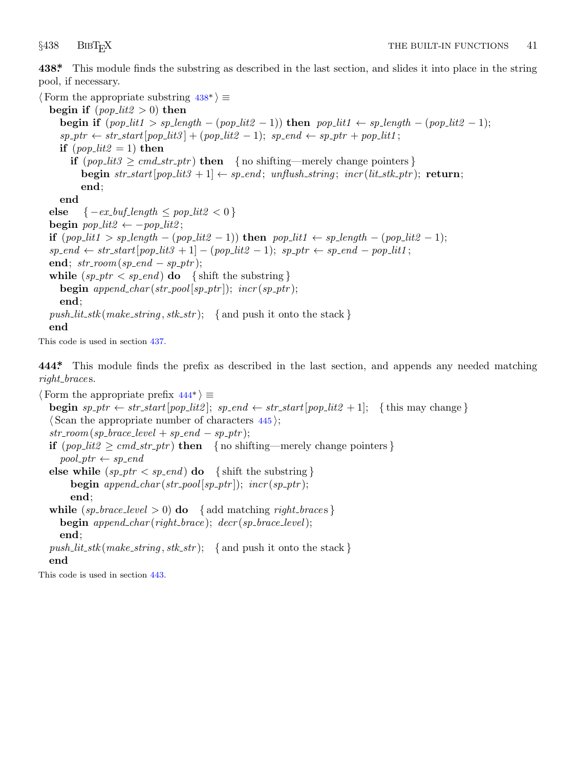<span id="page-41-0"></span>

**438\*.** This module finds the substring as described in the last section, and slides it into place in the string pool, if necessary.

*⟨* Form the appropriate substring 438\* *⟩ ≡* **begin if**  $(pop\_lit2 > 0)$  **then begin if**  $(pop\_lit1 > sp\_length - (pop\_lit2 - 1))$  then  $pop\_lit1 \leftarrow sp\_length - (pop\_lit2 - 1);$  $s$ *p*- $p$ *tr*  $\leftarrow$  *str\_start*[ $pop\_lit3$ ] + ( $pop\_lit2 - 1$ );  $sp\_end \leftarrow sp\_ptr + pop\_lit1$ ; **if**  $(pop\_lit2 = 1)$  **then if**  $(pop\_lit3 \geq cmd\_str\_ptr)$  **then** { no shifting—merely change pointers } **begin**  $str\_start[pop\_lit3 + 1] \leftarrow sp\_end; unflush\_string; incr(lit\_stk\_ptr);$  **return**; **end**; **end else**  ${ -ex\_buf\_length \le pop\_lit2 < 0 }$  $\mathbf{begin} \n\mathbf{p} \neq \mathbf{p} \neq \mathbf{p} \neq \mathbf{p} \neq \mathbf{p} \neq \mathbf{p} \neq \mathbf{p} \neq \mathbf{p} \neq \mathbf{p} \neq \mathbf{p} \neq \mathbf{p} \neq \mathbf{p} \neq \mathbf{p} \neq \mathbf{p} \neq \mathbf{p} \neq \mathbf{p} \neq \mathbf{p} \neq \mathbf{p} \neq \mathbf{p} \neq \mathbf{p} \neq \mathbf{p} \neq \mathbf{p} \neq \mathbf{p} \neq \mathbf{p$ if  $(pop\_lit1 > sp\_length - (pop\_lit2 - 1))$  then  $pop\_lit1 \leftarrow sp\_length - (pop\_lit2 - 1);$  $s$ *p\_end*  $\leftarrow$  *str\_start*[ $pop\_lit3 + 1] - (pop\_lit2 - 1)$ ;  $sp\_ptr \leftarrow sp\_end - pop\_lit1$ ; **end**;  $str\_room(sp\_end - sp\_ptr)$ ; **while**  $(sp\_ptr < sp\_end)$  **do**  ${\text{shift the substring}}$ **begin**  $append\_char(str\_pool[sp\_ptr]$ ;  $incr(sp\_ptr)$ ; **end**;  $push\_lit\_stk$  (*make\_string*,  $stk\_str$ ); { and push it onto the stack } **end**

This code is used in section 437.

**444\*.** This module finds the prefix as described in the last section, and appends any needed matching *right brace* s.

*⟨* Form the appropriate prefix 444\* *⟩ ≡* **begin**  $sp\_ptr \leftarrow str\_start[pop\_lit2]$ ;  $sp\_end \leftarrow str\_start[pop\_lit2 + 1]$ ; {this may change} *⟨* Scan the appropriate number of characters 445 *⟩*;  $str\_room(sp\_brace-level + sp\_end - sp\_ptr);$ **if**  $(pop\_lit2 \geq cmd\_str\_ptr)$  **then** { no shifting—merely change pointers }  $pool\_ptr \leftarrow sp\_end$ **else while**  $(sp\_ptr < sp\_end)$  **do**  ${\{ \text{shift the substring } \}}$ **begin**  $append\_char(str\_pool[sp\_ptr])$ ;  $incr(sp\_ptr)$ ; **end**; **while**  $(sp\_brace = level > 0)$  **do**  $\{ add matching right\_braces\}$ **begin** *append char* (*right brace* ); *decr* (*sp brace level*); **end**;  $push\_lit\_stk$  (*make\_string*,  $stk\_str$ ); { and push it onto the stack } **end**

This code is used in section 443.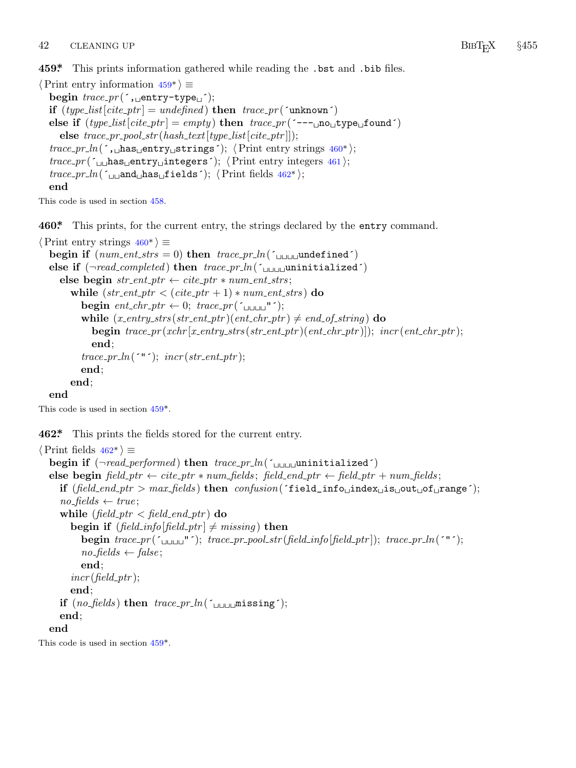# <span id="page-42-0"></span>42 CLEANING UP BIBT<sub>E</sub>X §455

**459\*.** This prints information gathered while reading the .bst and .bib files.

```
⟨Print entry information 459* ⟩ ≡
  begin trace pr (´,␣entry−type␣´);
  if (type\_list[cite\_ptr] = undefined) then trace\_pr('unknown')else if (type\_list[cite\_ptr] = empty) then trace\_pr (´---□no□type□found´)
    \mathbf{else} \mathit{trace\_pr\_pool\_str}(\mathit{hash\_text}[\mathit{type\_list}[\mathit{cite\_ptr}]]);trace pr ln(´,␣has␣entry␣strings´); ⟨Print entry strings 460* ⟩;
  trace pr (´␣␣has␣entry␣integers´); ⟨Print entry integers 461 ⟩;
  trace\_pr\_ln( \sim_{\text{L}}and\simhas\simfields\sim); \langlePrint fields 462*\rangle;
  end
```
This code is used in section 458.

**460\*.** This prints, for the current entry, the strings declared by the entry command.

```
⟨Print entry strings 460* ⟩ ≡
  \text{begin if } (num\_ent\_strs = 0) \text{ then } trace\_pr\_ln(\text{``f\_t\_t\_t\_t\_model\_new})else if (\neg read\_completed) then trace\_pr\_ln(\neg \text{number}) completed \land\mathbf{else} \mathbf{begin} \text{ } str\_ent\_ptr \leftarrow cite\_ptr * num\_ent\_strs;while (str\_ent\_ptr < (cite\_ptr + 1) * num\_ent\_strs) do
           begin ent\_chr\_ptr \leftarrow 0; trace\_pr('\Box \Box \Box'');
           while (x_{\textit{-entry\_strs}}(str_{\textit{-ent\_ptr}})(ent_{\textit{-chr\_ptr}}) \neq end_{\textit{-of\_string}}) do
              begin trace\_pr(xchr[x\_entry\_strs(str\_ent\_ptr)(ent\_chr\_ptr)]; incr(ent\_chr\_ptr);
              end;
           trace\_pr\_ln('"'); incr(str\_ent\_ptr);end;
        end;
  end
```
This code is used in section 459\*.

**462\*.** This prints the fields stored for the current entry.

```
⟨Print fields 462* ⟩ ≡
  begin if (\neg read\_performed) then trace\_pr\_ln(\neg \text{number}) tungualized \landelse begin field ptr ← cite ptr ∗ num fields ; field end ptr ← field ptr + num fields ;
     if (\text{field-end\_ptr} > \text{max}\text{-fields}) then \text{confusion}(\text{field}\text{-}\text{info}\text{-}\text{index}\text{-}\text{is}\text{-}\text{out}\text{-}\text{of}\text{-}\text{range};
      no_{\text{f}f}ields \leftarrow true;while (\text{field\_ptr} < \text{field\_end\_ptr}) do
         begin if (field_info[field\_ptr] \neq missing) then
            begin trace_pr (\sim<sub>UUUU</sub>"\sim); trace_pr_pool_str (field_info [field_ptr]); trace_pr_ln(\sim"\sim);
            no\_fields \leftarrow false;end;
         incr (field\_ptr);
         end;
     if (no_{\text{field}}) then trace_{\text{p}}r_{\text{all}}(z_{\text{full}}) right;
     end;
  end
```
This code is used in section 459\*.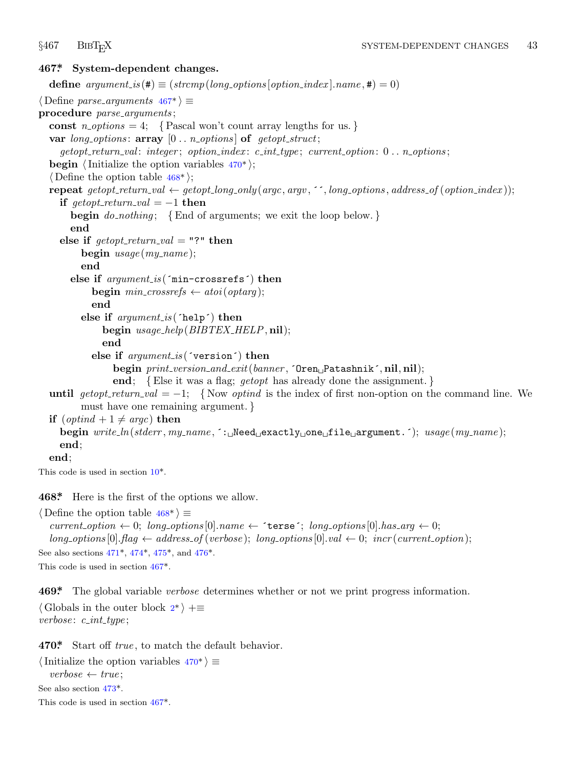<span id="page-43-0"></span>

### **467\*. System-dependent changes.**

**define**  $argument_is(\textbf{\#}) \equiv (stromp(long-options[option_index].name, \textbf{\#}) = 0)$ *⟨* Define *parse arguments* 467\* *⟩ ≡* **procedure** *parse arguments* ; const  $n\_options = 4$ ; {Pascal won't count array lengths for us.} **var** *long options* : **array** [0 *. . n options* ] **of** *getopt struct*; *getopt return val* : *integer* ; *option index* : *c int type* ; *current option*: 0 *. . n options* ; **begin**  $\langle$ Initialize the option variables  $470^*$ ; *⟨* Define the option table 468\* *⟩*; **repeat** getopt\_return\_val  $\leftarrow$  getopt\_long\_only(argc, argv, '', long\_options, address\_of(option\_index)); **if**  $\text{get} \text{opt}\text{-} \text{return}\text{-}\text{val} = -1$  **then begin** *do nothing* ; *{*End of arguments; we exit the loop below. *}* **end else if**  $\text{getopt-return\_val} = "?"$  **then begin** *usage* (*my name* ); **end else if** *argument is* (´min−crossrefs´) **then begin**  $min\_crossrefs \leftarrow atoi(optarg);$ **end else if** *argument is* (´help´) **then begin** *usage help*(*BIBTEX HELP,* **nil**); **end else if** *argument is* (´version´) **then begin** *print version and exit*(*banner ,* ´Oren␣Patashnik´*,* **nil***,* **nil**); **end**; *{*Else it was a flag; *getopt* has already done the assignment. *}* **until**  $qetopt\_return\_val = -1$  $qetopt\_return\_val = -1$  $qetopt\_return\_val = -1$ ; {Now *optind* is the index of first non-option on the command line. We must have one remaining argument. *}* **if**  $(\text{optind} + 1 \neq \text{argc})$  **then begin** *write ln*(*stderr , my name ,* ´:␣Need␣exactly␣one␣file␣argument.´); *usage* (*my name* ); **end**; **end**; This code is used [in](#page-44-0) se[ction](#page-44-0) [10\\*.](#page-44-0)

**468\*.** Here is the first of the options we allow.

*⟨* Define the option table 468\* *⟩ ≡*  $current\_option \leftarrow 0$  $current\_option \leftarrow 0$  $current\_option \leftarrow 0$ ;  $long\_options[0].name \leftarrow 'ters'$ ;  $long\_options[0].has\_arg \leftarrow 0$ ;  $long\_options[0].flag \leftarrow address\_of(verpose); long\_options[0].val \leftarrow 0; incr(current\_option);$ See also sections 471\*, 474\*, 475\*, and 476\*. This code is used in section 467\*.

**469\*.** The global variable *verbose* determines whether or not we print progress information. *⟨* Globals in t[he o](#page-44-0)uter block 2\* *⟩* +*≡ verbose* : *c int type* ;

**470\*.** Start off *true* , to match the default behavior.

```
⟨Initialize the option variables 470* ⟩ ≡
  verbose ← true ;
See also section 473*.
This code is used in section 467*.
```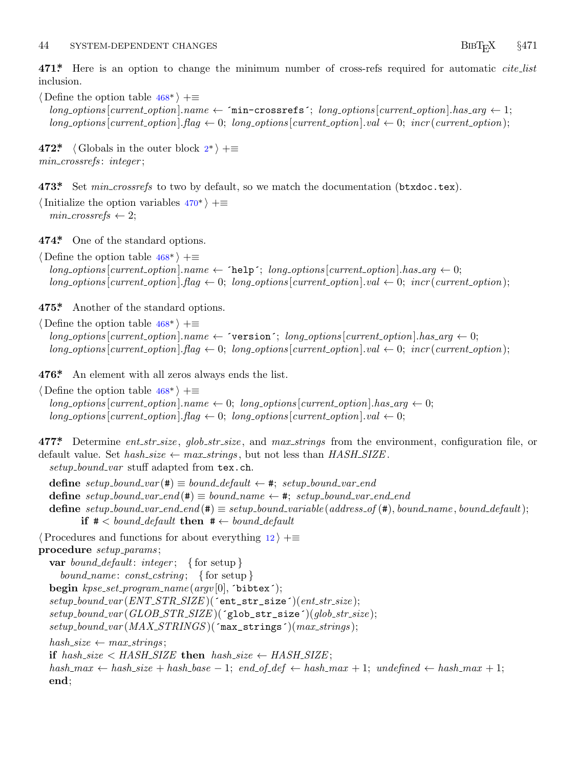### <span id="page-44-0"></span><sup>44</sup> SYSTEM-DEPENDENT CHANGES <sup>B</sup>ibTEX *§*<sup>471</sup>

**471\*.** Here is an option to chan[ge](#page-1-0) the minimum number of cross-refs required for automatic *cite list* inclusion.

*⟨* Define the option table 468\* *⟩* +*≡*  $long-options[current\_option].name \leftarrow 'min-crosssets'; long\_options[current\_option].has_{avg} \leftarrow 1;$  $long-options$  [*current\_option*]*.[flag](#page-43-0)*  $\leftarrow 0$ ; *long\_options* [*current\_option*]*.val*  $\leftarrow 0$ ; *incr* (*current\_option*);

**472\***  $\langle$  Globals in the outer block  $2^*$   $\rangle$  += *min crossrefs* : *integer* ;

**473\*.** Set *min crossrefs* [to](#page-43-0) two by default, so we match the documentation (btxdoc.tex).

*⟨*Initialize the option variables 470\* *⟩* +*≡*  $min\_crossrefs \leftarrow 2$ ;

**474\*.** One of the stand[ard o](#page-43-0)ptions.

*⟨* Define the option table 468\* *⟩* +*≡*  $long\rightarrow$   $points[current\_\textit{option}]$ *.name*  $\leftarrow$  **´help´;**  $long\_\textit{option}[current\_\textit{option}]$ *.has*  $arg \leftarrow 0$ ;  $long\_options$  [*current\_option*]*.flag*  $\leftarrow 0$ ; *long\_options* [*current\_option*]*.val*  $\leftarrow 0$ ; *incr* (*current\_option*);

**475\*.** Another of the st[and](#page-43-0)ard options.

*⟨* Define the option table 468\* *⟩* +*≡*  $long\_options[current\_option].name \leftarrow 'version'; long\_options[current\_option].has_arg \leftarrow 0;$  $long-options$  [*current\_option*]*.flag*  $\leftarrow 0$ ; *long\_options* [*current\_option*]*.val*  $\leftarrow 0$ ; *incr* (*current\_option*);

**476\*.** An element with all zeros always ends the list.

*⟨* Define the option table 468\* *⟩* +*≡*  $long\_options[current\_option].name \leftarrow 0; long\_options[current\_option].has\_arg \leftarrow 0;$  $long\_options[current\_option]$ *.* $flag \leftarrow 0$ ;  $long\_options[current\_option]$ *.val*  $\leftarrow 0$ ;

**477\*.** Determine *ent str size* , *glob str size* , and *max strings* from the environment, configuration file, or default value. Set  $hash\_size \leftarrow max\_strings$ , but not less than  $HASH\_SIZE$ .

*setup bound var* stuff adapted from tex.ch.

 $\text{define } setup\_bound\_var(\texttt{\#}) \equiv bound\_default \leftarrow \texttt{\#}; setup\_bound\_var\_end$  $\text{define } setup\_bound\_var\_end(\#) \equiv bound\_name \leftarrow *, \text{ setup\_bound\_var\_end\_end$ **define** setup\_bound\_var\_end\_end(#)  $\equiv$  setup\_bound\_variable(address\_of(#), bound\_name, bound\_default); **if**  $#$  < bound\_default **then**  $#$   $\leftarrow$  bound\_default

*⟨*Procedures and functions for about everything 12 *⟩* +*≡*

**procedure** *setup params* ;

**var** *bound default*: *integer* ; *{* for setup *} bound name* : *const cstring* ; *{* for setup *}* **begin** *kpse set program name* (*argv* [0]*,* ´bibtex´); *setup bound var* (*ENT STR SIZE* )(´ent\_str\_size´)(*ent str size* ); *setup bound var* (*GLOB STR SIZE* )(´glob\_str\_size´)(*glob str size* ); *setup bound var* (*MAX STRINGS* )(´max\_strings´)(*max strings* );  $hash\_size \leftarrow max\_strings;$ **if**  $hash\_size <$   $HASH\_SIZE$  **then**  $hash\_size \leftarrow$   $HASH\_SIZE$ ;  $hash\_max \leftarrow hash\_size + hash\_base - 1; end\_of\_def \leftarrow hash\_max + 1; undefined \leftarrow hash\_max + 1;$ **end**;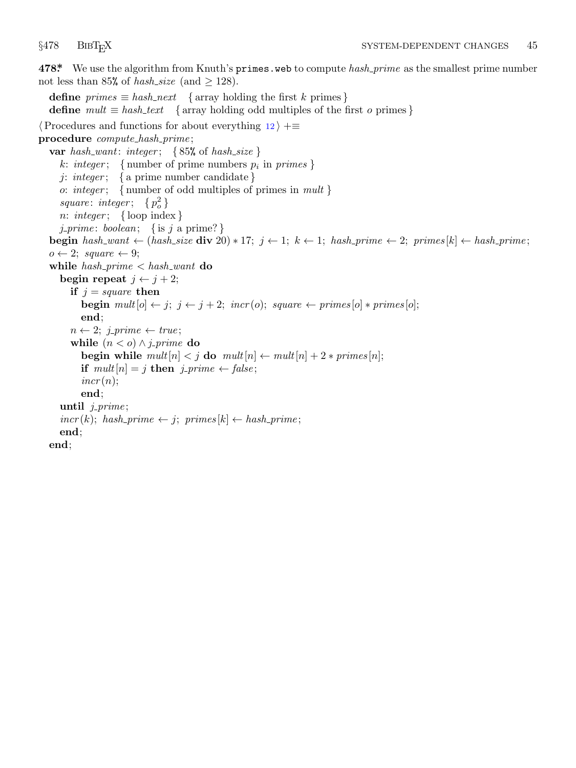<span id="page-45-0"></span>

**478\*.** We use the algorithm from Knuth's primes.web to compute *hash prime* as the smallest prime number not less than 85% of *hash\_size* (and  $\geq$  128).

**define**  $\text{primes} \equiv \text{hash\_next}$  { array holding the first *k* primes } **define**  $mult \equiv hash\_text$  { array holding odd multiples of the first *o* primes } *⟨*Procedures and functions for about everything 12 *⟩* +*≡* **procedure** *compute hash prime* ; **var** *hash want*: *integer* ; *{* 85% of *hash size }*  $k: integer; \{ number of prime numbers p_i in primes \}$ *j*: *integer* ; *{* a prime number candidate *} o*: *integer* ; *{* number of odd multiples of primes in *mult }*  $square: integer: \{p_o^2\}$ *n*: *integer* ; *{* loop index *} j prime* : *boolean*; *{* is *j* a prime? *}* **begin** hash\_want  $\leftarrow$  (hash\_size **div** 20)  $*$  17;  $j \leftarrow 1$ ;  $k \leftarrow 1$ ; hash\_prime  $\leftarrow$  2; primes[k]  $\leftarrow$  hash\_prime;  $o \leftarrow 2$ ; *square*  $\leftarrow 9$ ; **while** *hash prime < hash want* **do begin repeat**  $j \leftarrow j + 2$ ; **if**  $j = square$  **then begin**  $mult[*o*] \leftarrow j; j \leftarrow j + 2; incr(o); square \leftarrow primes[*o*] * primes[*o*];$ **end**;  $n \leftarrow 2$ ; *j\_prime*  $\leftarrow true$ ; **while**  $(n < o) \land j$ *-prime* **do begin while**  $mult[n] < j$  **do**  $mult[n] \leftarrow mult[n] + 2 * primes[n];$ **if**  $mult[n] = j$  **then**  $j\_prime \leftarrow false$ ;  $incr(n);$ **end**; **until** *j prime* ;  $incr(k)$ ;  $hash\_prime \leftarrow j$ ;  $primes[k] \leftarrow hash\_prime$ ; **end**; **end**;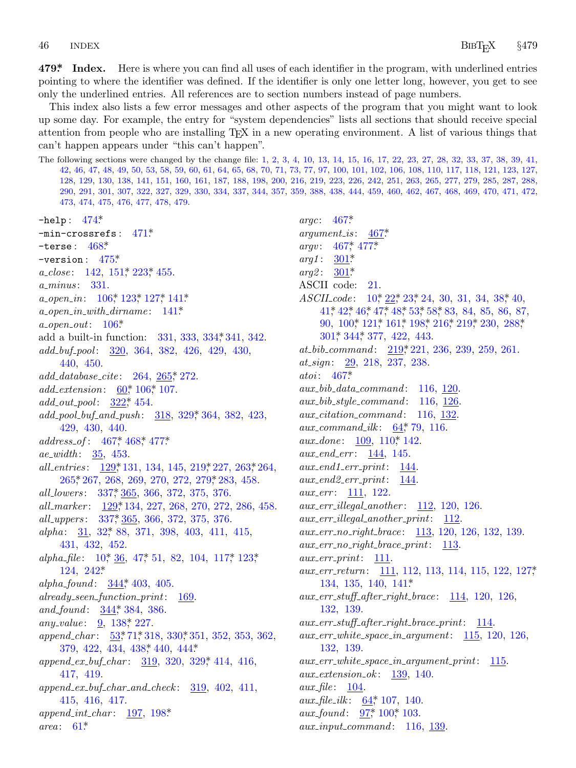### <span id="page-46-0"></span>46 **INDEX**

479\* Index. Here is where you can find all uses of each identifier in the program, with underlined entries pointing to where the identifier was defined. If the identifier is only one letter long, however, you get to see only the underlined entries. All references are to section numbers instead of page numbers.

This index also lists a few error messages and other aspects of the program that you might want to look up some day. For example, the entry for "system dependencies" lists all sections that should receive special attention from people who are installing T<sub>F</sub>X in a new operating environment. A list of various things that can't happen appears under "this can't happen".

The following sections were changed by the change file: 1, 2, 3, 4, 10, 13, 14, 15, 16, 17, 22, 23, 27, 28, 32, 33, 37, 38, 39, 41, 42, 46, 47, 48, 49, 50, 53, 58, 59, 60, 61, 64, 65, 68, 70, 71, 73, 77, 97, 100, 101, 102, 106, 108, 110, 117, 118, 121, 123, 127, 128, 129, 130, 138, 141, 151, 160, 161, 187, 188, 198, 200, 216, 219, 223, 226, 242, 251, 263, 265, 277, 279, 285, 287, 288, 290, 291, 301, 307, 322, 327, 329, 330, 334, 337, 344, 357, 359, 388, 438, 444, 459, 460, 462, 467, 468, 469, 470, 471, 472, 473, 474, 475, 476, 477, 478, 479.

 $-$ help:  $474*$  $-$ min-crossrefs:  $471$ <sup>\*</sup> -terse:  $468^*$ -version:  $475^*$  $a_{\text{}}close: 142, 151^*223^*455.$ *a\_minus*: 331.  $a\_open\_in$ :  $106^*$ ,  $123^*$ ,  $127^*$ ,  $141^*$  $a\_open\_in\_with\_dirname: 141*$  $a\text{-}open\text{-}out: 106*$ add a built-in function: 331, 333, 334, 341, 342.  $add\_buf\_pool$ : 320, 364, 382, 426, 429, 430, 440, 450.  $add\_database\_cite: 264, 265*272.$  $add\_extension: 60^*106^*107.$  $add\_out\_pool: 322^*$ , 454. add\_pool\_buf\_and\_push: 318, 329\* 364, 382, 423, 429, 430, 440.  $address\_of: 467^* 468^* 477^*$ *ae\_width*:  $35, 453$ . all\_entries: 129, 131, 134, 145, 219, 227, 263, 264, 265, 267, 268, 269, 270, 272, 279, 283, 458. all\_lowers: 337, 365, 366, 372, 375, 376. all\_marker: 129, 134, 227, 268, 270, 272, 286, 458. all\_uppers: 337, 365, 366, 372, 375, 376. alpha: 31, 32, 88, 371, 398, 403, 411, 415, 431, 432, 452. alpha\_file:  $10^*$ ,  $36$ ,  $47^*$ ,  $51$ ,  $82$ ,  $104$ ,  $117^*$ ,  $123^*$  $124, 242*$ alpha\_found:  $\frac{344}{3}$ , 403, 405.  $already\_seen\_function\_print:$  169. and\_found: 344, 384, 386. any\_value:  $9, 138$ <sup>\*</sup>, 227. append\_char: 53,\* 71,\* 318, 330,\* 351, 352, 353, 362,  $379, 422, 434, 438, 440, 444$ append\_ex\_buf\_char: 319, 320, 329, 414, 416, 417, 419.  $append\_ex\_buf\_char\_and\_check:$  319, 402, 411, 415, 416, 417.  $append\_int\_char: \quad \underline{197}, \; 198*$  $area: 61*$ 

*argc*:  $467*$  $argument_is: 467*$ *argv*:  $467$ <sup>\*</sup>,  $477$ <sup>\*</sup>  $301*$  $arg1$ :  $301*$  $arg2$ : ASCII code: 21. ASCILcode: 10, 22, 23, 24, 30, 31, 34, 38, 40,  $41^*$ ,  $42^*$ ,  $46^*$ ,  $47^*$ ,  $48^*$ ,  $53^*$ ,  $58^*$ , 83, 84, 85, 86, 87, 90, 100, 121, 161, 198, 216, 219, 230, 288,  $301^*$  344\* 377, 422, 443.  $at\_bib\_command: \quad 219, 221, 236, 239, 259, 261.$ at\_sign: 29, 218, 237, 238.  $atoi: 467*$  $aux\_{bib\_}data\_{command}: 116, 120.$  $aux\_bib\_style\_command: 116, 126$  $aux\_citation\_command:$  116, 132. *aux\_command\_ilk*:  $64$ <sup>\*</sup>, 79, 116.  $aux\_done: 109, 110, 142.$ aux\_end\_err: 144, 145.  $aux\_end1\_err\_print: 144.$  $aux\_end2_error\_print: 144.$ *aux\_err*: 111, 122.  $aux_error$ -illegal-another: 112, 120, 126.  $aux_error$ -illegal\_another\_print: 112. aux\_err\_no\_right\_brace: 113, 120, 126, 132, 139.  $aux_error\_right\_brace\_print: 113.$  $aux_error\_print: 111.$  $aux_error$ :  $111, 112, 113, 114, 115, 122, 127$  $134, 135, 140, 141^*$  $aux_error.tuff_{a}fter_{r}ight_{b}race: 114, 120, 126,$ 132, 139.  $aux\_err\_stuff\_after\_right\_brace\_print:$  114.  $aux_error_white\_space_in_argument: 115, 120, 126,$ 132, 139.  $aux\_err\_white\_space\_in\_argument\_print:$  115.  $aux\_extension\_ok:$  139, 140.  $aux_{\mathcal{I}}$ file: 104.  $aux_{\text{m}}$ file ilk: 64,\* 107, 140.  $aux\_found: 97*100*103.$  $aux\_input\_command:$  116, 139.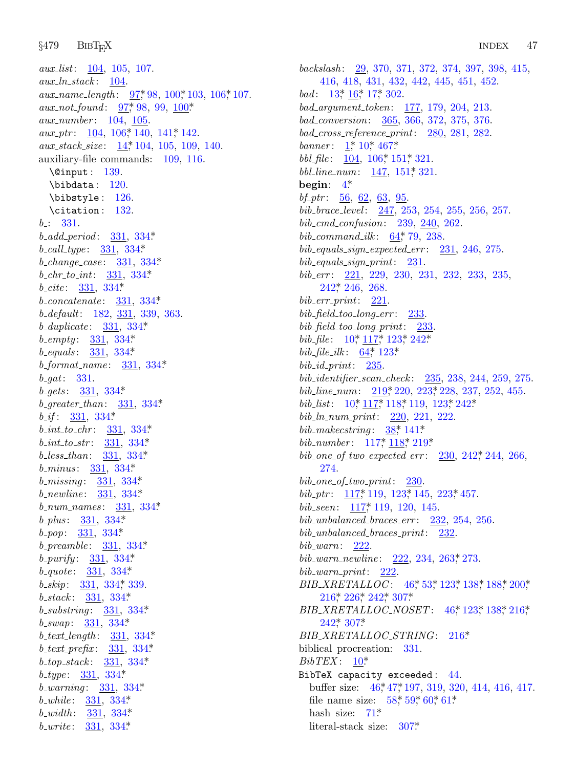*§*479 BibTEX INDEX <sup>47</sup>

*aux list*: 104, 1[05,](#page-4-0) 107. *aux ln stack* : 104. *aux\_name\_length* : 97,\*98, 100,\*103, 106,\*107. *aux\_not\_found*: 97\*, 98, 99, 100\*. *aux number* : 104, 105. *aux\_ptr* :  $\underline{104}$ , 106, 140, 141, 142. *aux stack size* : 14\*, 104, 105, 109, 140. auxiliary-file comma[nds:](#page-38-0) 109, 116. \@input : 139. \bibdata : 120. \bibstyle : 126[.](#page-38-0) \citation : [1](#page-38-0)32. *b* : 331. *b add period* : 331, [3](#page-38-0)34\*. *b call type* : 331, [334\\*.](#page-38-0) *b change case* : [331](#page-38-0), 334\*. *b chr to int*: 3[31,](#page-38-0) 334\*. *b cite* : 331, 334\*. *b concatenate* : 331, 334\*. *b default*: 18[2,](#page-38-0) 331, 339, 363. *b duplicate* : 331, 33[4\\*.](#page-38-0) *b empty* : [331,](#page-38-0) 334\*. *b equals* : 331, 334[\\*.](#page-38-0) *b format name* : 3[31,](#page-38-0) 334\*. *b gat*: 331. *b gets* : 331, 3[34\\*.](#page-38-0) *b greater than*: [331,](#page-38-0) 334\*. *b if* : 331, 334\*. *b int to chr* : 331, 3[34\\*.](#page-38-0) *b int to str* : [331,](#page-38-0) 334\*. *b less than*: [331](#page-38-0), 334\*. *b minus* : 331, 33[4\\*.](#page-38-0) *b missing* : 331, [33](#page-38-0)4\*. *b newline* : 33[1,](#page-38-0) 334\*. *b num names* : [3](#page-38-0)31, 334\*. *b plus* : 331, [334\\*.](#page-38-0) *b pop*: 331, 334\*. *b preamble* : 3[31,](#page-38-0) [334\\*.](#page-38-0) *b purify* : 331, 334[\\*](#page-38-0). *b quote* : 331, 334\*. *b skip*: 331, 334\*, [339](#page-38-0). *b stack* : 331, [33](#page-38-0)4\*. *b substring* : 331, [334](#page-38-0)\*. *b swap*: 331, [334\\*.](#page-38-0) *b text length* : [331,](#page-38-0) 334\*. *b text prefix* : [331,](#page-38-0) 334\*. *b top stack* : 331, 334\*. *b type* : 331, 334\*. *b warning* : 331, 334\*. *b while* : 331, 334\*. *b width* : 331, 334\*. *b write* : 331, 334\*.

*backslash* [:](#page-1-0) [29,](#page-3-0) [370,](#page-43-0) 371, 372, 374, 397, 398, 415, 416, 418, [431,](#page-15-0) [432,](#page-22-0) 442, 445, 451, 452. *bad* : 13, 16, 17, 3[02.](#page-22-0) *bad argu[me](#page-2-0)nt token*: 177, 179, 204, 213. *bad conversion*: 365, 366, 372, 375, 376. *bad cross reference print*: 280, 281, 282. *banner* :  $1^*$ , 10<sup>\*</sup>, 467<sup>\*</sup>. *bbl\_file*: 104, 106\*, [15](#page-12-0)1\*, 321. *bbl line num*: 147, 151\*, 321. **begin**: 4\*. *bf ptr* : 56, 62, 63, 95. *bib [brace](#page-28-0) level* : 247, 253, 254, 255, 256, 257. *bib cmd confusion*: 239, 240, 262. *bib command ilk* : 64\*, 79, 238. *bib equals sign expected err* : 231, 246, 275. *bib equals [sig](#page-3-0)n [pr](#page-17-0)i[nt](#page-19-0)*: [231.](#page-28-0) *bib err* : 22[1,](#page-12-0) 2[29,](#page-19-0) 230, 231, 232, 233, 235, 242\*, 246, 268. *bib err print*: 221. *bib field too long [er](#page-27-0)r* : 2[33.](#page-27-0) *bib field t[oo](#page-3-0) l[ong](#page-17-0) p[rint](#page-17-0)*: 23[3.](#page-19-0) *bib\_file*: 10, 117, 123, 242\*  $bib_{\text{th}} = ilk$ : 64\*, 123\* *bib id print*: [235](#page-17-0). *bib identifier scan [chec](#page-17-0)k* : [2](#page-27-0)35, 238, [24](#page-28-0)4, 259, 275. *bib line num*: 219\*, 220, 223\*, 228, 237, 252, 455. *bib<sub>-</sub>list*: 10<sup>\*</sup>, 117<sup>\*</sup>, 118<sup>\*</sup>, 119, 123<sup>\*</sup>, 242<sup>\*</sup> *bib ln num [pr](#page-17-0)int*: [220,](#page-19-0) 221, [222.](#page-27-0) *bib\_makecs[tring](#page-17-0)* : 38\* 141\* *bib number* : 117\*, 118\*, 219\*. *bib one of two expected err* : 230, 242\*, 244, 266, 274. *bib one of two print*: 230. *bib\_ptr*: 117\* 119, 123\* 145, 223\* 457. *bib seen*: 117\*, 119, 1[20,](#page-9-0) [145](#page-10-0)[.](#page-19-0) *bib [unba](#page-26-0)l[ance](#page-28-0)d [brac](#page-28-0)es [er](#page-35-0)r* : 232, 2[54,](#page-20-0) 2[56.](#page-24-0) *bib unbalanced braces print*: 2[32.](#page-9-0) *bib [warn](#page-28-0)*: [22](#page-35-0)2. *bib\_warn\_newline*: 222, 234, 263, 273. *bib warn print*: 222. *BIB\_XRET[AL](#page-3-0)LOC* : 46\*, 53\*, 123\*, 138\*, 188\*, 200\*, 216\*, 226\*, 242\*, 307\*. *BIB XRETAL[LOC](#page-9-0) [N](#page-9-0)OSET* : 46\*, 123\*, 138\*, 216\*, 242\*, 307\*. *BIB XRETAL[LO](#page-14-0)C STRING*: 216\*. biblical procreation: [331](#page-35-0). *BibTEX* : 10\*. BibTeX capacity exceeded : 44. buffer size: 46,\*47,\*197, 319, 320, 414, 416, 417. file name size:  $58^*$ ,  $59^*$ ,  $60^*$ ,  $61^*$ . hash size:  $71^*$ .

literal-stack size: 307\*.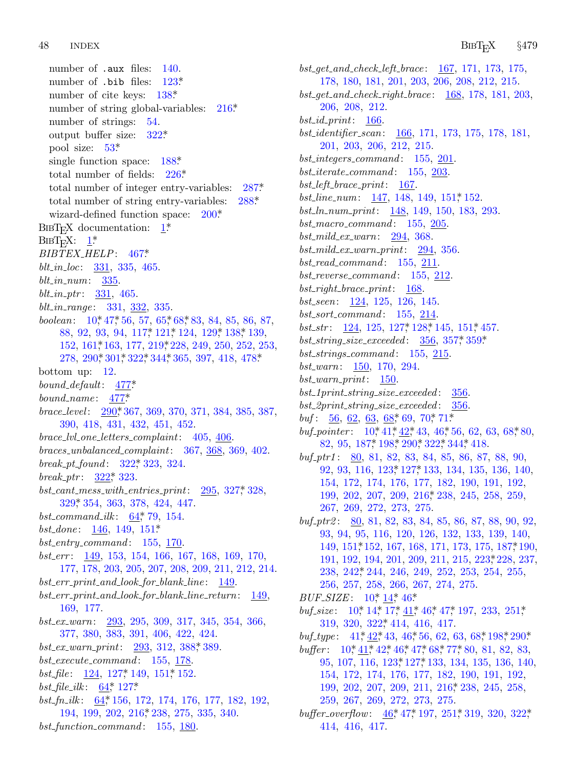number of [.au](#page-10-0)x file[s:](#page-36-0) 140. number of .bib files:  $123^*$  $123^*$ number of cite keys: 1[38\\*.](#page-28-0) number of string global-variables:  $216*$ . number of strings: 54. output buffer size: 322\*. pool size: 53\*. single f[un](#page-1-0)ction space:  $188^*$  $188^*$ total number of [field](#page-43-0)s: 226\*. total number of integer entry-variables: 287\*. total number of string entry-variables: 288\*. wizard-defined function space:  $200^*$ . BIBT<sub>E</sub>X documentation:  $1^*$  $BIBT_FX: \underline{1}^*$ *BIBTEX HEL[P](#page-9-0)*: [467\\*.](#page-17-0) *blt in loc*: [3](#page-23-0)31, 335, 4[65.](#page-27-0) *blt in nu[m](#page-33-0)*: [335.](#page-34-0) *blt in ptr* : 331, 4[65.](#page-36-0) *blt in range* : 3[31,](#page-44-0) 332, 335. *boolean*:  $10^*47^*56, 57, 65^*68^*83, 84, 85, 86, 87,$ 88, 92, 9[3,](#page-33-0) 94, 117\*, 121\*, 124, 129\*, 138\*, 139, 152, 161\*, 163, 177, 219\*, 228, 249, 250, 252, 253, 278, 290\*, 301\*, 322\*, 344\*, 365, 397, 418, 478\*. bottom up: 12. *bound default*: [477\\*.](#page-36-0) *bound name* [:](#page-36-0) 477\*. *brace level* : 290\*, 367, 369, 370, 371, 3[84,](#page-36-0) 385, 387, [390,](#page-36-0) 418, 431, 432, 451, 452. *brace lvl one letters [co](#page-12-0)mplaint*: 405, 406. *braces unbalanced co[mpla](#page-22-0)int*: 367, 368, 369, 402. *break pt found* : 322\*, 323, 324. *break ptr* : 322\*, 323. *bst cant mess with entries print*: 295, 327\*, 328, 329\*, 354, 363, 378, 424, 447. *bst command ilk* : 64\*, 79, 154. *bst done* : 146, 149, 151\*. *bst entry command* : 155, 170. *bst err* : 149, 153, 154, 166, 167, 168, 169, 170, 177, 178, 203, 205, 207, 2[08,](#page-40-0) 209, 211, 212, 214. *bst err print and look for blank line* : 149. *bst err print a[nd](#page-19-0) look for [bla](#page-22-0)nk line return*: 149, 169, 17[7.](#page-12-0) *bst ex warn*[:](#page-12-0) 293, 295, 309, 317, 345, 354, 366, 377, 380, 383, [391](#page-26-0), 406, 422, 424. *bst ex warn print*: 293, 312, 388\*, 389. *bst execute command* : 155, 178. *bst\_file* : 124, 127, 149, 151, 152. *bst\_file\_ilk* :  $64$ <sup>\*</sup>, 127<sup>\*</sup> *bst fn ilk* : 64\*, 156, 172, 174, 176, 177, 182, 192, 194, 199, 202, 216\*, 238, 275, 335, 340. *bst function command* : 155, 180.

*bst get and check left brace* : 167, 171, 173, 175, 178, 180, 181, 201, 203, 206, 208, 212, 215. *bst get and check right brace* : 168, 178, 181, 203, 206, 208, 212. *bst id print*: 166. *bst identifier scan*: 166, 171, 173, 175, 178, 181, 201, 203, 206, 212, 215. *bst integers command* : 155, 201. *bst iterate command* : 155, 203. *bst left brace print*: 167. *bst\_line\_num*: 147, 148, 149, 151, 152. *bst ln num print*: 148, 149, 150, 183, 293. *bst macro command* : 155, 205. *bst mild ex warn*: 294, 368. *bst mild ex warn p[rint](#page-19-0)*: [29](#page-20-0)4, 356[.](#page-22-0) *bst read command* : 155, 211. *bst reverse command* : 155, 212[.](#page-40-0) *bst right brace print*: 168. *bst seen*: 124, 125, 126, 145. *bst sort command* : 155, 214. *bst\_str*: <u>124</u>, 125, 127, 128, 145, 151, 457. *bst string size exc[eed](#page-13-0)ed* : [356](#page-13-0), [35](#page-14-0)7\*, 359\*. *bst strings co[mm](#page-3-0)[and](#page-8-0)* : [1](#page-8-0)55, [215](#page-9-0). *bst warn*: [150,](#page-24-0) [170,](#page-25-0) [294.](#page-33-0) *bst warn print*: 150. *bst 1print string [size](#page-19-0) [exce](#page-19-0)eded* : 356. *bst 2print string size exceeded* : 356. *buf* : 56, 62, 63, 68\*, 69, [70](#page-26-0)\*, 71\*. *buf\_pointer* :  $10^*41^*42^*43$ ,  $46^*56$ , 62, 63, 68<sup>\*</sup>, 80, 82, 95, 187\*, 198\*, 290\*, 322\*, 344\*, 418. *buf ptr1* : 80, 81, 82, 83, 84, 85, 86, 87, 88, 90, 92, [93,](#page-22-0) 116, 123\*, 127\*, 133, 134, 135, 1[36,](#page-24-0) 140, 154, 172, 174, 176, 177, 182, 190, [19](#page-27-0)1, 192, 199, [202,](#page-28-0) 207, 209, 216\*, 238, 245, 258, 259, 267, 269, 272, 273, 275. *buf ptr2* : 80, [81](#page-3-0), [82](#page-4-0), [83](#page-9-0), 84, 85, 86, 87, 88, 90, 92, 93, 9[4,](#page-3-0) 95, [1](#page-4-0)1[6,](#page-5-0) 1[20,](#page-8-0) [126](#page-9-0), [13](#page-9-0)2, 133, 139, [14](#page-29-0)0, 149, 151\*, [152,](#page-36-0) 167, 168, 171, 173, 175, 187\*, 190, 191, 1[92,](#page-8-0) [194](#page-8-0), 20[1,](#page-9-0) 209, 211, 215, [22](#page-13-0)3, 228, [23](#page-33-0)7, 238, [24](#page-3-0)[2\\*,](#page-8-0) 2[44,](#page-8-0) [246](#page-9-0), [24](#page-9-0)[9,](#page-13-0) 2[52,](#page-14-0) 253, 254, 255, 256, 257, 258, [26](#page-19-0)6, [26](#page-19-0)7, 274, 275. *BUF\_SIZE*:  $10^*$ ,  $14^*$ ,  $46^*$ . *buf\_size* : 10,\* 14,\* 17,\* 41,\* 46,\* 47,\* 197, 233, 251,\* 319, 320, 322\*, 414, 416, 417. *buf\_type* : 41,\*  $42, 43, 46, 56, 62, 63, 68, 198, 290$  $42, 43, 46, 56, 62, 63, 68, 198, 290$  $42, 43, 46, 56, 62, 63, 68, 198, 290$  $42, 43, 46, 56, 62, 63, 68, 198, 290$  $42, 43, 46, 56, 62, 63, 68, 198, 290$  $42, 43, 46, 56, 62, 63, 68, 198, 290$  $42, 43, 46, 56, 62, 63, 68, 198, 290$ \* *buffer* :  $10^*$ ,  $41^*$ ,  $42^*$ ,  $46^*$ ,  $47^*$ ,  $68^*$ ,  $77^*$ ,  $80$ ,  $81$ ,  $82$ ,  $83$ , 95, 107, 116, 123\*, 127\*, 133, 134, 135, 136, 140, 154, 172, 174, 176, 177, 182, 190, 191, 192, 199, 202, 207, 209, 211, 216\*, 238, 245, 258, 259, 267, 269, 272, 273, 275. *buffer\_overflow:*  $46$ <sup>\*</sup>, 47<sup>\*</sup>, 197, 251<sup>\*</sup>, 319, 320, 322<sup>\*</sup>,

414, 416, 417.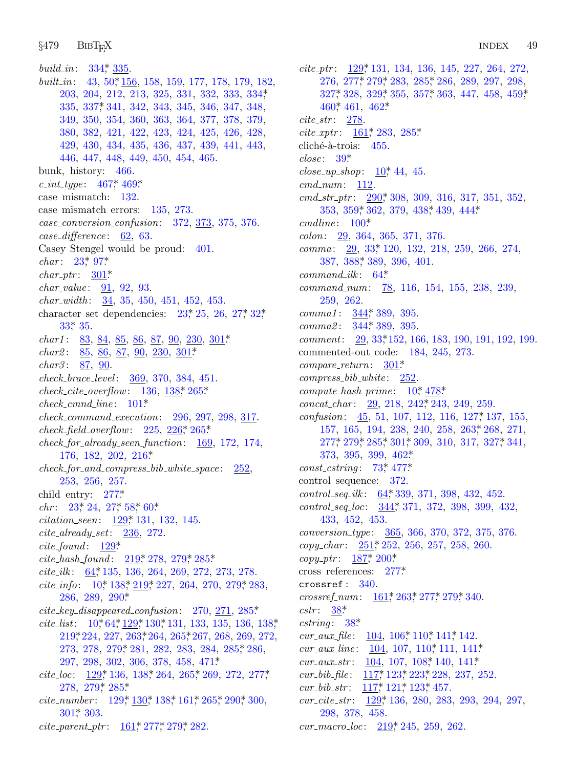§479  $BIBT_FX$ 

build\_in: 334, 335 built\_in: 43, 50, 156, 158, 159, 177, 178, 179, 182, 203, 204, 212, 213, 325, 331, 332, 333, 334,\* 335, 337, 341, 342, 343, 345, 346, 347, 348, 349, 350, 354, 360, 363, 364, 377, 378, 379, 380, 382, 421, 422, 423, 424, 425, 426, 428, 429, 430, 434, 435, 436, 437, 439, 441, 443, 446, 447, 448, 449, 450, 454, 465. bunk, history: 466.  $c\_int\_type: 467^* 469^*$ case mismatch: 132. case mismatch errors: 135, 273.  $case\_conversion\_confusion: 372, 373, 375, 376.$  $case\_difference: 62, 63.$ Casey Stengel would be proud:  $401$ .  $char: 23^*97^*$  $char\_ptr: 301*$ *char\_value:*  $91, 92, 93$ .  $char_width: \frac{34}{35}$ , 450, 451, 452, 453. character set dependencies:  $23^*$ ,  $25$ ,  $26$ ,  $27^*$ ,  $32^*$  $33^*$  35.  $char1$ :  $83, 84, 85, 86, 87, 90, 230, 301$ *char2*:  $85, 86, 87, 90, 230, 301*$ *char3*:  $87, 90$ . check\_brace\_level: 369, 370, 384, 451.  $check\_cite\_overflow: 136, 138, 265*$  $check\_cmd\_line: 101*$  $check\_command\_execution: 296, 297, 298, 317.$  $check_{\text{field\_overflow}}$ : 225, 226, 265\*  $check_{\text{off}}$  check\_for\_already\_seen\_function:  $\frac{169}{172}$ , 172, 174, 176, 182, 202, 216\*  $check_{\text{1}}$  for and compress bib white space:  $252$ , 253, 256, 257. child entry:  $277*$  $chr: 23^* 24, 27^* 58^* 60^*$ citation\_seen: 129, 131, 132, 145.  $\emph{cite\_already\_set:}$  $236, 272.$  $cite\_found: 129*$ cite\_hash\_found:  $219$ , 278, 279, 285\*  $cite\_ilk: 64, 135, 136, 264, 269, 272, 273, 278.$ cite\_info:  $10^*$  138\* 219\* 227, 264, 270, 279\* 283, 286, 289, 290\* *cite\_key\_disappeared\_confusion:* 270,  $271$ ,  $285*$ *cite\_list*:  $10^*64^*129^*130^*131$ , 133, 135, 136, 138<sup>\*</sup> 219, 224, 227, 263, 264, 265, 267, 268, 269, 272, 273, 278, 279, 281, 282, 283, 284, 285, 286, 297, 298, 302, 306, 378, 458, 471\* *cite\_loc*:  $129, 136, 138, 264, 265, 269, 272, 277,$ 278, 279, 285\* *cite\_number*:  $129, 130, 138, 161, 265, 290, 300,$  $301$ \* 303. *cite\_parent\_ptr:*  $\underline{161}$ , 277, 279, 282.

 $cite\_ptr: 129*131, 134, 136, 145, 227, 264, 272,$ 276, 277, 279, 283, 285, 286, 289, 297, 298,  $327^*$ , 328, 329<sup>\*</sup>, 355, 357<sup>\*</sup>, 363, 447, 458, 459<sup>\*</sup> 460\* 461, 462\*  $cite\_str: 278$ *cite\_xptr*:  $161$ <sup>\*</sup>, 283, 285<sup>\*</sup> cliché-à-trois:  $455$ .  $close: 39*$ *close\_up\_shop*:  $10^*$ , 44, 45.  $cmd\_num: 112$ .  $cmd\_str\_ptr: \quad 290, 308, 309, 316, 317, 351, 352,$ 353, 359, 362, 379, 438, 439, 444\*  $cmdline: 100*$ colon: 29, 364, 365, 371, 376. 29, 33, 120, 132, 218, 259, 266, 274,  $comma$ : 387, 388, 389, 396, 401.  $command\_ilk: 64*$ command\_num: 78, 116, 154, 155, 238, 239, 259, 262. *comma1*:  $344$ <sup>\*</sup>, 389, 395. comma2: 344, 389, 395. *comment:*  $29, 33, 152, 166, 183, 190, 191, 192, 199.$ commented-out code: 184, 245, 273.  $compare\_return: 301*$  $compress\_bib\_white: 252$  $compute\_hash\_prime: 10^*478^*$  $concat\_char: 29, 218, 242, 243, 249, 259.$ confusion:  $45, 51, 107, 112, 116, 127, 137, 155,$ 157, 165, 194, 238, 240, 258, 263, 268, 271, 277, 279, 285, 301, 309, 310, 317, 327, 341,  $373, 395, 399, 462*$  $const\_cstring: 73,477*$ control sequence: 372.  $control\_seq\_ilk: 64, 339, 371, 398, 432, 452.$  $control\_seq\_loc: \quad 344, 371, 372, 398, 399, 432,$ 433, 452, 453. conversion\_type: 365, 366, 370, 372, 375, 376.  $copy_{\text{c}}char: \frac{251}{252}$ , 256, 257, 258, 260.  $copy\_ptr: 187^*200^*$ cross references:  $277*$ crossref:  $340$ . crossref\_num:  $\underline{161}$ , 263, 277, 279, 340.  $cstr: 38^*$  $cstring: 38*$  $cur_aux\_{file:}$   $\frac{104}{106}$ ,  $106$ ,  $110$ ,  $141$ ,  $142$ . cur\_aux\_line:  $104, 107, 110^*111, 141^*$ cur\_aux\_str:  $\frac{104}{107}$ , 107, 108, 140, 141\*  $cur_bib_{fl}$  = 117\* 123\* 223\* 228, 237, 252. cur\_bib\_str:  $117$ ,  $121$ ,  $123$ ,  $457$ . cur\_cite\_str:  $129$ <sup>\*</sup>, 136, 280, 283, 293, 294, 297, 298, 378, 458. cur\_macro\_loc:  $219, 245, 259, 262$ .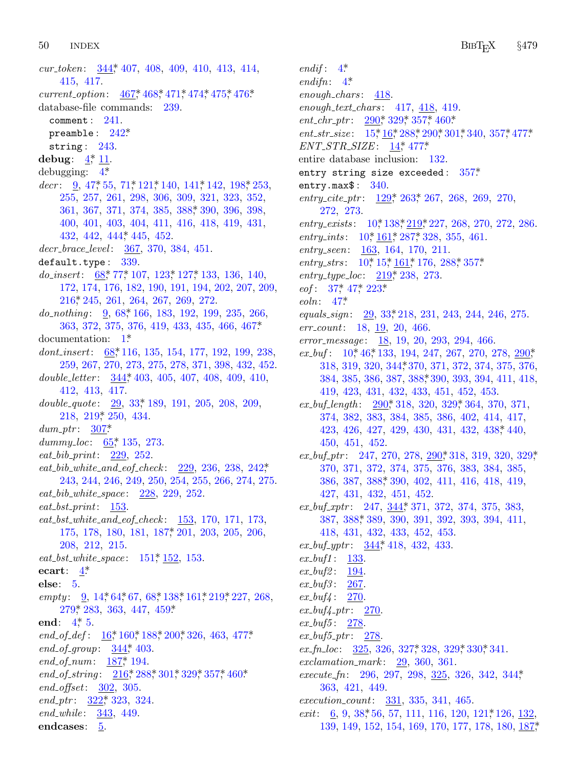50 **INDEX** 

cur\_token:  $\frac{344}{3}$ , 407, 408, 409, 410, 413, 414, 415, 417. current\_option:  $467, 468, 471, 474, 475, 476$ \* database-file commands: 239. comment:  $241$ . preamble:  $242^*$ string:  $243$ . debug:  $4, 11$ . debugging:  $4^*$  $decr: 9, 47, 55, 71, 121, 140, 141, 142, 198, 253,$ 255, 257, 261, 298, 306, 309, 321, 323, 352, 361, 367, 371, 374, 385, 388, 390, 396, 398, 400, 401, 403, 404, 411, 416, 418, 419, 431, 432, 442, 444, 445, 452. decr\_brace\_level: 367, 370, 384, 451. default.type: 339. do\_insert:  $68$ , 77, 107, 123, 127, 133, 136, 140, 172, 174, 176, 182, 190, 191, 194, 202, 207, 209,  $216$ <sup>\*</sup>, 245, 261, 264, 267, 269, 272.  $do\_nothinging: \quad 9, 68, 166, 183, 192, 199, 235, 266,$ 363, 372, 375, 376, 419, 433, 435, 466, 467\*  $documentation: 1<sup>*</sup>$ dont\_insert: 68,\*116, 135, 154, 177, 192, 199, 238, 259, 267, 270, 273, 275, 278, 371, 398, 432, 452. double\_letter: 344,\* 403, 405, 407, 408, 409, 410, 412, 413, 417. double\_quote:  $\frac{29}{33}$ , 33, 189, 191, 205, 208, 209, 218, 219, 250, 434.  $dum\_ptr$ : 307\* dummy\_loc:  $65$ , 135, 273. eat\_bib\_print:  $229, 252$ . eat\_bib\_white\_and\_eof\_check: 229, 236, 238, 242\*, 243, 244, 246, 249, 250, 254, 255, 266, 274, 275.  $eat\_bib\_white\_space: 228, 229, 252.$  $eat\_bst\_print: 153.$  $eat\_bst\_white\_and\_eof\_check: \quad 153, 170, 171, 173,$ 175, 178, 180, 181, 187, 201, 203, 205, 206,  $208, 212, 215.$ *eat\_bst\_white\_space*:  $151, 152, 153$ . ecart:  $4^*$ else:  $5$ . empty: 9, 14, 64, 67, 68, 138, 161, 219, 227, 268, 279\* 283, 363, 447, 459\* end:  $4^*$ , 5. end\_of\_def:  $\underline{16}$ \* 160\* 188\* 200\* 326, 463, 477\* end\_of\_group:  $344$ <sup>\*</sup>, 403. end\_of\_num:  $187$ , 194. end\_of\_string:  $216$ ,  $288$ ,  $301$ ,  $329$ ,  $357$ ,  $460$ \*  $end_{offset}:$  302, 305.  $end_{\mathcal{D}} tr: \frac{322^*}{233}, \frac{324}{24}.$ end\_while: 343, 449. endcases: 5.

endif:  $4^*$ endifn:  $4^*$  $enough\_chars: 418.$ enough\_text\_chars:  $417, 418, 419$ . *ent\_chr\_ptr*:  $290$ <sup>\*</sup>,  $329$ <sup>\*</sup>,  $357$ <sup>\*</sup>,  $460$ <sup>\*</sup> ent\_str\_size:  $15, 16, 288, 290, 301, 340, 357, 477$ \*  $ENT\_STR\_SIZE: 14, 477.$ entire database inclusion: 132. entry string size exceeded:  $357*$ entry.max $$: 340.$ entry\_cite\_ptr:  $129$ <sup>\*</sup>, 263<sup>\*</sup>, 267, 268, 269, 270, 272, 273. entry\_exists:  $10^*138^*219^*227$ , 268, 270, 272, 286. entry\_ints:  $10^*$ ,  $161^*$ ,  $287^*$ ,  $328$ ,  $355$ ,  $461$ .  $entry\_seen: 163, 164, 170, 211.$ entry\_strs:  $10^*$ ,  $15^*$ ,  $161^*$ ,  $176$ ,  $288^*$ ,  $357^*$ *entry\_type\_loc:*  $219$ <sup>\*</sup>, 238, 273.  $eof: 37^* 47^* 223^*$  $\mathit{eoln}:$  47\* equals\_sign: 29, 33, 218, 231, 243, 244, 246, 275.  $err\_count:$  18, 19, 20, 466. error\_message:  $18, 19, 20, 293, 294, 466$ .  $ex_buf$ : 10, 46, 133, 194, 247, 267, 270, 278, 290, 318, 319, 320, 344, 370, 371, 372, 374, 375, 376, 384, 385, 386, 387, 388, 390, 393, 394, 411, 418,  $419, 423, 431, 432, 433, 451, 452, 453.$  $ex_buf_{\text{length}}: \quad 290, 318, 320, 329, 364, 370, 371,$ 374, 382, 383, 384, 385, 386, 402, 414, 417, 423, 426, 427, 429, 430, 431, 432, 438, 440, 450, 451, 452.  $ex_buf_ptr: 247, 270, 278, 290, 318, 319, 320, 329,$ 370, 371, 372, 374, 375, 376, 383, 384, 385, 386, 387, 388, 390, 402, 411, 416, 418, 419,  $427, 431, 432, 451, 452.$  $ex_buf_xptr$ : 247,  $\frac{344}{371}$ , 372, 374, 375, 383, 387, 388, 389, 390, 391, 392, 393, 394, 411,  $418, 431, 432, 433, 452, 453.$  $ex_buf_+yptr$ :  $344$ <sup>\*</sup>, 418, 432, 433.  $ex\_buf1: 133.$  $ex\_but2$ : 194.  $ex_buf3:267.$  $ex_{1}but4: 270$  $ex_{\text{-}}but_{\text{+}}.$   $\frac{270}{27}$  $ex_{\textit{-}but5}$ : 278.  $ex_{\text{-}}but_{\text{5-}}ptr:$  278.  $ex\_fn\_loc$ : 325, 326, 327, 328, 329, 330, 341. exclamation\_mark:  $29, 360, 361$ . execute\_fn: 296, 297, 298, 325, 326, 342, 344,\* 363, 421, 449.

 $execution\_count: 331, 335, 341, 465.$ 

*exit*:  $\underline{6}$ , 9, 38, 56, 57, 111, 116, 120, 121, 126, 132, 139, 149, 152, 154, 169, 170, 177, 178, 180, 187,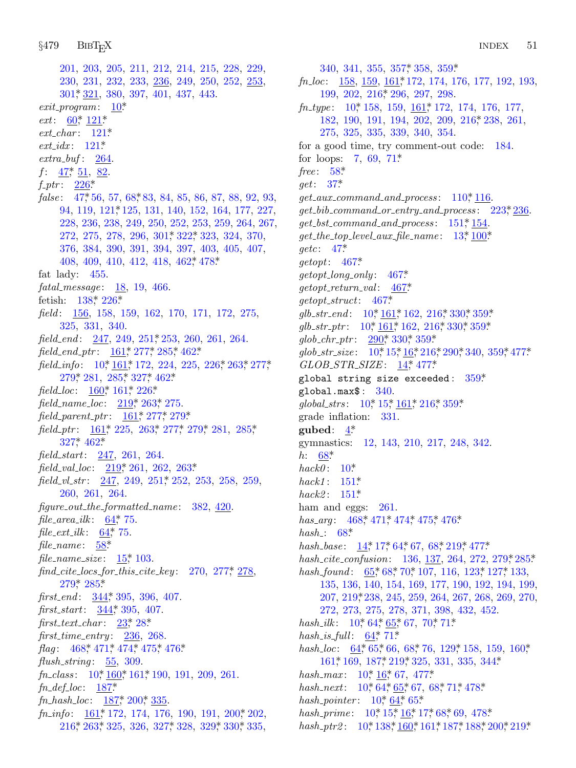201, [203,](#page-18-0) 205, 211, 212, 214, 215, 228, 229, 230, 231, 232, 233, 236, 249, 250, 252, 253, [30](#page-9-0)1\*, 321, 380, 397, 401, 437, 443.  $exit\_program: 10*$  $exit\_program: 10*$  $exit\_program: 10*$ *ext*:  $\frac{60}{7}$ ,  $\frac{121}{7}$ *ext char* : 1[21\\*.](#page-18-0) *ext idx* : 121\*. *extra buf* : 264.  $f: \frac{47}{51}, \frac{51}{52}.$ *f ptr* : 226\*. false: 47,\*56, 57, 68,\*83, 84, 85, 86, 87, 88, 92, 93, 94, 119, 121\*, 125, 131, 140, 152, 164, 177, 227, 228, [236](#page-20-0), [238](#page-28-0), 249, 250, 252, 253, 259, 264, 267, 272, 275, 278, 296, 301\*, 322\*, 323, 324, 370, 376, 384, 390, 391, 394, 397, 403, 405, 407, 408, 409, 410, 4[12,](#page-29-0) 418, 462\*, 478\*. fat lady: 455. *fatal messa[ge](#page-3-0)* : [18,](#page-23-0) 19, [4](#page-31-0)66. fetis[h:](#page-31-0) 138\*, 2[26\\*.](#page-31-0) *field* : 156, [15](#page-22-0)8, [15](#page-23-0)9, [16](#page-28-0)2, 170, 171, 172, 275, 325, 331, 3[40.](#page-27-0) *field\_end*: 247, 2[49,](#page-23-0) 251, 2[53,](#page-31-0) 260, 261, 264. *field end p[tr](#page-23-0)* : 161\*, [277\\*,](#page-29-0) 2[85\\*,](#page-30-0) 4[62\\*.](#page-31-0) *field\_[info](#page-36-0)*: [10](#page-42-0)\*, 161\*, 172, 224, 225, 226\*, 263\*, 277\* 279\*, 281, 285\*, 327\*, 462\*. *field\_loc*: [16](#page-27-0)0<sup>\*</sup>, 161<sup>\*</sup>, 226<sup>\*</sup> *field name loc*: 219\*, 2[63\\*,](#page-29-0) 275. *field parent ptr* : 161\*, 277\*, 279\*. *field\_ptr*: <u>161</u>\*, 225, 263\*, 277\*, 279\*, 281, 285\*, 327\*, 462\*. *field start*: [247,](#page-12-0) 261, 264. *field val loc*: [2](#page-11-0)19\*, 261, 262, 263\*. *field\_vl\_str*: 24[7,](#page-5-0) 249, 251, 252, 253, 258, 259, 260, 261, 264. *figure [ou](#page-31-0)t [the](#page-31-0) formatted name* : 382, 420. *file area ilk* [:](#page-39-0) 64\*, 75. *file\_ext\_ilk* :  $64$ <sup>\*</sup>, 75. *file name* : 58\*. *file name size* : [1](#page-6-0)5\*, [10](#page-7-0)3. *find cite [lo](#page-43-0)cs [for](#page-44-0) [this](#page-44-0) [cite](#page-44-0) k[ey](#page-44-0)* : 270, 277\*, 278,  $279*$  285\* *first\_end*: [34](#page-3-0)[4\\*,](#page-22-0) 39[5,](#page-23-0) 396, 407. *first start*: [344](#page-24-0)\*, 395, 407. *first text char* [:](#page-24-0) 23\*, [28](#page-25-0)\*. *first time [entr](#page-23-0)y* : 236, 268. *flag*: [46](#page-26-0)8,\* 471,\* 474,\* 475,\* 476\*. *flush string* : 55, 309. *fn class* : 10\*, 160\*, 161\*, 190, 191, 209, 261. *fn def loc*: 187\*. *fn hash loc*: 187\*, 200\*, 335. *fn\_info*: 161,\* 172, 174, 176, 190, 191, 200,\* 202, 216\*, 263\*, 325, 326, 327\*, 328, 329\*, 330\*, 335,

340, 341, 355, 357\*, 358, 359\*. *fn loc*: 158, 159, [161](#page-14-0)\*, 172, 174, 176, 177, 192, 193, 1[99,](#page-11-0) 202, 216\*, 296, 297, 298. *fn type* [:](#page-8-0) 10\*, 158, 159, 161\*, 172, 174, 176, 177, 182, 190, 191, 194, 202, 209, [21](#page-17-0)6<sup>\*</sup>, 238, 261, 275, 325, 335, 339, 340, 354. for a good time, try comment-o[ut c](#page-22-0)ode: [184](#page-27-0). for loops: 7, 69, 71\* *free* : [58\\*.](#page-9-0) *get*: 37[\\*](#page-43-0). *get aux command [and](#page-43-0) process* : 110\*, 116. *get bib command or [ent](#page-43-0)ry and process* : 223\*, 236. *get bst command [an](#page-43-0)d process* : 151\*, 154. *get the top le[vel](#page-3-0) [aux](#page-23-0) file na[me](#page-26-0)* : [13\\*,](#page-37-0) [100\\*.](#page-40-0) *getc*: 47\*. *getopt*: 467[\\*](#page-3-0). *getopt long onl[y](#page-3-0)* : [467\\*.](#page-5-0) *getopt return val* : 4[67\\*.](#page-4-0) *getopt struct*: 467\*. *glb str end* : 10\*, 161\*, 162, 216\*, 330\*, 359\*. *glb\_str\_ptr*: [10](#page-3-0)\*, [16](#page-5-0)1\*, [162](#page-23-0), [216](#page-26-0)\*, [330](#page-40-0)\*, 359\*. *glob chr ptr* : 290\*, 330\*, 359\*. *glob\_str\_si[ze](#page-2-0)*:  $10^*$ ,  $15^*$ ,  $16^*$ ,  $216^*$ ,  $290^*$ ,  $340$ ,  $359^*$ ,  $477^*$ . *GLOB STR SIZE* : 14\*, 477\*. glo[bal](#page-13-0) string size exceeded:  $359*$ global.[max](#page-3-0)\$ : 340. *global st[rs](#page-22-0)* : 10\*, 15\*, 161\*, 216\*, 359\*. grade in[flatio](#page-22-0)n: 331. **gubed**: 4\*. gymnastic[s:](#page-43-0) 1[2,](#page-44-0) 14[3,](#page-44-0) 21[0,](#page-44-0) 217, [24](#page-44-0)8, 342. *h*: 68\*. *hack0* : 10\*. *hack1* : 151[\\*.](#page-4-0) *hack2* : 151\*. ham and eggs: [2](#page-13-0)61. *has\_arg*: [468](#page-27-0),\* 471,\* 474,\* 475,\* 476.\* *hash* :  $68*$ *hash\_base* :  $14$  $14$ <sup>\*</sup>, 17<sup>\*</sup>, [6](#page-13-0)4<sup>\*</sup>, 67, 68<sup>\*</sup>, [2](#page-14-0)19<sup>\*</sup>, 477<sup>\*</sup>. *hash cite conf[usi](#page-12-0)o[n](#page-14-0)*: 136, 137, 264, 272, 279\*, 285\*. *hash\_found* [:](#page-12-0) 65,\* 68,\* 70,\* 107, [116](#page-20-0), 123,\* 127,\* [133](#page-22-0), [135,](#page-23-0) 136, [140,](#page-24-0) [154,](#page-27-0) 169, 177, 190, 1[92,](#page-39-0) 194, 199, 207, 21[9\\*,](#page-3-0) 23[8,](#page-5-0) 245, [259,](#page-44-0) 264, 267, 268, 269, 270, 272, 27[3,](#page-3-0) 2[75,](#page-12-0) [278](#page-12-0), 371, [3](#page-13-0)9[8,](#page-14-0) 4[32,](#page-45-0) 452. *hash\_ilk* : 10\*, [64\\*,](#page-3-0) [65\\*,](#page-12-0) [67,](#page-12-0) 70\*, 71\*.  $hash_is\_full$ : [64](#page-3-0)\*, [71](#page-5-0)\*. *hash\_loc*: 6[4\\*,](#page-3-0) 6[5\\*,](#page-20-0) 66, [68](#page-22-0)\*, [76,](#page-23-0) [129\\*,](#page-24-0) [158,](#page-24-0) [159,](#page-25-0) [160\\*,](#page-27-0) 161,\* 169, 187,\* 219,\* 325, 331, 335, 344\* *hash\_max* :  $10^*$ , 16<sup>\*</sup>, 67, 477<sup>\*</sup> *hash\_next*: 10\*, 64\*, 65\*, 67, 68\*, 71\*, 478\*.

*hash\_pointer* :  $10^*$ , 64\*, 65\*.

*hash\_prime* : 10, 15, 16, 17, 68, 69, 478\*

hash\_ptr2:  $10^*$ , 138<sup>\*</sup>, 160<sup>\*</sup>, 161<sup>\*</sup>, 187<sup>\*</sup>, 188<sup>\*</sup>, 200<sup>\*</sup>, 219<sup>\*</sup>.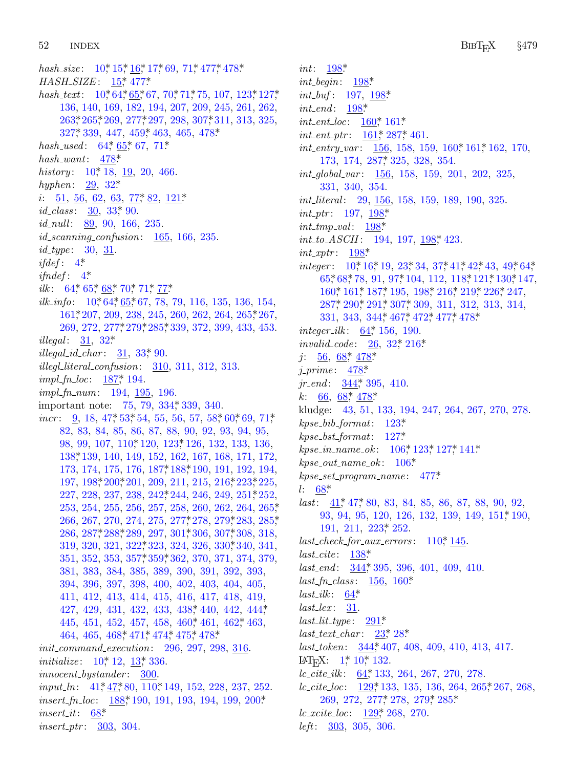52 **INDEX** 

hash\_size:  $10^*$ ,  $15^*$ ,  $16^*$ ,  $17^*$ , 69,  $71^*$ , 477<sup>\*</sup>, 478<sup>\*</sup>  $HASH\_SIZE: 15^* 477^*$ hash\_text:  $10^*64^*65^*67$ ,  $70^*71^*75$ ,  $107$ ,  $123^*127^*$ 136, 140, 169, 182, 194, 207, 209, 245, 261, 262, 263, 265, 269, 277, 297, 298, 307, 311, 313, 325,  $327^*339$ , 447, 459<sup>\*</sup> 463, 465, 478<sup>\*</sup> hash\_used:  $64$ <sup>\*</sup>,  $65$ <sup>\*</sup>,  $67$ ,  $71$ <sup>\*</sup> hash\_want:  $478^*$ history:  $10^*$ , 18, 19, 20, 466. hyphen:  $29, 32^*$ *i*:  $\underline{51}$ ,  $\underline{56}$ ,  $\underline{62}$ ,  $\underline{63}$ ,  $\underline{77}$ <sup>\*</sup>,  $\underline{82}$ ,  $\underline{121}$ <sup>\*</sup> *id\_class*:  $30, 33, 90$ .  $id\_null$ : 89, 90, 166, 235.  $id\_scanning\_confusion: 165, 166, 235.$  $id\_type: 30, 31.$ *ifdef*:  $4^*$ *ifndef*:  $4^*$ ilk: 64\* 65\* 68\* 70\* 71\* 77\* *ilk\_info*:  $10^*64^*65^*67$ , 78, 79, 116, 135, 136, 154, 161, 207, 209, 238, 245, 260, 262, 264, 265, 267, 269, 272, 277, 279, 285, 339, 372, 399, 433, 453. *illegal*:  $31, 32^*$ *illegal\_id\_char:*  $31, 33, 90$ .  $i$ llegl\_literal\_confusion:  $310, 311, 312, 313$ . *impl\_fn\_loc*:  $187$ <sup>\*</sup>, 194.  $impl\_fn\_num:$  194, 195, 196. important note: 75, 79, 334, 339, 340. *incr*: 9, 18, 47\* 53\* 54, 55, 56, 57, 58\* 60\* 69, 71\* 82, 83, 84, 85, 86, 87, 88, 90, 92, 93, 94, 95, 98, 99, 107, 110, 120, 123, 126, 132, 133, 136, 138, 139, 140, 149, 152, 162, 167, 168, 171, 172, 173, 174, 175, 176, 187, 188, 190, 191, 192, 194,  $197, 198, 200, 201, 209, 211, 215, 216, 223, 225,$ 227, 228, 237, 238, 242, 244, 246, 249, 251, 252, 253, 254, 255, 256, 257, 258, 260, 262, 264, 265, 266, 267, 270, 274, 275, 277, 278, 279, 283, 285, 286, 287, 288, 289, 297, 301, 306, 307, 308, 318, 319, 320, 321, 322, 323, 324, 326, 330, 340, 341, 351, 352, 353, 357\* 359\* 362, 370, 371, 374, 379, 381, 383, 384, 385, 389, 390, 391, 392, 393, 394, 396, 397, 398, 400, 402, 403, 404, 405, 411, 412, 413, 414, 415, 416, 417, 418, 419, 427, 429, 431, 432, 433, 438, 440, 442, 444, 445, 451, 452, 457, 458, 460, 461, 462, 463, 464, 465, 468\* 471\* 474\* 475\* 478\* *init\_command\_execution:* 296, 297, 298, 316. *initialize*:  $10^*$ ,  $12$ ,  $13^*$ ,  $336$ .  $\textit{innocent}\_b \textit{ystander}: \quad 300.$  $input\_ln$ : 41, 47, 80, 110, 149, 152, 228, 237, 252. *insert\_fn\_loc*:  $\frac{188}{190}$ , 191, 193, 194, 199, 200\*  $insert\_it: 68*$ *insert\_ptr:* 303, 304.

*int*:  $198$ <sup>\*</sup> *int\_begin*:  $198^*$ *int\_buf*:  $197, 198$ <sup>\*</sup>  $int\_end$ : 198\*  $int\_ent\_loc$ :  $160^*$ ,  $161^*$ *int\_ent\_ptr*:  $\underline{161}$ , 287, 461.  $int_{\mathcal{L}}$  int\_entry\_var: 156, 158, 159, 160\* 161\* 162, 170, 173, 174, 287, 325, 328, 354.  $int\_global\_var$ :  $156, 158, 159, 201, 202, 325,$ 331, 340, 354. *int\_literal:* 29, 156, 158, 159, 189, 190, 325. *int\_ptr*:  $197, 198*$  $int\_tmp\_val$ : 198\* *int\_to\_ASCII*: 194, 197, 198, 423. int\_xptr:  $198$ <sup>\*</sup> *integer*:  $10^*16^*19$ ,  $23^*34$ ,  $37^*41^*42^*43$ ,  $49^*64^*$ 65,\*68,\*78, 91, 97,\*104, 112, 118,\*121,\*130,\*147, 160\* 161\* 187\* 195, 198\* 216\* 219\* 226\* 247, 287, 290, 291, 307, 309, 311, 312, 313, 314, 331, 343, 344, 467, 472, 477, 478\* *integer\_ilk*:  $64$ <sup>\*</sup>, 156, 190. *invalid\_code*:  $26, 32, 216$ \*  $j: \underline{56}, \underline{68}, \underline{478}$ *i\_prime*:  $478^*$ *jr\_end*:  $344$ <sup>\*</sup>, 395, 410. k:  $\underline{66}$ ,  $\underline{68}$ ,  $\underline{478}$ kludge: 43, 51, 133, 194, 247, 264, 267, 270, 278.  $kpc\_bib\_format: 123*$  $kpc\_bst\_format: 127*$  $kpc\_in\_name\_ok$ :  $106^*$ ,  $123^*$ ,  $127^*$ ,  $141^*$  $kpc\_out_name\_ok: 106*$  $kpc.set\_program_name: 477*$  $l: 68*$ *last:*  $41$ <sup>\*</sup>, 47<sup>\*</sup>, 80, 83, 84, 85, 86, 87, 88, 90, 92, 93, 94, 95, 120, 126, 132, 139, 149, 151, 190,  $191, 211, 223, 252.$  $last\_check\_for\_aux\_errors: 110^*145.$  $last\_cite: 138*$  $last\_end:$   $\frac{344}{395}$ , 396, 401, 409, 410.  $last\_fn\_class: 156, 160*$  $last\_ilk: 64^*$  $last\_lex: \quad \underline{31}.$  $last\_lit\_type: \quad 291^*$  $last\_text\_char: 23^*28^*$  $last\_token: 344, 407, 408, 409, 410, 413, 417.$ IAT<sub>E</sub>X:  $1^*$ ,  $10^*$ , 132. *lc\_cite\_ilk*:  $\underline{64}$ , 133, 264, 267, 270, 278. *lc\_cite\_loc*:  $\underline{129}$ \* 133, 135, 136, 264, 265, 267, 268, 269, 272, 277, 278, 279, 285,  $lc\_xcite\_loc: 129, 268, 270.$ *left*:  $303, 305, 306$ .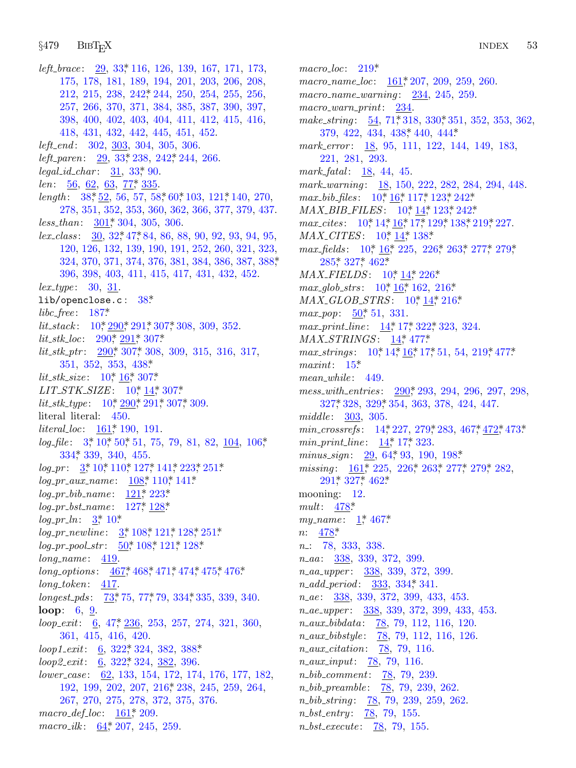### $§479$ **BIBT<sub>F</sub>X**

left\_brace:  $29, 33, 116, 126, 139, 167, 171, 173,$ 175, 178, 181, 189, 194, 201, 203, 206, 208, 212, 215, 238, 242, 244, 250, 254, 255, 256, 257, 266, 370, 371, 384, 385, 387, 390, 397, 398, 400, 402, 403, 404, 411, 412, 415, 416, 418, 431, 432, 442, 445, 451, 452.  $left\_end: 302, 303, 304, 305, 306.$ left\_paren: 29, 33, 238, 242, 244, 266.  $legal_id\_char: 31, 33*90.$  $len: 56, 62, 63, 77, 335.$ length:  $38, \underline{52}$ , 56, 57, 58, 60, 103, 121, 140, 270, 278, 351, 352, 353, 360, 362, 366, 377, 379, 437.  $less\_than: \quad 301^* \, 304, \, 305, \, 306.$  $lex\_class:$  30, 32, 47, 84, 86, 88, 90, 92, 93, 94, 95, 120, 126, 132, 139, 190, 191, 252, 260, 321, 323, 324, 370, 371, 374, 376, 381, 384, 386, 387, 388, 396, 398, 403, 411, 415, 417, 431, 432, 452.  $lex_type: 30, 31.$  $lib/openclose.c: 38*$  $libc_free: 187*$ *lit\_stack*:  $10^*$ ,  $\frac{290^*}{291^*}$ ,  $307^*$ ,  $308$ ,  $309$ ,  $352$ .  $lit\_stk\_loc: 290, 291, 307.$  $lit\_stk\_ptr$ :  $290^*$ , 307, 308, 309, 315, 316, 317,  $351, 352, 353, 438*$ lit\_stk\_size:  $10^*$ ,  $16^*$ , 307\*  $LIT\_STK\_SIZE: 10, 14, 307.$  $lit\_stk\_type: 10^*_{7} 290^*_{7} 291^*_{7} 307^*_{7} 309.$ literal: 450. *literal\_loc*:  $161$ <sup>\*</sup>, 190, 191.  $log_{10}$  file: 3,\* 10,\* 50,\* 51, 75, 79, 81, 82, 104, 106,\*  $334$ <sup>\*</sup>,  $339$ ,  $340$ ,  $455$ .  $log_p r$ :  $\frac{3}{2}$ ,  $\frac{10}{2}$ ,  $\frac{110}{2}$ ,  $\frac{127}{2}$ ,  $\frac{141}{223}$ ,  $\frac{251}{251}$  $log\_pr\_aux\_name: 108, 110, 141$  $log\_pr\_bib\_name: 121 * 223 *$  $log_pr\_bst_name: 127, 128$  $log\_pr\_ln: \frac{3}{2} \cdot 10^*$  $log\_pr\_newline: \frac{3*}{108*}121*128*251*$  $log\_pr\_pool\_str: 50^*108^*121^*128^*$  $long_name: 419$ . long\_options:  $467$ <sup>\*</sup>, 468<sup>\*</sup>, 471<sup>\*</sup>, 474<sup>\*</sup>, 475<sup>\*</sup>, 476<sup>\*</sup>  $long\_token: 417.$  $longest_{p}ds: 73, 77, 79, 334, 335, 339, 340.$ **loop:**  $6, 9$ .  $loop\_exit:$  6, 47\* 236, 253, 257, 274, 321, 360, 361, 415, 416, 420. loop1\_exit: 6, 322, 324, 382, 388\*  $loop2.exit: 6, 322, 324, 382, 396.$ lower\_case: 62, 133, 154, 172, 174, 176, 177, 182, 192, 199, 202, 207, 216, 238, 245, 259, 264, 267, 270, 275, 278, 372, 375, 376. macro\_def\_loc:  $161$ <sup>\*</sup>, 209. macro\_ilk:  $64, 207, 245, 259$ .

 $macro\_loc$ : 219\* macro\_name\_loc:  $\underline{161}$ , 207, 209, 259, 260.  $macro_name\_warming: 234, 245, 259.$  $macro\_warm\_print: 234.$ make\_string:  $\underline{54}$ , 71, 318, 330, 351, 352, 353, 362, 379, 422, 434, 438, 440, 444\* mark\_error:  $18, 95, 111, 122, 144, 149, 183,$ 221, 281, 293. mark-fatal:  $18, 44, 45$ . mark\_warning: 18, 150, 222, 282, 284, 294, 448.  $max_b^{\text{}}\rightarrow$  files:  $10^{\text{*}}\rightarrow 16^{\text{*}}\rightarrow 117^{\text{*}}\rightarrow 123^{\text{*}}\rightarrow 242^{\text{*}}$ MAX\_BIB\_FILES: 10, 14, 123, 242\* max\_cites:  $10^*$ ,  $14^*$ ,  $16^*$ ,  $17^*$ ,  $129^*$ ,  $138^*$ ,  $219^*$ ,  $227$ .  $MAX\_CITER: 10^* 14^* 138^*$ max\_fields: 10, 16, 225, 226, 263, 277, 279, 285, 327, 462\*  $MAX\_FIELDS: 10^*14^*226^*$  $max_glob\_strs$ :  $10^*_1, 16^*_1, 162, 216^*$  $MAX_GLOB\_STRS: 10, 14, 216$ max\_pop:  $50^*$ , 51, 331.  $max\_print\_line: 14, 17, 322, 323, 324.$  $MAX\_STRINGS: 14^* 477^*$ max\_strings:  $10^*$ ,  $14^*$ ,  $16^*$ ,  $17^*$ ,  $51$ ,  $54$ ,  $219^*$ ,  $477^*$  $maxint: 15^*$  $mean\_while: 449.$ mess\_with\_entries: 290, 293, 294, 296, 297, 298, 327, 328, 329, 354, 363, 378, 424, 447. *middle*: 303, 305. min\_crossrefs: 14, 227, 279, 283, 467, 472, 473\* *min\_print\_line*:  $14$ <sup>\*</sup>, 17<sup>\*</sup>, 323. minus\_sign:  $29.64*93.190.198*$ missing: 161, 225, 226, 263, 277, 279, 282, 291\* 327\* 462\* mooning:  $12$ . mult:  $478^*$ my\_name:  $1, 467$ \*  $n: \frac{478^*}{478^*}$  $n$ : 78, 333, 338.  $n_2aa$ : 338, 339, 372, 399. n\_aa\_upper: 338, 339, 372, 399.  $n\_add\_period: 333, 334, 341.$  $n_{-}ae: 338, 339, 372, 399, 433, 453.$ n\_ae\_upper: 338, 339, 372, 399, 433, 453.  $n_aux_bibdata: 78, 79, 112, 116, 120.$  $n_aux_bibstyle: 78, 79, 112, 116, 126.$  $n_$ <u>*aux\_citation*:  $78, 79, 116$ </u>.  $n_$ *aux\_input*:  $\frac{78}{79}$ , 79, 116. *n\_bib\_comment:* 78, 79, 239. n\_bib\_preamble: 78, 79, 239, 262.  $n_bib\_string:$   $\frac{78}{79}$ ,  $\frac{239}{259}$ ,  $\frac{259}{262}$ .

 $n_bst\_entry: 78, 79, 155.$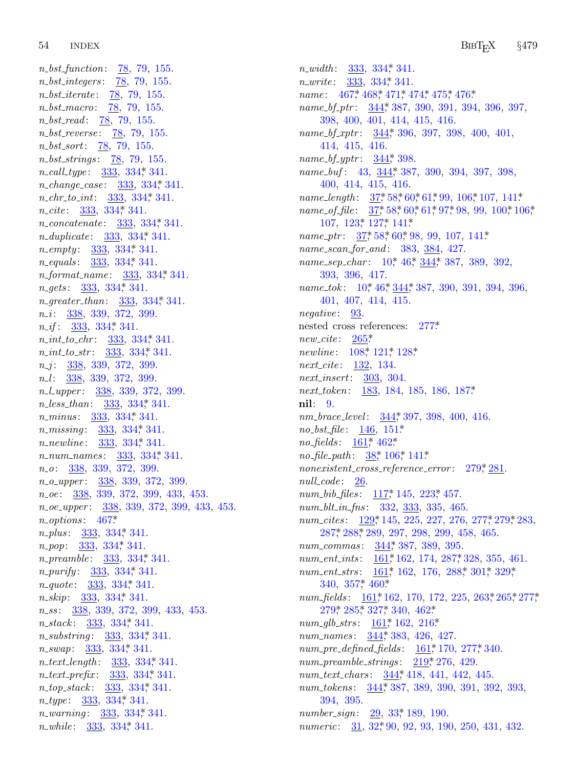54 **INDEX** 

 $n\_bst\_function: 78, 79, 155.$ *n\_bst\_integers:* 78, 79, 155. *n\_bst\_iterate:* 78, 79, 155. n\_bst\_macro: 78, 79, 155.  $n\_bst\_read:$   $\frac{78}{79}$ , 79, 155. *n\_bst\_reverse:* 78, 79, 155.  $n\_bst\_sort: 78, 79, 155.$  $n\_bst\_strings: 78, 79, 155.$  $n_{call_type: 333, 334, 341.}$ *n\_change\_case:*  $333, 334, 341$ .  $n_{\text{-}}chr_{\text{-}}to_{\text{-}}int: 333, 334, 341.$ *n\_concatenate*: 333, 334, 341. *n\_duplicate:*  $333, 334, 341$ .  $n$ <sub>-empty</sub>:  $333, 334, 341$ . *n\_equals*: 333, 334, 341. *n\_format\_name:* 333, 334, 341.  $n\_gets:$  333, 334, 341. *n\_greater\_than*: 333, 334, 341.  $n_{-}i$ : 338, 339, 372, 399.  $n_{-}if$ : 333, 334, 341.  $n\_int\_to\_chr$ : 333, 334, 341.  $n\_int\_to\_str$ : 333, 334, 341.  $n_{-}j$ : 338, 339, 372, 399. n<sub>-</sub>l: 338, 339, 372, 399. n\_l\_upper: 338, 339, 372, 399. *n*\_less\_than:  $\frac{333}{334}$ , 334, 341. *n\_minus*: 333, 334, 341. *n\_missing*: 333, 334, 341. *n\_newline*: 333, 334, 341. *n\_num\_names:* 333, 334, 341.  $n_{-}o$ :  $\frac{338}{339}$ , 372, 399. n\_o\_upper: 338, 339, 372, 399.  $n_0e$ : 338, 339, 372, 399, 433, 453. n\_oe\_upper: 338, 339, 372, 399, 433, 453.  $n\_options: 467*$ *n\_plus*: 333, 334, 341. n\_pop: 333, 334, 341. *n\_preamble*: 333, 334, 341. *n\_purify*:  $\frac{333}{334}$ , 334, 341. *n\_quote*: 333, 334, 341.  $n\_skip$ :  $\frac{333}{334}$ ,  $334$ ,  $341$ . n\_ss: 338, 339, 372, 399, 433, 453.  $n\_stack: 333, 334, 341.$ *n\_substring*:  $333, 334, 341$ . n\_swap: 333, 334, 341. n\_text\_length: 333, 334, 341. *n\_text\_prefix:*  $\frac{333}{334}$ , 334, 341.  $n\_top\_stack:$  333, 334, 341. *n\_type*:  $\frac{333}{334}$ , 334, 341. *n\_warning*  $333, 334, 341$ . n\_while: 333, 334, 341.

 $n_width: 333, 334, 341.$  $n\_write: 333, 334, 341.$ *name*:  $467$ <sup>\*</sup>,  $468$ <sup>\*</sup>,  $471$ <sup>\*</sup>,  $474$ <sup>\*</sup>,  $475$ <sup>\*</sup>,  $476$ <sup>\*</sup> name\_bf\_ptr:  $344$ <sup>\*</sup>, 387, 390, 391, 394, 396, 397, 398, 400, 401, 414, 415, 416. name\_bf\_xptr:  $344$ <sup>\*</sup>, 396, 397, 398, 400, 401, 414, 415, 416. *name\_bf\_yptr:*  $344$ <sup>\*</sup>, 398. name\_buf: 43, 344, 387, 390, 394, 397, 398, 400, 414, 415, 416. name\_length:  $37, 58, 60, 61, 99, 106, 107, 141$ \* name\_of\_file:  $37,58,60,61,97,98,99,100,106,$  $107, 123, 127, 141$ \* name\_ptr:  $37^*58^*60^*98$ , 99, 107, 141\* name\_scan\_for\_and: 383, 384, 427. name\_sep\_char: 10,\* 46,\* 344,\* 387, 389, 392, 393, 396, 417. name\_tok: 10,\* 46,\* 344,\* 387, 390, 391, 394, 396,  $401, 407, 414, 415.$ *negative*: 93. nested cross references: 277\*  $new\_cite: 265*$ *newline*: 108, 121, 128\* *next\_cite*: 132, 134.  $next.insert: 303, 304.$ next\_token: 183, 184, 185, 186, 187\* nil: 9. nm\_brace\_level: 344, 397, 398, 400, 416.  $no\_bst_{\text{m}} = 146, 151^*$ *no-fields*:  $161^*$ ,  $462^*$ *no\_file\_path*:  $\frac{38}{5}$  106, 141\*  $nonexistent\_cross\_reference_error: 279, 281.$  $null\_code: 26$ . num\_bib\_files:  $117^*$  145,  $223^*$  457. num\_blt\_in\_fns: 332, 333, 335, 465. num\_cites: 129, 145, 225, 227, 276, 277, 279, 283, 287, 288, 289, 297, 298, 299, 458, 465. num\_commas: 344, 387, 389, 395. num\_ent\_ints: 161,\* 162, 174, 287,\* 328, 355, 461. num\_ent\_strs:  $\frac{161^*}{162}$ , 176, 288, 301, 329, 340,  $357$ <sup>\*</sup>, 460<sup>\*</sup> num\_fields: 161,\*162, 170, 172, 225, 263,\*265,\*277,\* 279\* 285\* 327\* 340, 462\* num\_glb\_strs:  $161$ <sup>\*</sup>, 162, 216<sup>\*</sup> num\_names: 344, 383, 426, 427.  $num\_pre\_defined\_fields: \quad \underline{161*170}, \ 277*340.$  $num\_preamble\_strings: \quad \underline{219}^*276, \ 429.$ num\_text\_chars: 344,\* 418, 441, 442, 445. num\_tokens: 344, 387, 389, 390, 391, 392, 393, 394, 395 number\_sign:  $29, 33, 189, 190$ . *numeric*: 31, 32, 90, 92, 93, 190, 250, 431, 432.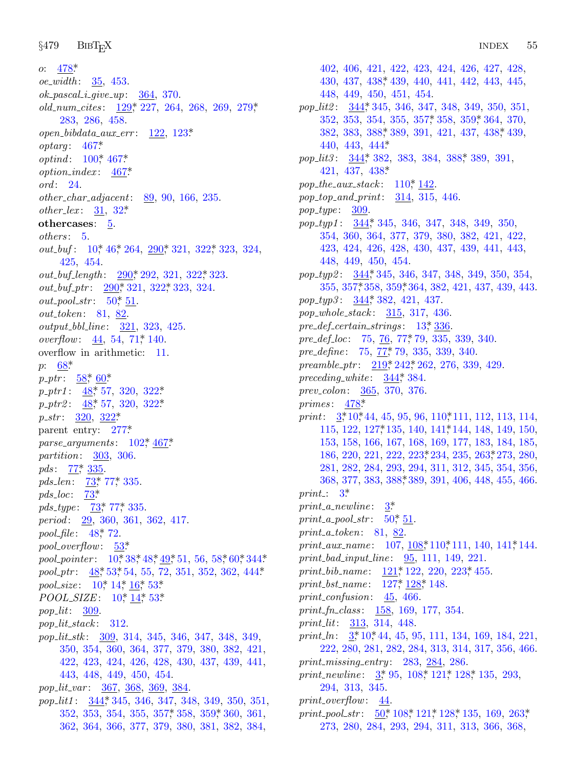*§*479 BibTEX INDEX <sup>55</sup>

*o*: 478\*. *oe width* : [35](#page-15-0), [453](#page-43-0). *ok pascal i give [up](#page-43-0)*: 364, 370. *old num cites* : 129\*, 227, 264, 268, 269, 279\*, 283, 286, 458. *open bibdata aux [e](#page-7-0)rr* : 122, 123\*. *optarg* : 467\*. *optind*:  $100^*$  467\* *option ind[ex](#page-3-0)* : [4](#page-9-0)67\*. *ord* : 24. *other char adjac[ent](#page-33-0)*: 89, 90, 1[66,](#page-36-0) 235. *other\_lex* :  $31, 32^*$  $31, 32^*$  $31, 32^*$ **othercases**: [5.](#page-10-0) *others* : 5. *out\_buf* : 10\*, 46\*, 264, 290\*, 321, 322\*, 323, 324, 425, 454. *out\_buf\_length* : 290\*, 292, 321, 322\*, 323. *out [buf](#page-13-0) ptr* : 290\*, 321, 322\*, 323, 324.  $out\_pool\_str: 50^*$  $out\_pool\_str: 50^*$  $out\_pool\_str: 50^*$  $out\_pool\_str: 50^*$  $out\_pool\_str: 50^*$ , 51. *out token*[:](#page-10-0) 81, 82. *output bbl [li](#page-10-0)ne* : 321, [323](#page-36-0), 425. *overflow*: <u>44</u>, [54](#page-36-0), 71, 140. overflow in arit[hme](#page-30-0)tic: 11. *p*: 68\*.  $p_{-}ptr$ :  $\underline{58}^*$ ,  $\underline{60}^*$ *p ptr1* [:](#page-14-0) 48\*, 57, 320, 322\*. *p ptr2* : [48\\*,](#page-14-0) [57,](#page-14-0) 320, 322\*. *p str* : 3[20,](#page-14-0) 322\*. parent ent[ry:](#page-14-0) [27](#page-14-0)7\*. *parse arguments* : 102\*, 467\*. *partition*: [30](#page-10-0)3, 306. *pds* :  $\frac{77}{7}$ , 335. *pds len*: 73\*, [77\\*,](#page-3-0) [335](#page-8-0). *pds loc*: [73\\*.](#page-10-0) *pds\_type* :  $\frac{73}{77}$ , 77, [335](#page-5-0). *period* : 29, 36[0,](#page-3-0) 3[61,](#page-4-0) [362](#page-10-0), 417. *pool file* : 48\*, 72. *pool overflow*: 53\*. *pool\_pointer* : 10\*38\*48\*49\*51, 56, 58\*60\*344\* *pool\_ptr* : 48\*, 53\*, 54, 55, 72, 351, 352, 362, 444\*. *pool\_size*: 10\*, 14\*, 16\*, 53\*. *POOL\_SIZE*: 10,\* 14,\* 53.\* *pop lit*: 309. *pop lit sta[ck](#page-39-0)* : 312. *pop lit stk* : 309, 314, 3[45,](#page-40-0) 346, 3[47,](#page-40-0) 348, 349, 350, 354, 360, 364, 377, 379, 380, 382, 421, 422, 423, 424, 426, 428, 430, 437, 439, 441, 443, 448, 449, 450, 454. *pop lit var* : 367, 368, 369, 384. *pop lit1* : 344\*, 345, 346, 347, 348, 349, 350, 351, 352, 353, 354, 355, 357\*, 358, 359\*, 360, 361, 362, 364, 366, 377, 379, 380, 381, 382, 384,

402, 406, [421,](#page-41-0) 422, 423, 424, 426, 427, 428, 430, 4[37,](#page-39-0) 438\*, 439, 440, 4[41,](#page-40-0) 442, 443, 445, 448, 449, [450,](#page-41-0) 451, 454. *pop lit2* : 344\*, 345, [346](#page-17-0), 347, 348, 349, 350, 351, 352, 353, 354, 355, 357\*, 358, 359\*, 364, 370, 382, 383, 388\*, 389, 391, 421, 437, 438\*, 439, 440, 4[43,](#page-39-0) 444\*. *pop lit3* : 344\*, 382, 383, 384, 388\*, 389, 391, 421, 437, 438\*. *pop the aux stack* : 110\*, 142. *pop top and [pri](#page-39-0)nt*: 314, 315, 446. *pop type* : [30](#page-40-0)9. *pop typ1* : [344](#page-39-0)\*, 345, 346, 347, 348, 349, 350, 354, 360, 364, 377, 379, 380, 382, 421, 422, 423, 424, 426, 428, [430](#page-4-0), 437, 439, 441, 443, 448, 449, 450, [454](#page-14-0). *pop typ2* : 344\*, [345](#page-14-0), 346, 347, 348, 349, 350, 354, 355, 357\*, 3[58,](#page-27-0) 3[59\\*,](#page-28-0) 364, 382, 421, 437, 439, 443. *pop typ3* : 344\*, 3[82,](#page-39-0) 421, 437. *pop whole stack* : 315, 317, 436. *pre def ce[rtain](#page-45-0) strings* : 13\*, 336. *pre def [lo](#page-2-0)c*[:](#page-3-0) 75, 76, 77\*, 79, [335](#page-17-0), 339, 340. *pre define* : [75,](#page-19-0) 77\*, 79, 335, [33](#page-21-0)9, 340. *preamble ptr* : 219\*, 242\*, 262, 276, 339, 429. *preceding white* : 344\*, [384.](#page-27-0) *prev colon*: 365, 370, 376. *primes* : 478\*. *print*:  $\frac{3}{7}$ , 10, 44, 45, 95, 96, 110, 111, 112, 113, 114, 115, 122, 127\*, [1](#page-2-0)35, 140, 141\*, 144, 148, 149, 150, 153, 158, 166, [16](#page-10-0)7, 168, 169, 177, 183, 184, 185, 186, 220, 221, 222, 223\*, 234, 235, 263\*, 273, 280, 281, 282, 284, 293, [294](#page-16-0), [311](#page-17-0), 312, 345, [354](#page-21-0), 356, 368, 377, 383, 388\*, 389, 391, 406, 448, 455, 466. *print* : 3\*.  $print_a$ <sub>newline</sub>:  $3^*$  $print_a\_pool\_str: 50^*$  51. *print a token*: 81, 82. *print\_aux\_name* : 107, 108,\*110,\*111, 140, 141,\*144. *print bad i[np](#page-2-0)[ut](#page-3-0) line* : 95, 111, 149, 221. *print\_bib\_name* : 121,\* 122, 220, 223,\* 455. *print bst name* : 127\*, 128\*, 148. *print confusion*: 45, [466.](#page-16-0) *print fn class* : 158, 169, 177, 354. *print lit*: 313, 314, 448. *print\_ln*:  $3*10*44$  $3*10*44$ , [45,](#page-16-0) [95,](#page-18-0) 1[11,](#page-20-0) 13[4,](#page-29-0) 169, 184, 221, 222, 280, 281, 282, 284, 313, 314, 317, 356, 466. *print missing entry* : 283, 284, 286. *print\_newline*:  $3^*$ , 95, 108<sup>\*</sup>, 121<sup>\*</sup>, 128<sup>\*</sup>, 135, 293, 294, 313, 345. *print overflow*: 44.

*print\_pool\_str* : 50\*, 108\*, 121\*, 128\*, 135, 169, 263\*, 273, 280, 284, 293, 294, 311, 313, 366, 368,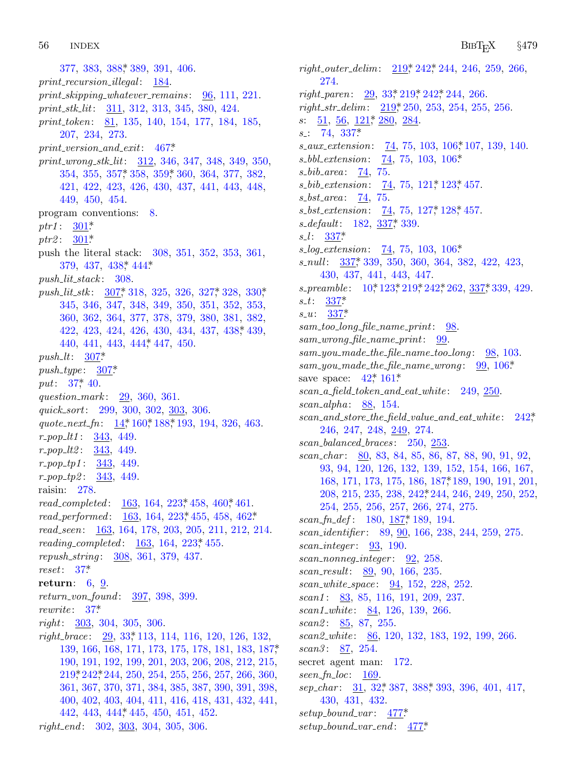56 **INDEX** 

377, 383, 388, 389, 391, 406.  $print\_recursion\_illed:$  184.  $print\_skipping\_whatever\_remains: 96, 111, 221.$ print\_stk\_lit:  $\frac{311}{312}$ , 312, 313, 345, 380, 424. print\_token: 81, 135, 140, 154, 177, 184, 185, 207, 234, 273.  $print\_version\_and\_exit: 467*$ print\_wrong\_stk\_lit: 312, 346, 347, 348, 349, 350, 354, 355, 357, 358, 359, 360, 364, 377, 382, 421, 422, 423, 426, 430, 437, 441, 443, 448, 449, 450, 454. program conventions: 8. *ptr1*:  $301^*$ *ptr2*:  $301*$ push the literal stack: 308, 351, 352, 353, 361, 379, 437, 438, 444.  $push\_lit\_stack: 308.$ push\_lit\_stk:  $307$ , 318, 325, 326, 327, 328, 330, 345, 346, 347, 348, 349, 350, 351, 352, 353, 360, 362, 364, 377, 378, 379, 380, 381, 382, 422, 423, 424, 426, 430, 434, 437, 438, 439, 440, 441, 443, 444, 447, 450. push  $lt: 307$ \*  $push\_type: 307*$ put:  $37^*$  40. question\_mark: 29, 360, 361. quick\_sort: 299, 300, 302, 303, 306. quote\_next\_fn: 14\*160\*188\*193, 194, 326, 463.  $r\_pop\_lt1: 343, 449.$  $r\_pop\_lt2: \quad 343, 449.$  $r\_pop\_tp1: 343, 449.$  $r\_pop\_tp2: \frac{343}{149}.$ raisin: 278. read\_completed:  $163, 164, 223, 458, 460, 461$ . read\_performed:  $\frac{163}{163}$ , 164, 223, 455, 458, 462\* read\_seen: 163, 164, 178, 203, 205, 211, 212, 214. *reading\_completed:*  $163, 164, 223, 455$ . repush\_string: 308, 361, 379, 437.  $reset: 37*$ return:  $6, 9$ . return\_von\_found: 397, 398, 399. rewrite:  $37^*$  $right: 303, 304, 305, 306.$  $right\_brace$ :  $\frac{29}{33}$ , 113, 114, 116, 120, 126, 132, 139, 166, 168, 171, 173, 175, 178, 181, 183, 187, 190, 191, 192, 199, 201, 203, 206, 208, 212, 215, 219, 242, 244, 250, 254, 255, 256, 257, 266, 360, 361, 367, 370, 371, 384, 385, 387, 390, 391, 398, 400, 402, 403, 404, 411, 416, 418, 431, 432, 441, 442, 443, 444, 445, 450, 451, 452.

right\_end: 302, 303, 304, 305, 306.

right\_outer\_delim:  $219$ ,  $242$ ,  $244$ ,  $246$ ,  $259$ ,  $266$ , 274. right\_paren:  $29, 33, 219, 242, 244, 266$ . right\_str\_delim: 219\* 250, 253, 254, 255, 256.  $s: \underline{51}, \underline{56}, \underline{121}, \underline{280}, \underline{284}.$  $s$ : 74, 337\* s\_aux\_extension: 74, 75, 103, 106,\*107, 139, 140. *s\_bib\_area*:  $\frac{74}{75}$ .  $s_{\text{}}\text{bib}_{\text{}}\text{ extension:} \quad 74, 75, 121, 123, 457.$ s\_bst\_area: 74, 75. s\_bst\_extension:  $\frac{74}{75}$ , 75, 127, 128, 457. *s\_default*:  $182, 337, 339$ .  $s_l$ : 337\* s\_log\_extension:  $\frac{74}{75}$ , 75, 103, 106\* s\_null: 337,\* 339, 350, 360, 364, 382, 422, 423, 430, 437, 441, 443, 447. s\_preamble: 10,\* 123,\* 219,\* 242,\* 262, 337,\* 339, 429.  $s_{-}t$ : 337\*  $s_{-}u: 337$ \*  $sam\_too\_long\_file\_name\_print:$  98.  $sam\_wrong_{\text{}}file\_name\_print:$  99.  $sam\_you\_made\_the\_file\_name\_too\_long: 98, 103.$  $sam\_you\_made\_the\_file\_name\_wrong:$  99, 106\* save space:  $42^* 161^*$  $scan\_a\_field\_token\_and\_eat\_white:$  249, 250.  $scan\_alpha: 88, 154.$  $scan\_and\_store\_the\_field\_value\_and\_eat\_white: 242$ 246, 247, 248, 249, 274.  $scan\_balanced_braces: 250, 253.$ scan\_char: 80, 83, 84, 85, 86, 87, 88, 90, 91, 92, 93, 94, 120, 126, 132, 139, 152, 154, 166, 167, 168, 171, 173, 175, 186, 187, 189, 190, 191, 201, 208, 215, 235, 238, 242\* 244, 246, 249, 250, 252, 254, 255, 256, 257, 266, 274, 275.  $scan_fn\_def: 180, 187, 189, 194.$ scan\_identifier: 89, 90, 166, 238, 244, 259, 275.  $scan\_integer: 93, 190.$  $scan\_nonneg\_integer: 92, 258.$ scan\_result: 89, 90, 166, 235. scan\_white\_space: 94, 152, 228, 252.  $scan1: 83, 85, 116, 191, 209, 237.$ scan1\_white:  $84, 126, 139, 266$ . scan2:  $85, 87, 255$ .  $scan2.white:$  86, 120, 132, 183, 192, 199, 266. scan $3: 87, 254.$ secret agent man: 172.  $seen\_fn\_loc$ : 169.  $sep\_char:$  31, 32, 387, 388, 393, 396, 401, 417, 430, 431, 432.  $setup\_bound\_var: \quad \underline{477}$  $setup\_bound\_var\_end:$  477\*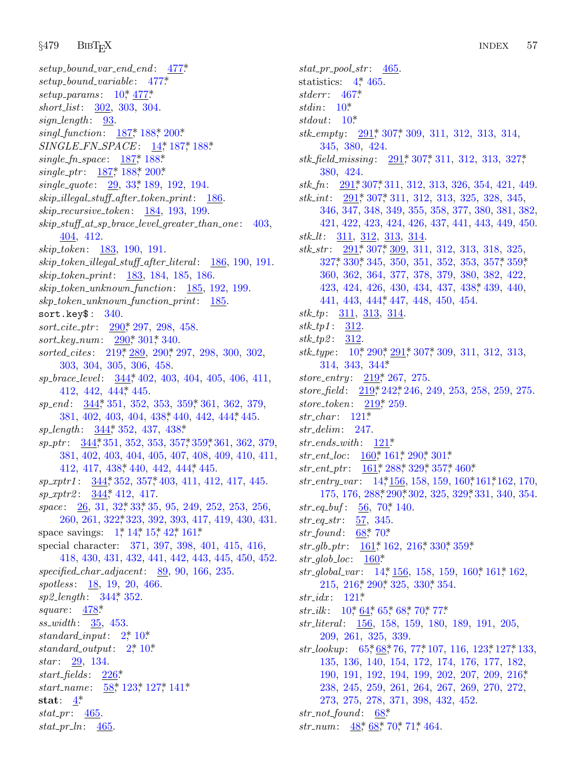*setup bound var [end](#page-24-0) [end](#page-24-0)* [:](#page-4-0) [477\\*.](#page-24-0) *setup bound varia[ble](#page-24-0)* : [477](#page-24-0)\*. *setup params* [:](#page-24-0) 1[0\\*,](#page-24-0) 47[7\\*.](#page-25-0) *short list*: 302, 3[03,](#page-7-0) 304.  $sign\_length:$  93. *singl function*: 187\*, 188\*, 200\*. *SINGLE FN SPACE* : 14\*, 187\*, 188\*. *single fn space* : 187\*, 188\*. *single ptr* : 187\*, 188\*, 200\*. *single quote* : 29, 33\*, 189, 192, 194. *skip illegal stuff after token print*: 186. *skip recursive token*: 184, 193, 199. *skip stuff at sp brace level greater than one* : 403, 404, 412. *skip token*: 1[83,](#page-33-0) 190, 191. *skip token illegal [stu](#page-33-0)ff [aft](#page-34-0)er literal* : 186, 190, 191. *skip token pri[nt](#page-27-0)*: 183, [184,](#page-33-0) 185, 186. *skip token unknown function*: 185, 192, 199. *skp token unkno[wn](#page-39-0) function print*: 185. sort.key $$: 340.$  $$: 340.$ *sort cite [ptr](#page-39-0)* : 290\*, 297, 298, [458](#page-40-0). *sort key num*: 290\*, 30[1\\*,](#page-41-0) 340. *sorted cites* : [2](#page-39-0)19\*, 289, 29[0\\*,](#page-41-0) 297, 298, 300, 302, 303, [304](#page-39-0), 305, 306, 45[8.](#page-40-0) *sp brace level* : 344\*, 402, 403, 404, 405, 406, 411, 412, 442, [444](#page-41-0)\*, 445. *sp end* : 3[44\\*,](#page-39-0) 351, 3[52,](#page-40-0) 353, 359\*, 361, 362, 379, 381, 4[02,](#page-39-0) 403, 404, 438\*, 440, 442, 444\*, 445. *sp length* : 344\*, [3](#page-7-0)5[2,](#page-7-0) 437, 438\*. *sp ptr* : 344\*, [351,](#page-36-0) 352, 353, 357\*, 359\*, 361, 362, 379, 381, 402, 4[03](#page-1-0), [404](#page-4-0), [40](#page-5-0)5, [4](#page-8-0)0[7,](#page-23-0) 408, 409, 410, 411, 412, 417, 438, 440, 442, 444, 445. *sp xptr1* : 344\*, 352, 357\*, 403, 411, 412, 417, 445. *sp xptr2* : 344\*, 412, 417. *space* : 26, 31, 32\*, 33\*, 35, 95, 249, 252, 253, 256, 260, 261, [322](#page-39-0)\*, 323, 392, 393, 417, 419, 430, 431. space sa[vings](#page-45-0):  $1^*$ ,  $14^*$ ,  $15^*$ ,  $42^*$ ,  $161^*$ . special character: 371, 397, 398, 401, 415, 416, 418, 430, 431[,](#page-1-0) 4[32,](#page-3-0) 441, 442, 443, 445, 450, 452. *specified char adja[ce](#page-1-0)nt*[:](#page-3-0) 89, 90, 166, 235. *spotless* : 18, 19, 20, 466. *sp2 length* : [344\\*,](#page-28-0) 352. *square* : 478[\\*](#page-11-0). *ss widt[h](#page-2-0)* : 35, 453.  $standard$ *input*:  $2^*$  10\* *standard output*: 2\*, 10\*. *star* : 29, 134. *start fields* : 226\*. *start name* : 58\*, 123\*, 127\*, 141\*. **stat**: 4\*. *stat pr* : 465. *stat pr ln*: 465.

*stat pr pool [str](#page-33-0)* : [465](#page-35-0). statistics:  $4^*$ , 465. *stderr* : 467\*. *stdin*: [10\\*.](#page-33-0) *stdout*: [10\\*.](#page-33-0) *stk empty* : 291\*, 307\*, 309, 311, 312, 313, 314, 345, 380, 424. *stk field missing* : 291\*, 307\*, 311, 312, 313, 327\*, 380, [424](#page-33-0). *stk f[n](#page-36-0)*: [291\\*,](#page-37-0) 307\*, 311, 312, 313, 326, 3[54,](#page-40-0) 4[21,](#page-40-0) 449. *stk int*: 291\*, 307\*, 311, 312, 313, 325, 328, 345, 346, 347, 348, 349, 355, 358, 3[77,](#page-41-0) 380, 381, 382, 421, 422, [423,](#page-41-0) 424, 426, 437, 441, 443, 449, 450. *stk lt*: 311, 312, 313, 314. *stk str* : 291\*, 307\*, 309, 311, 312, 313, 318, 325, 327\*, 330\*, 345, 350, 351, 352, 353, 357\*, 359\*, 360, 3[62,](#page-3-0) [364,](#page-33-0) [377,](#page-33-0) [378,](#page-35-0) 379, 380, 382, 422, 423, 424, [426,](#page-39-0) 430, 434, 437, 438\*, 439, 440, 441, 443, [444](#page-27-0)\*, 447, 448, 450, 454. *stk tp*: 311, [313](#page-27-0), [31](#page-28-0)4. *stk tp1* : 312. *stk tp2* : [312.](#page-18-0) *stk type* : 10\*, 290\*, 291\*, 307\*, 309, 311, 312, 313, 314, 343, [344\\*.](#page-18-0) *store entry* : [219](#page-22-0)\*, [267](#page-23-0), [275](#page-33-0). *store field* : [219\\*,](#page-23-0) [242\\*,](#page-32-0) [246,](#page-36-0) [2](#page-34-0)[49,](#page-40-0) 2[53,](#page-42-0) 258, 259, 275. *store token*: 2[19\\*,](#page-4-0) 259. *str char* : 12[1\\*.](#page-32-0) *str delim*: 247. *str ends with* : 121\*. *str\_ent\_loc*:  $160^*$ ,  $161^*$ ,  $290^*$ ,  $301^*$ . *str ent ptr* : [161](#page-23-0)\*, 288\*, [329](#page-26-0)\*, [357](#page-37-0)\*, [460](#page-40-0)\*. *str entry var* : [14](#page-22-0)\*, 156, 158, 159, 160\*, 161\*, 162, 170, 175, 176, 2[88\\*,](#page-4-0) 290\*, 302, 325, 3[29\\*,](#page-22-0) 33[1,](#page-23-0) 340, 354.  $str\_eq\_buf$ [:](#page-26-0) 56, [70](#page-33-0), 140[.](#page-37-0) *str eq str* : [5](#page-18-0)7, 345. *str found* [:](#page-3-0) [68\\*,](#page-12-0) [70\\*.](#page-12-0) *str\_glb\_ptr* :  $\underline{161}$ \*, 162, 216\*, 330\*, 359\*.  $str\_glob\_loc: 160^*$ *str\_global\_var* [:](#page-12-0) 14, [15](#page-14-0)6, 158, 159, 160, 161, 162, 215, 216\*, 290\*, 325, 330\*, 354. *str idx* : 121\*. *str\_ilk* : 10\*, <u>64</u>\*, 65\*, 68\*, 70\*, 77\*. *str literal* : 156, 158, 159, 180, 189, 191, 205, 209, 261, 3[25,](#page-13-0) 339. *str\_lookup*: [6](#page-10-0)5, 68, [7](#page-13-0)6, [77](#page-14-0), 107, 116, 123, 127, 133, 135, 136, 140, 154, 172, 174, 176, 177, 182, 190, 191, 192, 194, 199, 202, 207, 209, 216\*, 238, 245, 259, 261, 264, 267, 269, 270, 272, 273, 275, 278, 371, 398, 432, 452. *str not found* : 68\*.

*str\_num*: 48<sup>\*</sup>, 68<sup>\*</sup>, 70<sup>\*</sup>, 71<sup>\*</sup>, 464.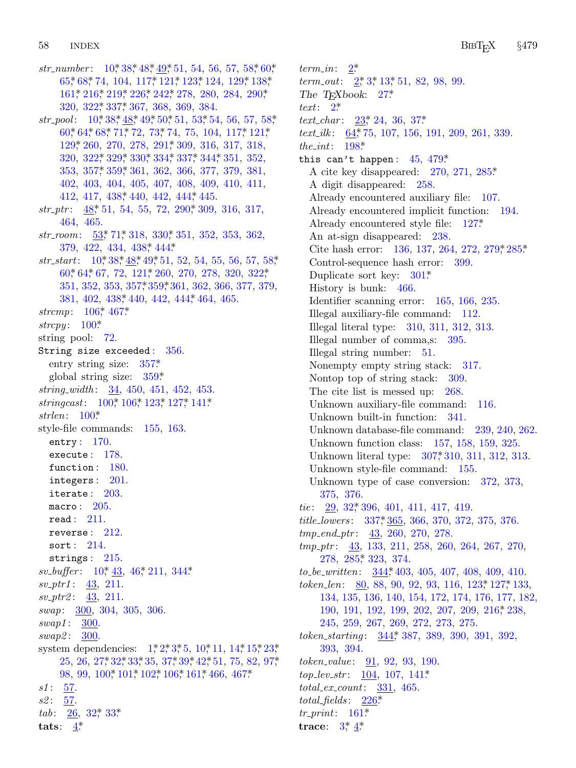$58$ **INDEX** 

str\_number:  $10^*38^*48^*49^*51, 54, 56, 57, 58^*60^*$ 65, 68, 74, 104, 117, 121, 123, 124, 129, 138, 161, 216, 219, 226, 242, 278, 280, 284, 290, 320, 322, 337, 367, 368, 369, 384. str\_pool:  $10^*38^*48^*49^*50^*51$ , 53<sup>\*</sup>54, 56, 57, 58<sup>\*</sup> 60, 64, 68, 71, 72, 73, 74, 75, 104, 117, 121, 129, 260, 270, 278, 291, 309, 316, 317, 318, 320, 322\* 329\* 330\* 334\* 337\* 344\* 351, 352, 353, 357, 359, 361, 362, 366, 377, 379, 381, 402, 403, 404, 405, 407, 408, 409, 410, 411, 412, 417, 438, 440, 442, 444, 445.  $str\_ptr$ :  $\frac{48}{51}$ , 54, 55, 72, 290, 309, 316, 317, 464, 465. str\_room: 53,\* 71,\* 318, 330,\* 351, 352, 353, 362, 379, 422, 434, 438, 444\*  $str\_start$ :  $10^*38^*48^*49^*51, 52, 54, 55, 56, 57, 58^*$ 60, 64, 67, 72, 121, 260, 270, 278, 320, 322, 351, 352, 353, 357\* 359\* 361, 362, 366, 377, 379, 381, 402, 438, 440, 442, 444, 464, 465. strcmp:  $106^*$ , 467\* strcpy:  $100^*$ string pool: 72. String size exceeded: 356. entry string size:  $357^*$ global string size:  $359*$ string\_width:  $34, 450, 451, 452, 453$ . stringcast:  $100^*$ ,  $106^*$ ,  $123^*$ ,  $127^*$ ,  $141^*$ strlen:  $100^*$ style-file commands:  $155, 163$ . entry:  $170$ . execute: 178. function: 180. integers:  $201$ . iterate:  $203$ . macro:  $205$ .  $read: 211.$ reverse:  $212$ . sort:  $214$ . strings:  $215$ .  $sv_buffer: 10^*43, 46^*211, 344^*$  $sv_+ptr1: 43, 211.$  $sv_+ptr2: \underline{43}, 211.$ swap: 300, 304, 305, 306.  $swap1: 300.$  $swap2: 300.$ system dependencies:  $1, 2, 3, 5, 10, 11, 14, 15, 23,$ 25, 26, 27, 32, 33, 35, 37, 39, 42, 51, 75, 82, 97, 98, 99, 100, 101, 102, 106, 161, 466, 467\*  $s1: 57.$ s2: 57. tab:  $26, 32, 33$ \* tats:  $4^*$ 

 $2^*$  $term\_in$ :  $term\_out: \quad 2, 3, 13, 51, 82, 98, 99.$ The T<sub>F</sub>Xbook:  $27^*$ text:  $2^*$ *text\_char:*  $23$ <sup>\*</sup>, 24, 36, 37<sup>\*</sup> text\_ilk:  $64$ , 75, 107, 156, 191, 209, 261, 339. the\_int:  $198*$ this can't happen:  $45, 479*$ A cite key disappeared:  $270, 271, 285$ \* A digit disappeared: 258. Already encountered auxiliary file: 107. Already encountered implicit function: 194. Already encountered style file: 127\* An at-sign disappeared: 238. Cite hash error: 136, 137, 264, 272, 279,  $\frac{125}{6}$ Control-sequence hash error: 399. Duplicate sort key:  $301*$ History is bunk: 466. Identifier scanning error: 165, 166, 235. Illegal auxiliary-file command: 112. Illegal literal type: 310, 311, 312, 313. Illegal number of comma,s: 395. Illegal string number: 51. Nonempty empty string stack: 317. Nontop top of string stack: 309. The cite list is messed up:  $268$ . Unknown auxiliary-file command: **116.** Unknown built-in function: 341. Unknown database-file command: 239, 240, 262. Unknown function class: 157, 158, 159, 325. Unknown literal type: 307,\*310, 311, 312, 313. Unknown style-file command: 155. Unknown type of case conversion: 372, 373, 375 376 tie:  $29, 32, 396, 401, 411, 417, 419.$ *title\_lowers:* 337, 365, 366, 370, 372, 375, 376.  $tmp\_end\_ptr:$  43, 260, 270, 278.  $tmp\_ptr:$  43, 133, 211, 258, 260, 264, 267, 270, 278, 285, 323, 374.  $to_{-}be_{-}written: 344, 403, 405, 407, 408, 409, 410.$ token\_len: 80, 88, 90, 92, 93, 116, 123,\* 127,\* 133, 134, 135, 136, 140, 154, 172, 174, 176, 177, 182, 190, 191, 192, 199, 202, 207, 209, 216, 238, 245, 259, 267, 269, 272, 273, 275. token\_starting:  $344$ <sup>\*</sup>, 387, 389, 390, 391, 392, 393, 394.  $token\_value: \quad 91, 92, 93, 190.$  $top\_lev\_str: 104, 107, 141*$  $total\_ex\_count:$  331, 465. total\_fields:  $226^*$  $tr\_print: 161*$ trace:  $3^*_{1} \underline{4}^*$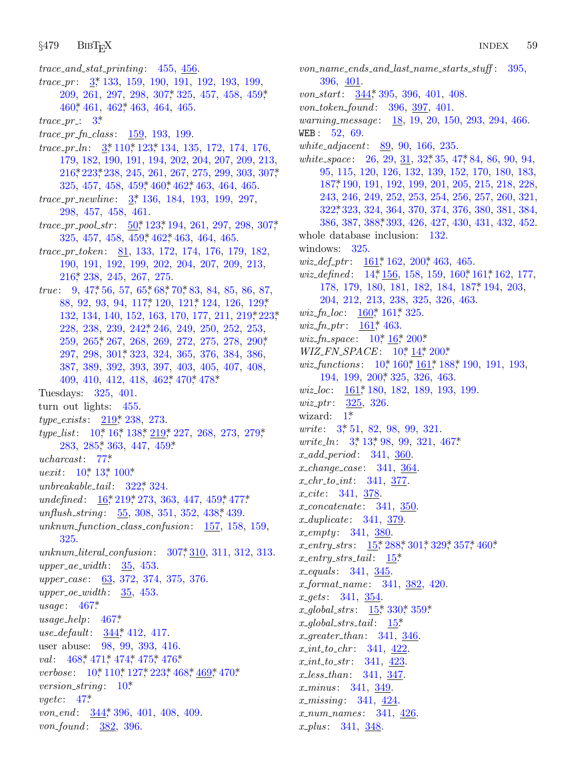$trace\_and\_stat\_printing: 455, 456.$  $trace_pr: \frac{3}{2}, 133, 159, 190, 191, 192, 193, 199,$ 209, 261, 297, 298, 307, 325, 457, 458, 459,  $460^*$ , 461, 462<sup>\*</sup>, 463, 464, 465.  $trace\_pr$ : 3\*  $trace\_pr\_fn\_class: 159, 193, 199.$ *trace\_pr\_ln*:  $3*110*123*134, 135, 172, 174, 176,$ 179, 182, 190, 191, 194, 202, 204, 207, 209, 213,  $216$ <sup>\*</sup>,  $223$ <sup>\*</sup>,  $238$ ,  $245$ ,  $261$ ,  $267$ ,  $275$ ,  $299$ ,  $303$ ,  $307$ <sup>\*</sup> 325, 457, 458, 459, 460, 462, 463, 464, 465. trace\_pr\_newline:  $3, 136, 184, 193, 199, 297,$ 298, 457, 458, 461.  $trace\_pr\_pool\_str: \quad 50^*123^*194, 261, 297, 298, 307^*$ 325, 457, 458, 459, 462, 463, 464, 465. *trace\_pr\_token*:  $\underline{81}$ , 133, 172, 174, 176, 179, 182, 190, 191, 192, 199, 202, 204, 207, 209, 213,  $216$ <sup>\*</sup>,  $238$ ,  $245$ ,  $267$ ,  $275$ . *true*:  $9, 47, 56, 57, 65, 68, 70, 83, 84, 85, 86, 87,$ 88, 92, 93, 94, 117\* 120, 121\* 124, 126, 129\* 132, 134, 140, 152, 163, 170, 177, 211, 219, 223, 228, 238, 239, 242, 246, 249, 250, 252, 253, 259, 265, 267, 268, 269, 272, 275, 278, 290, 297, 298, 301, 323, 324, 365, 376, 384, 386, 387, 389, 392, 393, 397, 403, 405, 407, 408, 409, 410, 412, 418, 462, 470, 478\* Tuesdays: 325, 401. turn out lights:  $455$ . *type\_exists:* 219, 238, 273. *type\_list*:  $10^*$ ,  $16^*$ ,  $138^*$ ,  $219^*$ ,  $227$ ,  $268$ ,  $273$ ,  $279^*$ 283, 285, 363, 447, 459\*  $ucharcast: 77*$ *uexit*:  $10^*$  13\* 100\*  $unbreakable\_tail: 322^*324.$ undefined:  $16^*219^*273$ , 363, 447, 459, 477\* unflush\_string: 55, 308, 351, 352, 438, 439. unknwn\_function\_class\_confusion:  $157, 158, 159$ , 325. 307\*310, 311, 312, 313.  $unknown\_literal\_confusion$ :  $upper_a e_width: 35, 453.$ upper\_case: 63, 372, 374, 375, 376. upper\_oe\_width:  $35,453$ .  $usage: 467*$  $usage\_help: 467*$ use\_default: 344,\* 412, 417. user abuse: 98, 99, 393, 416. val: 468, 471, 474, 475, 476, verbose: 10, 110, 127, 223, 468, 469, 470. version\_string:  $10^*$  $\textit{vgetc}:$  47\* von\_end:  $344$ <sup>\*</sup>, 396, 401, 408, 409.

von\_found: 382, 396.

 $von_name\_ends\_and\_last\_name\_starts\_stuff: 395,$ 396, 401. von\_start: 344, 395, 396, 401, 408. von\_token\_found: 396, 397, 401. warning\_message: 18, 19, 20, 150, 293, 294, 466. WEB: 52, 69. white\_adjacent:  $89, 90, 166, 235$ . *white\_space*:  $26, 29, 31, 32, 35, 47, 84, 86, 90, 94,$ 95, 115, 120, 126, 132, 139, 152, 170, 180, 183, 187\*190, 191, 192, 199, 201, 205, 215, 218, 228, 243, 246, 249, 252, 253, 254, 256, 257, 260, 321, 322, 323, 324, 364, 370, 374, 376, 380, 381, 384, 386, 387, 388, 393, 426, 427, 430, 431, 432, 452. whole database inclusion:  $132$ . windows:  $325$ . *wiz\_def\_ptr*:  $\underline{161}$ , 162, 200, 463, 465. *wiz\_defined*:  $14, 156, 158, 159, 160, 161, 162, 177$ 178, 179, 180, 181, 182, 184, 187, 194, 203, 204, 212, 213, 238, 325, 326, 463. *wiz\_fn\_loc*:  $160$ <sup>\*</sup>,  $161$ <sup>\*</sup>,  $325$ . *wiz\_fn\_ptr*:  $161^*$ , 463. *wiz\_fn\_space*:  $10^*$ ,  $16^*$ ,  $200^*$ .  $WIZ_FN\_SPACE: 10^*_{14}^*200^*$ *wiz\_functions*:  $10^* 160^* 161^* 188^* 190$ , 191, 193, 194, 199, 200, 325, 326, 463. *wiz\_loc*:  $161$ <sup>\*</sup>, 180, 182, 189, 193, 199. *wiz\_ptr*:  $325, 326$ . wizard:  $1^*$ *write*: 3, 51, 82, 98, 99, 321. *write\_ln:*  $3, 13, 98, 99, 321, 467$  $x\_add\_period: 341, 360.$  $x$ -change-case: 341, 364.  $x_{\text{-}}chr_{\text{-}}to_{\text{-}}int: 341, 377.$ *x\_cite*: 341, 378.  $x\text{-}concatenate: 341, 350.$  $x\_duplicate: 341, 379.$  $x$ <sub>-empty</sub>: 341, 380. x\_entry\_strs:  $15$ ,  $288$ ,  $301$ ,  $329$ ,  $357$ ,  $460$ .  $x$ <sub>entry\_strs\_tail</sub>:  $15^*$  $x_{-}equals: 341, 345.$ *x*\_format\_name: 341, 382, 420.  $x\_gets: 341, 354.$ x\_global\_strs:  $15^*330^*359^*$  $x_{\text{-}global\_strs\_tail}:$  15\* x\_greater\_than:  $341, 346$ .  $x\_int\_to\_chr$ : 341, 422.  $x\_int\_to\_str$ : 341, 423  $x\text{-}less\text{-}than: 341, 347.$ *x\_minus:* 341, 349. *x\_missing*:  $341, \frac{424}{ }$  $x_{num\_names:}$  341, 426

 $x_{\text{p}}$ *lus*: 341, 348.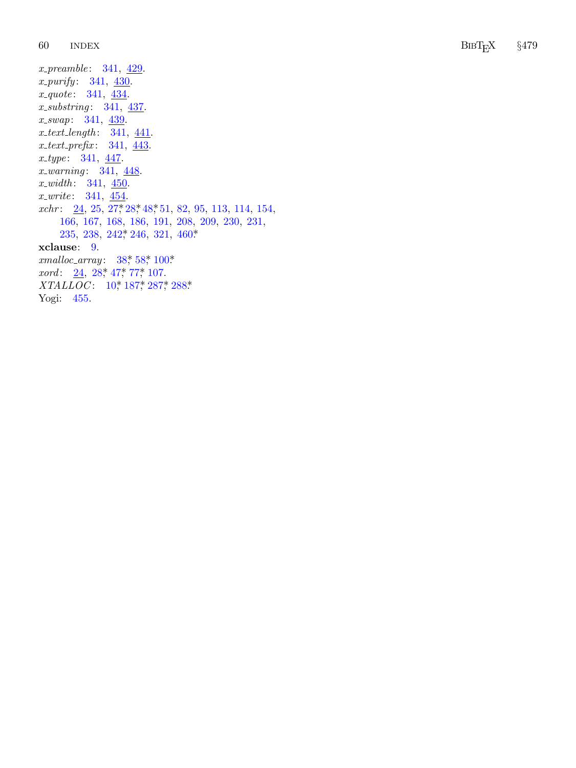60 INDEX

Bib TEX *§*479

*x\_preamble*: 341, 429. *x\_purify*: 341, 430. *x quote*: 341, <u>434</u>. *x\_substring*: 341, 437. *x\_swap*: 341, 439. *x text length*: [34](#page-6-0)1[,](#page-7-0) 4[41](#page-10-0). *x text prefix* : 341 , 443 . *x\_type*: 341, <u>[447](#page-28-0)</u>. *x\_warning*: 341, 448. *x width*: 341, [450](#page-8-0). *x write*: 3[41](#page-7-0), [454](#page-9-0). *xchr*: 24, 25, [27](#page-3-0), 28, 48, 51, [82](#page-32-0), 95, 113, 114, 154, 166, 167, 168, 186, 191, 208, 209, 230, 231, 235, 238, 242, 246, 321, 460\* **xclause** : 9 . *xmalloc array* : 38\*, 58\*, 100\*. *xord*: 24, 28, 47, 77, 107. *XTALLOC*: 10,\* 187,\* 287,\* 288\* Yogi: 455.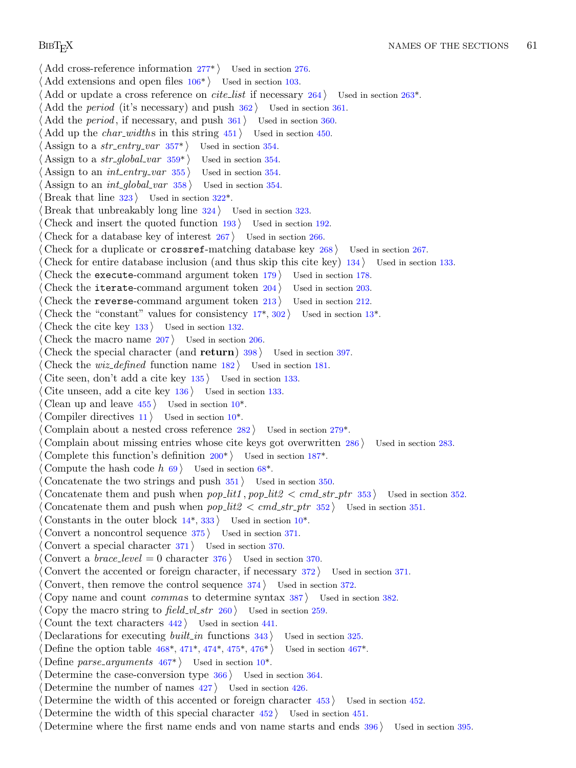*⟨* Add cross-reference infor[mati](#page-40-0)on 277\* *⟩* Used in section 276. *⟨* Add extensions and open [files](#page-40-0) 106\* *⟩* Used in section 103. Add or update a cross reference on *cite\_list* if necessary 264 *\* Used in section 263<sup>\*</sup>. *⟨* Add the *period* (it's necessary) and push 362 *⟩* Used in section 361. *Add the period*, if necessary, and p[ush](#page-36-0)  $361$  *Vsed in section 360. Add up the <i>char\_widths* in this string  $451$  *\* Used in section 450. Assign to a  $str\_entry\_var$  357\*  $\rangle$  Used in section 354. *Assign to a str\_global\_var*  $359^*$  *Used in section 354. ⟨* Assign to an *int entry var* 355 *⟩* Used in section 354. *Assign to an int\_global\_var* 358 *\legion* Used in section 354. Break that line  $323$  Used in section  $322^*$ . *Characeral Break that unbreakably long line*  $324$  *<i>\compare Used in section 323. Check and insert the quoted function 193 <i>\* Used in section 192. *Check for a database key of interest 267 <i>N* [Used](#page-5-0) in section 266. *Check for a duplicate or crossref-matching database key 268 <i>>* Used in section 267. *Check for entire database inclusion (and thus skip this cite key)* 134 *>* Used in section 133. *Check the execute-command argument token*  $179$  *<i>Vsed in section 178. Check the iterate-command argument token*  $204$  */ Used in section 203. Check the reverse-command argument token 213 <i>>* Used in section 212. Check the "constant" values for consistency  $17^*$ ,  $302$  *\* Used in section  $13^*$ . *⟨* Check the cite key 133 *⟩* Used in section [132](#page-3-0). *Check the macro name*  $207$  *<i>\* Used in se[ctio](#page-3-0)n 206. *Check the special character (and return) [39](#page-31-0)8 <i>a* Used in section 397. *Check the wiz\_defined* function name  $182$  *\* Used in section 181. *⟨* Cite seen, don't add a cite key 135 *⟩* [U](#page-25-0)sed in section 133. *⟨* Cite unseen, add a cite key 136 *⟩* Used in secti[on](#page-13-0) 133. *⟨* Clean up and leave 455 *⟩* Used in section 10\*. *Compiler directives*  $11$  */* Used in section  $10^*$ . *Complain about a nested cross reference*  $282$  */* Used in section  $279^*$ . *⟨* Complain about missing entr[ies](#page-4-0) whose cite keys got o[ve](#page-3-0)rwritten 286 *⟩* Used in section 283. *⟨* Complete this function's definition 200\* *⟩* Used in section 187\*. *⟨* Compute the hash code *h* 69 *⟩* Used in section 68\*. *⟨* Concatenate the two strings and push 351 *⟩* Used in section 350.  $\text{Concatenate them}$  and push when  $pop\_lit1$ ,  $pop\_lit2 < cmd\_str\_ptr$  353  $\text{Vsed}$  in section 352. Concatenate them and push when  $pop\_lit2 < cmd\_str\_ptr$  352 */* Used in section 351. Constants in the outer block  $14^*$ ,  $333$ *)* Used in section  $10^*$ . *⟨* Convert a noncontrol sequence 375 *⟩* Used in section 371. *⟨* Convert a special character 371 *⟩* Used in section 370. *Convert a brace\_level* = 0 character  $376$  *\* Used in section 370. *Convert the accented o[r for](#page-43-0)e[ign](#page-44-0) c[hara](#page-44-0)c[ter,](#page-44-0) if [nec](#page-44-0)essary 372 <i>a* Use[d in](#page-43-0) section 371. *Convert, then remove th[e co](#page-43-0)ntrol sequence*  $374$  $374$  *Vsed in section 372. ⟨* Copy name and count *comma* s to determine syntax 387 *⟩* Used in section 382. *⟨* Copy the macro string to *field vl str* 260 *⟩* Used in section 259. *⟨* Count the text characters 442 *⟩* Used in section 441. *<u>Declarations for executing <i>built\_in* functions 343 *\* Used in section 325.</u> *⟨* Define the option table 468\*, 471\*, 474\*, 475\*, 476\* *⟩* Used in section 467\*. Define *parse\_arguments*  $467^*$  Used in section  $10^*$ . Determine the case-conversion type  $366$  Used in section 364. Determine the number of names  $427$  Used in section  $426$ . *⟨* Determine the width of this accented or foreign character 453 *⟩* Used in section 452. *<u>Determine the width of this special character 452 <i>Wirel Used in section 451.*</u>

*⟨* Determine where the first name ends and von name starts and ends 396 *⟩* Used in section 395.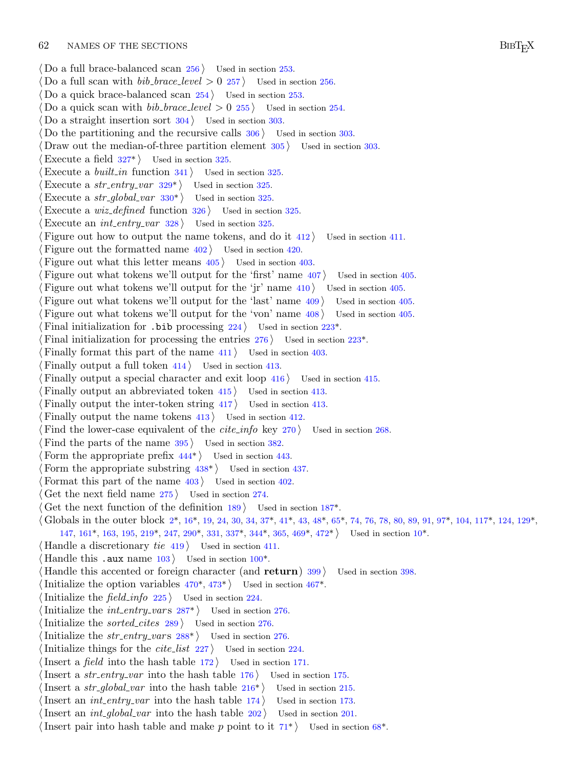### 62 NAMES OF THE SECTIONS BIBT<sub>F</sub>X

*⟨* Do a full brace-balanced scan 256 *⟩* Used in section 253. Do a full scan [with](#page-36-0)  $bib\_brace$  *level*  $> 0$  257  $\}$  Used in section 256. Do a quick brace-balanced scan  $254$  Used in section 253. *Z* Do a quick scan with *bib\_[bra](#page-36-0)ce\_level*  $> 0$  255 *\* Used in section 254. Do a straight insertion s[ort](#page-37-0)  $304$  *Vsed in section 303.* Do the partitioning and the recursive calls  $306$  *V* Used in section 303. Draw out the median-of-three partition element  $305$  *V* Used in section 303. Execute a field  $327^*$  Used in section 325. Execute a *built\_in* function  $341$   $\vee$  Used in section 325. Execute a *str\_entry\_var*  $329^*$  Used in section 325. Execute a  $str\_global\_var$  330\*  $\rangle$  Used in section 325. *⟨*Execute a *wiz defined* function 326 *⟩* Used in section 325. Execute an *int\_entry\_var*  $328$  Used in section 325. *Figure out how to output the name tokens, and do it 412 <i>aught* Used in section 411. *Figure out the formatted name*  $402$  *Used in section 420. Figure out what this letter means*  $405$  *<i>Vsed in section 403. Figure out what tokens we'll output for the 'first' name*  $407$  *<i>\* Used in section 405. *Figure out what tokens we'll output for the 'jr' name*  $410$  *<i>\* Used in section  $405$ . *Figure out what tokens we'll output for the 'last' name*  $409$  *<i>\* Used in section 405. *Figure out what tokens we'll output for the 'von' name*  $408$  */ Used in section 405. Final initialization for .bib processing 224 <i>\ineral Used in section 223<sup>\*</sup>.* Final initialization for processing the entries  $276$  Used in section  $223^*$ . *Finally format this part of the name 411 <i>\* Used in section 403. *Finally output a full token*  $414$  *<i>Vsed in section 413. Finally output a special char[act](#page-41-0)er and exit loop 416 <i>V* Used in section 415. *Finally output an abbreviated t[oken](#page-41-0)*  $415$  *<i>Vsed in section* 413. *Finally output the inter-token string 417 <i>Vsed in section 413. Finally output the name tokens*  $413$  */ Used in section 412. Find the lower-case equivalent of the <i>cite\_info* key 270 *\* U[sed](#page-24-0) in section 268. *Find th[e](#page-1-0) parts of the [n](#page-8-0)ame*  $395$  $395$  *Used in section 38[2.](#page-8-0)* Form t[he a](#page-23-0)ppropriat[e p](#page-27-0)refix  $444^*$  Us[ed in](#page-38-0) [secti](#page-39-0)on 443[.](#page-43-0) *Form the appropriate substring*  $438^*$  *Used in section 437. Format this part of the name*  $403$  */ Used in [secti](#page-15-0)on 402. ⟨* Get the next field name 275 *⟩* Used in section 274. *Cet the next function of the [defin](#page-43-0)i[tion](#page-44-0) 189 <i>a* Used in sect[ion](#page-43-0) 187<sup>\*</sup>. *⟨* Globals in the outer block 2\*, 16\*, 19, 24, 30, 34, 37\*, 41\*, 43, 48\*, 65\*, 74, 76, 78, 80, 89, 91, 97\*, 104, 117\*, 124, 129\*, 147, 161\*, 163, 195, 219\*, 247, [29](#page-32-0)0\*, 331, 337\*, 344\*, 365, 469\*, 472\* *⟩* Used in section 10\*. *⟨* Handle a discretionary *tie* 419 *⟩* Used in section 411. Handle this .aux name  $103$  [U](#page-32-0)sed in section  $100^*$ . *⟨* Handle this accented or foreign character (and **return**) 399 *⟩* Used in section 398. Initialize the option variables  $470^*$ ,  $473^*$  Used in section  $467^*$ . *Initialize the*  $field\_info$  *225 <i>\* Used in section 224. Initialize the *int\_entry\_vars*  $287^*$  Used in [sec](#page-26-0)tion 276. *<u>Initialize the <i>sorted\_cites* 289 *\* Used in section 276.</u> Initialize the  $str\_entry\_vars$  288\*  $\rangle$  Used in section 276. Initialize things for the *cite\_list*  $227$  *\* Used in secti[on](#page-14-0) 224. *⟨*Insert a *field* into the hash table 172 *⟩* Used in section 171. *Insert a str\_entry\_var* into the hash table  $176$  *\* Used in section 175. *Insert a str\_global\_var* into the hash table  $216^*$  *\composering Used in section 215. Insert an int\_entry\_var* into the hash table  $174$  *Vsed in section 173. Insert an int\_global\_var* into the hash table  $202$  *\* Used in section 201. *⟨*Insert pair into hash table and make *p* point to it 71\* *⟩* Used in section 68\*.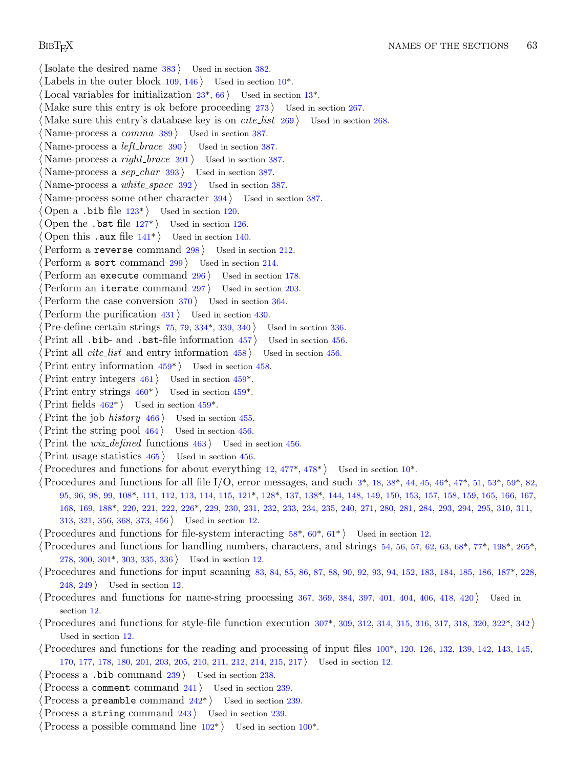- *⟨*Isolate the desired name 383 *⟩* Used in section 382. Labels in the outer block  $109, 146$  Used in section  $10^*$ . *Local variables for initialization*  $23^*$ *, 66 <i>\* Used in section  $13^*$ . *⟨* Make sure this entry is ok before proceeding 273 *⟩* Used in section 267. *Make sure this entry's database key is on <i>cite\_list* 269 *>* Used in section 268. *⟨* Name-process a *c[omm](#page-19-0)a* 389 *⟩* Used in section 387. *⟨* Name-process a *left [bra](#page-19-0)ce* 390 *⟩* Used in section 387. *⟨* Name-process a *right [br](#page-21-0)ace* 391 *⟩* Used in section 387. *Name-process a sep\_char* 393  $\}$  Used in section 387. *⟨* Name-process a *white space* 392 *⟩* Used in section 387. *Name-process some other character 394 <i>>* Used in section 387. *⟨* Open a .bib file 123\* *⟩* Used in section 120. *Open the .bst file 127\* <i>Vsed in section 126. ⟨* Open this .aux file 141\* *⟩* Used in section 140. *Perform a reverse command 2[98](#page-38-0) <i>Vsed in section 212. ⟨*Perform a sort command 299 *⟩* Used in section 214. *⟨*Perform an execute command 296 *⟩* Used in section 178. *Perform an iterate co[mma](#page-42-0)nd 297 <i>Vsed in section 203. Perform the case conversion 370 <i>V* Used [in se](#page-42-0)ction 364. *⟨*Perform the purific[atio](#page-42-0)n 431 *⟩* Used in se[ction](#page-42-0) 430. *⟨*Pre-define c[erta](#page-42-0)in strings 75, 79, [334\\*](#page-42-0), 339, 340 *⟩* Used in section 336. *Print all .bib- and .bst-file information*  $457$  *<i>Vsed in section*  $456$ .  $\text{Print all cite_list}$  and entry information  $458$  *\* Used in section 456. *⟨*Print entry information 459\* *⟩* Used in section 458. *Print entry integers*  $461$  */* Used in section  $459^*$ . Print entry strings  $460^*$  Used in section  $459^*$ . Print fields  $462^*$  Used in section  $459^*$ . *Print the job hi[stor](#page-16-0)y* 466 *\wi* Used in section [455](#page-18-0). *Print the s[tring](#page-24-0) pool*  $464$  *v* [Used](#page-28-0) in section 456. *<u>Print the <i>wiz\_defined* functions 463 */* Used in section 456.</u> *⟨*Print usage statistics 465 *⟩* Used in section 456. *Procedures and functions for about everything 12, 477<sup>\*</sup>, 478<sup>\*</sup> <i>>* Used in section 10<sup>\*</sup>. *⟨*Procedures [and](#page-34-0) functions for all file I/O, error messages, and such 3\*, 18, 38\*, 44, 45, 46\*, 47\*, 51, 53\*, 59\*, 82, 95, 96, 98, 99, 108\*, 111, 112, 113, 114, 115, 121\*, 128\*, 137, 138\*, 144, 148, 149, 150, 153, 157, 158, 159, 165, [166](#page-24-0), 167, 168, 169, 188\*, 220, 221, 222, 226\*, 229, 230, 231, 232, 233, 234, 235, 240, 271, 280, 281, 284, 293, 294, 295, 310, 311, 313, 321, 356, 368, 373, 456 *⟩* Used in section 12. *⟨*Procedures and functions for file-system interacting 58\*, 60\*, 61\* *⟩* Used in section 12. *⟨*Procedures and functions for handling numbers, character[s, a](#page-35-0)nd strings 54, 56, 57, 62, 63, 68\*, 77\*, [198](#page-36-0)\*, 265\*, 278, 300, 301\*, 303, 335, 336 *⟩* Used in section 12. *⟨*Procedures and functions for input scanning 83, 84, 85, 86, 87, 88, 90, 92, [93,](#page-15-0) 94, 152, 183, 184, 185, 186, 187\*, 228, 248, 249 *⟩* Used in section 12. *⟨*Procedures and functions for name-string processing 367, 369, 384, 397, 401, 404, 406, 418, 420 *⟩* Used in section 12. *⟨*Procedures and functions for s[tyle](#page-28-0)-file function execution 307\*, 309, 312, 314, 315, 316, 317, 318, 320, 322\*, 342 *⟩* Used in section 12.
	- *⟨*Procedures and functions for the [rea](#page-15-0)ding and processi[ng o](#page-15-0)f input files 100\*, 120, 126, 132, 139, 142, 143, 145, 170, 177, 178, 180, 201, 203, 205, 210, 211, 212, 214, 215, 217 *⟩* Used in section 12.
	- *⟨*Process a .bib command 239 *⟩* Used in section 238.
	- *⟨*Process a comment command 241 *⟩* Used in section 239.
	- *Process a preamble command*  $242^*$  *Used in section 239.*
	- *Process a string command 243 / Used in section 239.*
	- *⟨*Process a possible command line 102\* *⟩* Used in section 100\*.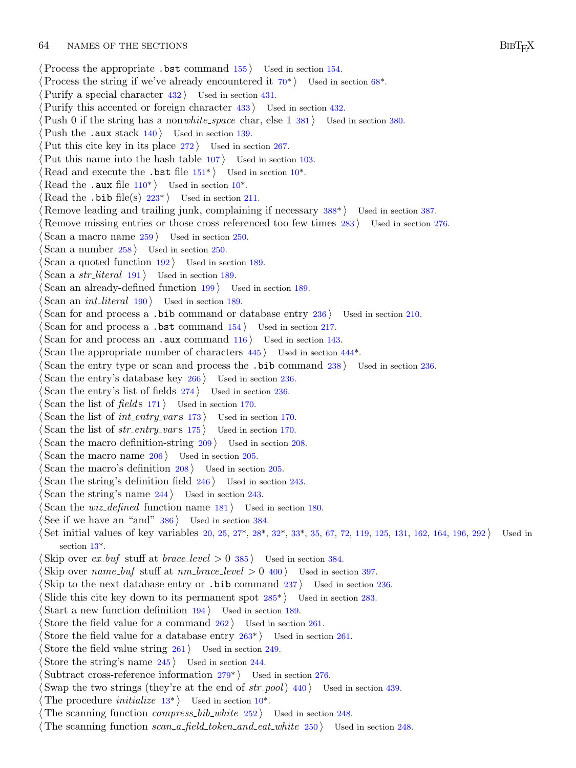- *⟨*Process the appropriate .bst command 155 *⟩* Used in section 154.
- *Process the string if we've already encountered it*  $70^*$  *Used in section 68<sup>\*</sup>.*
- *⟨*Purify a special character 432 *⟩* [Us](#page-22-0)ed in section 431.
- *Purify this accente[d or](#page-17-0) foreign character [4](#page-3-0)33 <i>augmenta* Used in section 432.
- *⟨*Push 0 if the string h[as a](#page-27-0) non*white space* char, else 1 381 *⟩* Used in section 380.
- Push the .aux stack  $140$  *\* Used in section 139.
- Put this cite key in its place  $272$  Used in section 267.
- *⟨*Put this name into the hash table 107 *⟩* Used in section 103.
- *Read and execute the .bst file*  $151^*$  *Used in section*  $10^*$ *.*
- Read the .aux file  $110^*$  Used in section  $10^*$ .
- Read the .bib file(s)  $223^*$  Used in section 211.
- *Remove leading and trailing junk, complaining if necessary 388<sup>\*</sup>/ Used in section 387.*
- *⟨* Remove missing entries or those cross referenced too few times 283 *⟩* Used in section 276.
- *Scan a macro name*  $259$  *Vsed in section 250.*
- *⟨* Scan a number 258 *⟩* Used in section 250.
- *Scan a quoted function*  $192$  *Vsed in section* 189.
- *⟨* Scan a *str literal* 191 *⟩* Used in section 189.
- *Scan an already-defined function*  $199$  *Vsed in section* 189.
- *⟨* Scan an *int literal* 190 *⟩* Used in section 189.
- *⟨* Scan for and process a .bib command or database entry 236 *⟩* Used in section 210.
- *Scan for and process a .bst command*  $154$  *<i>Vsed in section 217.*
- *Scan for and process an .aux command*  $116$  *Used in section 143.*
- *Scan the appropriate number of characters*  $445$  *<i>\* Used in section  $444^*$ .
- *Scan the entry type or scan and process the .bib command 238 <i>lused in section 236.*
- *Scan the entry's database key 266 augmenta* Used in section 236.
- *Scan the entry's list of fields*  $274$  *Used in section 236.*
- *Scan the list of fields* 171 *a* Used in section 170.
- *Scan the list of int\_entry\_vars*  $173$  *\ Used in section 170.*
- *Scan the list of*  $str\_entry\_vars$  175 *arra* Used in section 170.
- *Scan the macro definition-string*  $209$  *<i>Vsed in section 208.*
- *Scan the macro name*  $206$  */* Used in secti[on](#page-6-0) 20[5.](#page-7-0)
- *Scan the [ma](#page-4-0)cro's definition 208 <i>V* Used in section 205.
- *Scan the string's definition field 246*  $\rangle$  *Used in section 243.*
- *Scan the string's name 244 <i>\* Used in section 243.
- *Scan the wiz\_defined* function name  $181$  *\* Used in section 180.
- *⟨* See if we have an "and" 386 *⟩* Used in section 38[4.](#page-31-0)
- *⟨* Set initial values of key variables 20, 25, 27\*, 28\*, 32\*, 33\*, 35, 67, 72, 119, 125, 131, 162, 164, 196, 292 *⟩* Used in section 13\*.
- $\langle$  Skip over *ex\_buf* stuff at *brace\_level*  $> 0$  [385](#page-29-0)  $\rangle$  Used in section 384.
- *Skip over name\_buf* stuff at  $nm\_brace$  *level*  $> 0$  400  $\}$  Used in section 397.
- *Skip to the next database entry or .bib command 237 <i>aught* Used in section 236.
- *Slide this cite key down to its perma[nen](#page-31-0)t spot*  $285^*$  *<i>Vsed in section 283.*
- *⟨* Start a new function definition 194 *⟩* Used in section 189.
- *Store the field value for [a co](#page-4-0)mmand*  $262$  *U[sed](#page-3-0) in section 261.*
- *Store the field value for a database entry*  $263^*$  *Used in section 261.*
- *Store the field value string 261 a* Used in section 249.
- *Store the string's name*  $245$  */ Used in section 244.*
- Subtract cross-reference information  $279^*$  Used in section 276.
- *Swap the two strings (they're at the end of*  $str_{p}$  *<i>str\_pool*) 440 *\legion* Used in section 439.
- The procedure *initialize*  $13^*$  Used in section  $10^*$ .
- The scanning function *compress\_bib\_white*  $252$  *\compose* Used in section 248.
- *⟨* The scanning function *scan a field token and eat white* 250 *⟩* Used in section 248.